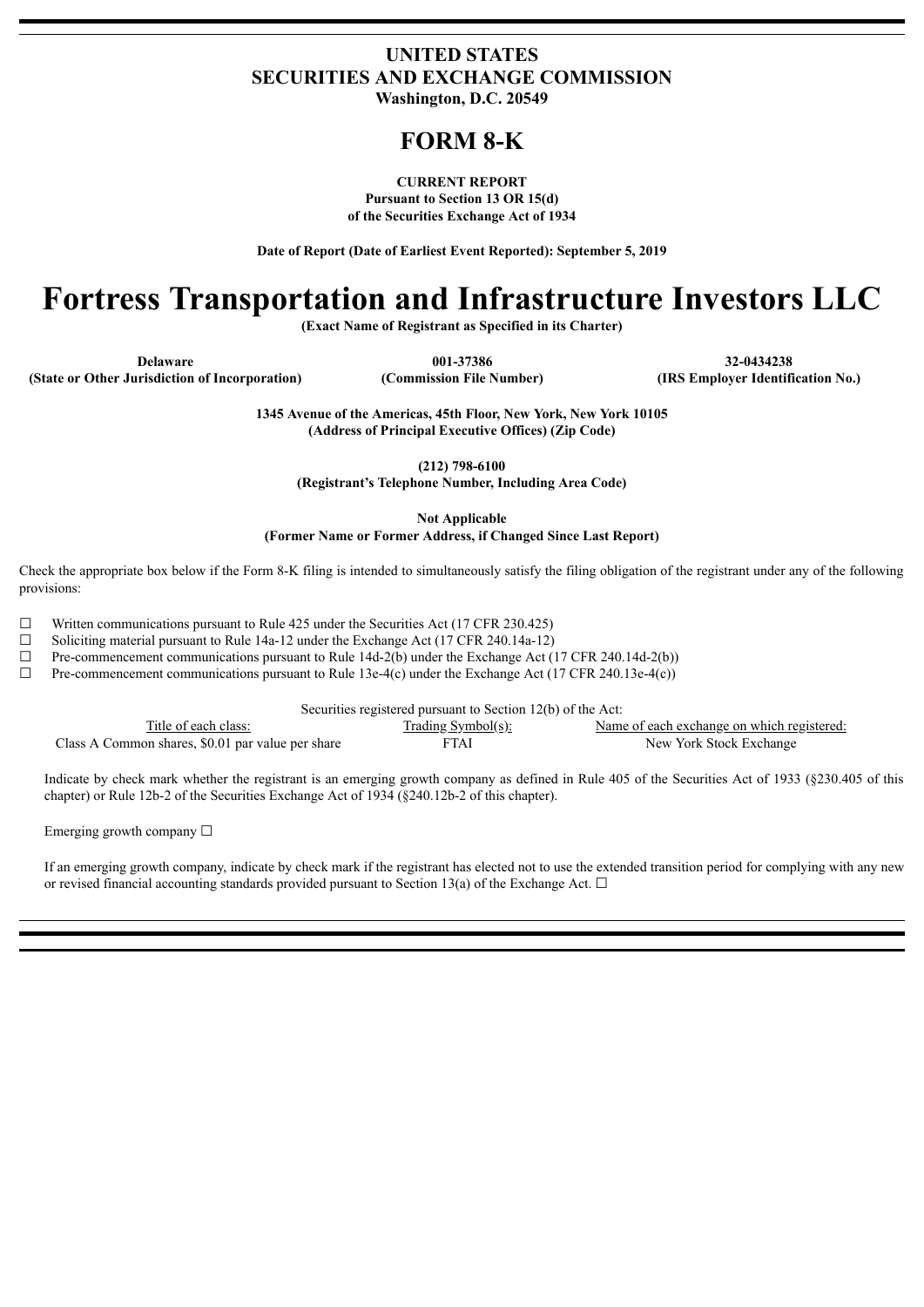### **UNITED STATES SECURITIES AND EXCHANGE COMMISSION Washington, D.C. 20549**

# **FORM 8-K**

**CURRENT REPORT Pursuant to Section 13 OR 15(d) of the Securities Exchange Act of 1934**

**Date of Report (Date of Earliest Event Reported): September 5, 2019**

# **Fortress Transportation and Infrastructure Investors LLC**

**(Exact Name of Registrant as Specified in its Charter)**

**Delaware 001-37386 32-0434238**

**1345 Avenue of the Americas, 45th Floor, New York, New York 10105 (Address of Principal Executive Offices) (Zip Code)**

**(212) 798-6100**

**(Registrant's Telephone Number, Including Area Code)**

**Not Applicable**

**(Former Name or Former Address, if Changed Since Last Report)**

Check the appropriate box below if the Form 8-K filing is intended to simultaneously satisfy the filing obligation of the registrant under any of the following provisions:

 $\Box$  Written communications pursuant to Rule 425 under the Securities Act (17 CFR 230.425)

 $\Box$  Soliciting material pursuant to Rule 14a-12 under the Exchange Act (17 CFR 240.14a-12)

 $\Box$  Pre-commencement communications pursuant to Rule 14d-2(b) under the Exchange Act (17 CFR 240.14d-2(b))

 $\Box$  Pre-commencement communications pursuant to Rule 13e-4(c) under the Exchange Act (17 CFR 240.13e-4(c))

| Securities registered pursuant to Section 12(b) of the Act: |                           |                                            |  |  |
|-------------------------------------------------------------|---------------------------|--------------------------------------------|--|--|
| Title of each class:                                        | <u>Trading Symbol(s):</u> | Name of each exchange on which registered: |  |  |
| Class A Common shares, \$0.01 par value per share           | FTAI                      | New York Stock Exchange                    |  |  |

Indicate by check mark whether the registrant is an emerging growth company as defined in Rule 405 of the Securities Act of 1933 (§230.405 of this chapter) or Rule 12b-2 of the Securities Exchange Act of 1934 (§240.12b-2 of this chapter).

Emerging growth company  $\Box$ 

If an emerging growth company, indicate by check mark if the registrant has elected not to use the extended transition period for complying with any new or revised financial accounting standards provided pursuant to Section 13(a) of the Exchange Act.  $\Box$ 

**(State or Other Jurisdiction of Incorporation) (Commission File Number) (IRS Employer Identification No.)**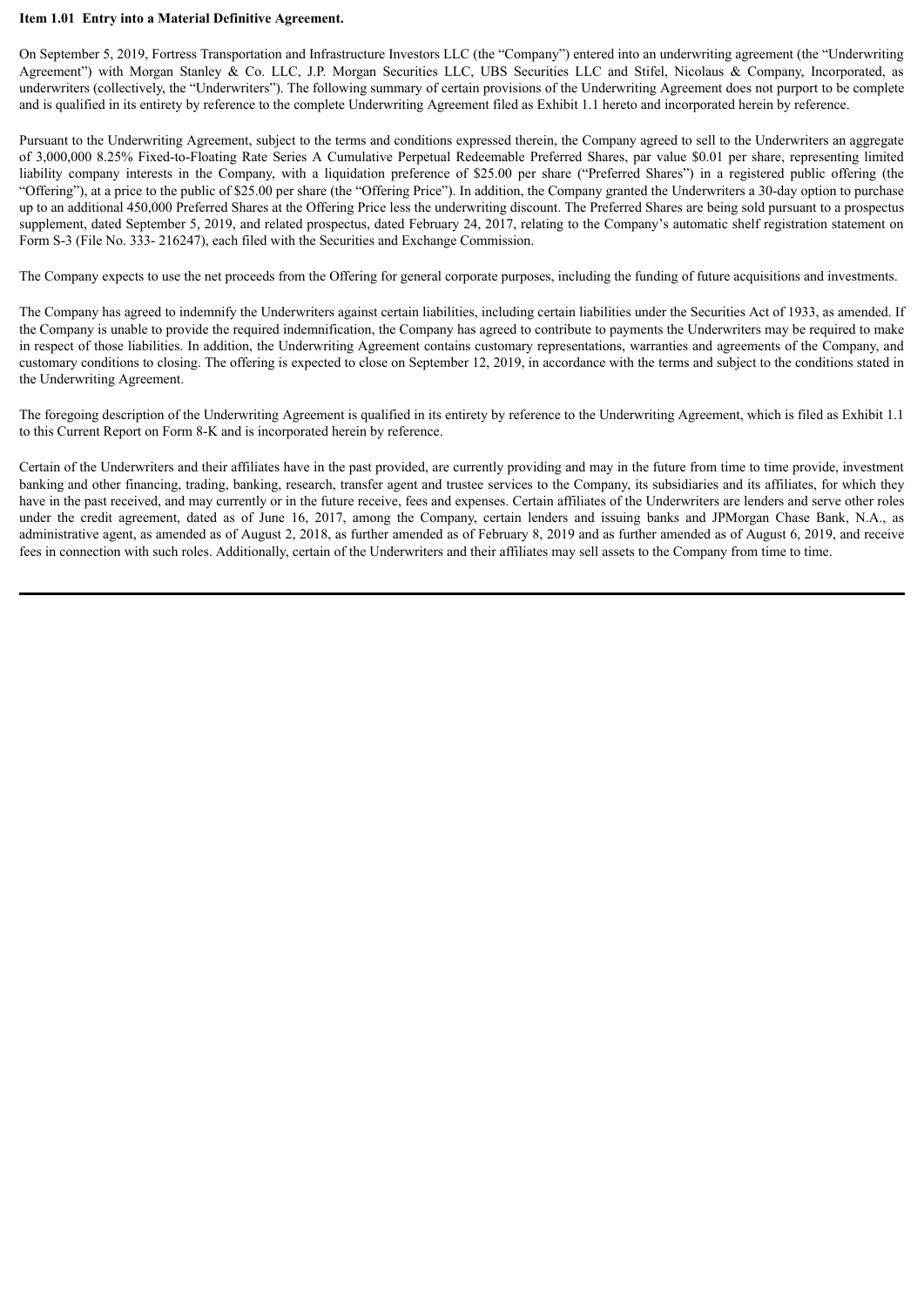#### **Item 1.01 Entry into a Material Definitive Agreement.**

On September 5, 2019, Fortress Transportation and Infrastructure Investors LLC (the "Company") entered into an underwriting agreement (the "Underwriting Agreement") with Morgan Stanley & Co. LLC, J.P. Morgan Securities LLC, UBS Securities LLC and Stifel, Nicolaus & Company, Incorporated, as underwriters (collectively, the "Underwriters"). The following summary of certain provisions of the Underwriting Agreement does not purport to be complete and is qualified in its entirety by reference to the complete Underwriting Agreement filed as Exhibit 1.1 hereto and incorporated herein by reference.

Pursuant to the Underwriting Agreement, subject to the terms and conditions expressed therein, the Company agreed to sell to the Underwriters an aggregate of 3,000,000 8.25% Fixed-to-Floating Rate Series A Cumulative Perpetual Redeemable Preferred Shares, par value \$0.01 per share, representing limited liability company interests in the Company, with a liquidation preference of \$25.00 per share ("Preferred Shares") in a registered public offering (the "Offering"), at a price to the public of \$25.00 per share (the "Offering Price"). In addition, the Company granted the Underwriters a 30-day option to purchase up to an additional 450,000 Preferred Shares at the Offering Price less the underwriting discount. The Preferred Shares are being sold pursuant to a prospectus supplement, dated September 5, 2019, and related prospectus, dated February 24, 2017, relating to the Company's automatic shelf registration statement on Form S-3 (File No. 333- 216247), each filed with the Securities and Exchange Commission.

The Company expects to use the net proceeds from the Offering for general corporate purposes, including the funding of future acquisitions and investments.

The Company has agreed to indemnify the Underwriters against certain liabilities, including certain liabilities under the Securities Act of 1933, as amended. If the Company is unable to provide the required indemnification, the Company has agreed to contribute to payments the Underwriters may be required to make in respect of those liabilities. In addition, the Underwriting Agreement contains customary representations, warranties and agreements of the Company, and customary conditions to closing. The offering is expected to close on September 12, 2019, in accordance with the terms and subject to the conditions stated in the Underwriting Agreement.

The foregoing description of the Underwriting Agreement is qualified in its entirety by reference to the Underwriting Agreement, which is filed as Exhibit 1.1 to this Current Report on Form 8-K and is incorporated herein by reference.

Certain of the Underwriters and their affiliates have in the past provided, are currently providing and may in the future from time to time provide, investment banking and other financing, trading, banking, research, transfer agent and trustee services to the Company, its subsidiaries and its affiliates, for which they have in the past received, and may currently or in the future receive, fees and expenses. Certain affiliates of the Underwriters are lenders and serve other roles under the credit agreement, dated as of June 16, 2017, among the Company, certain lenders and issuing banks and JPMorgan Chase Bank, N.A., as administrative agent, as amended as of August 2, 2018, as further amended as of February 8, 2019 and as further amended as of August 6, 2019, and receive fees in connection with such roles. Additionally, certain of the Underwriters and their affiliates may sell assets to the Company from time to time.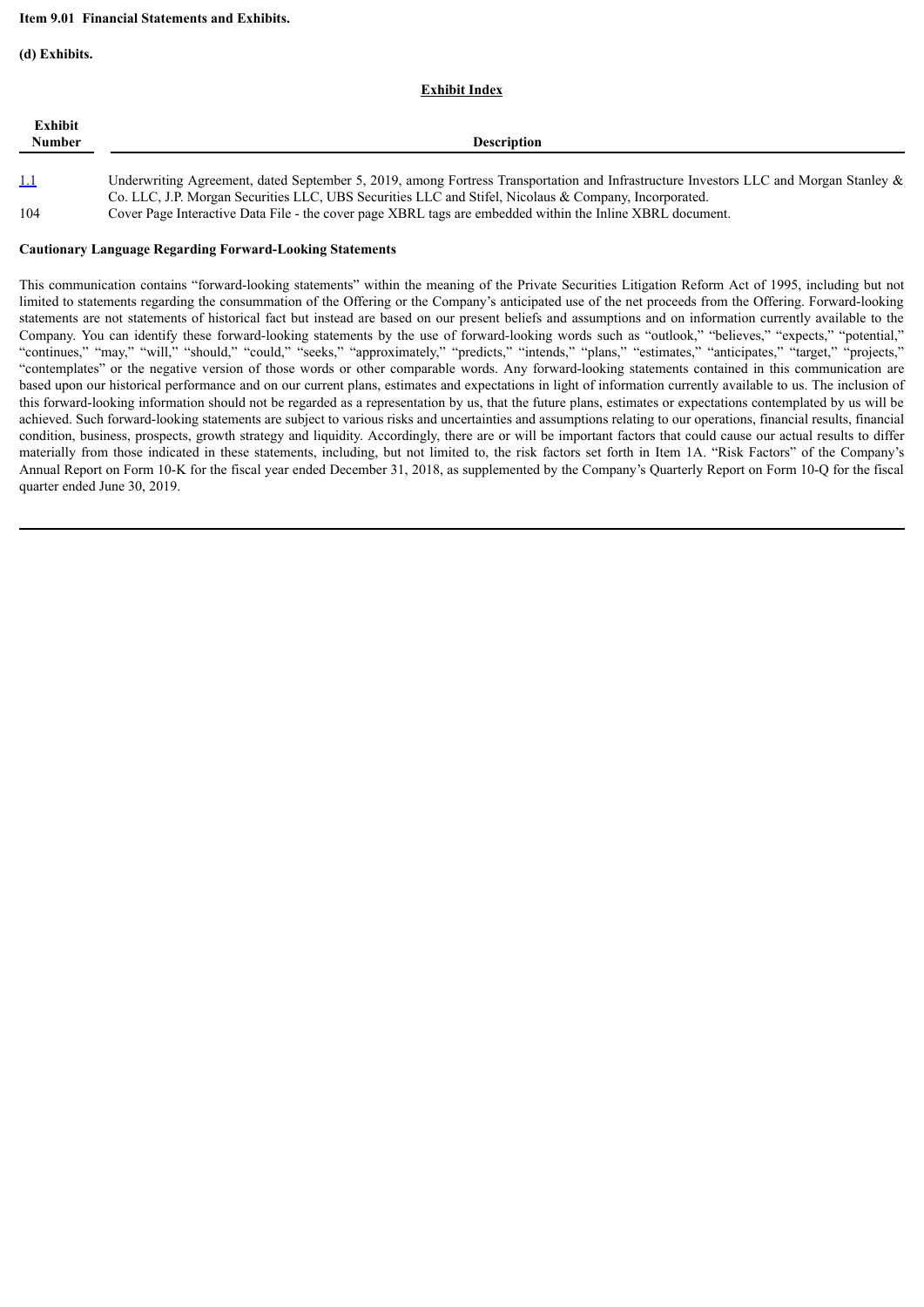#### **Item 9.01 Financial Statements and Exhibits.**

**(d) Exhibits.**

#### **Exhibit Index**

| Exhibit<br>Number | <b>Description</b>                                                                                                                                                                                                                               |
|-------------------|--------------------------------------------------------------------------------------------------------------------------------------------------------------------------------------------------------------------------------------------------|
| <u>1.1</u>        | Underwriting Agreement, dated September 5, 2019, among Fortress Transportation and Infrastructure Investors LLC and Morgan Stanley $\&$<br>Co. LLC, J.P. Morgan Securities LLC, UBS Securities LLC and Stifel, Nicolaus & Company, Incorporated. |

104 Cover Page Interactive Data File - the cover page XBRL tags are embedded within the Inline XBRL document.

#### **Cautionary Language Regarding Forward-Looking Statements**

This communication contains "forward-looking statements" within the meaning of the Private Securities Litigation Reform Act of 1995, including but not limited to statements regarding the consummation of the Offering or the Company's anticipated use of the net proceeds from the Offering. Forward-looking statements are not statements of historical fact but instead are based on our present beliefs and assumptions and on information currently available to the Company. You can identify these forward-looking statements by the use of forward-looking words such as "outlook," "believes," "expects," "potential," "continues," "may," "will," "should," "could," "seeks," "approximately," "predicts," "intends," "plans," "estimates," "anticipates," "target," "projects," "contemplates" or the negative version of those words or other comparable words. Any forward-looking statements contained in this communication are based upon our historical performance and on our current plans, estimates and expectations in light of information currently available to us. The inclusion of this forward-looking information should not be regarded as a representation by us, that the future plans, estimates or expectations contemplated by us will be achieved. Such forward-looking statements are subject to various risks and uncertainties and assumptions relating to our operations, financial results, financial condition, business, prospects, growth strategy and liquidity. Accordingly, there are or will be important factors that could cause our actual results to differ materially from those indicated in these statements, including, but not limited to, the risk factors set forth in Item 1A. "Risk Factors" of the Company's Annual Report on Form 10-K for the fiscal year ended December 31, 2018, as supplemented by the Company's Quarterly Report on Form 10-Q for the fiscal quarter ended June 30, 2019.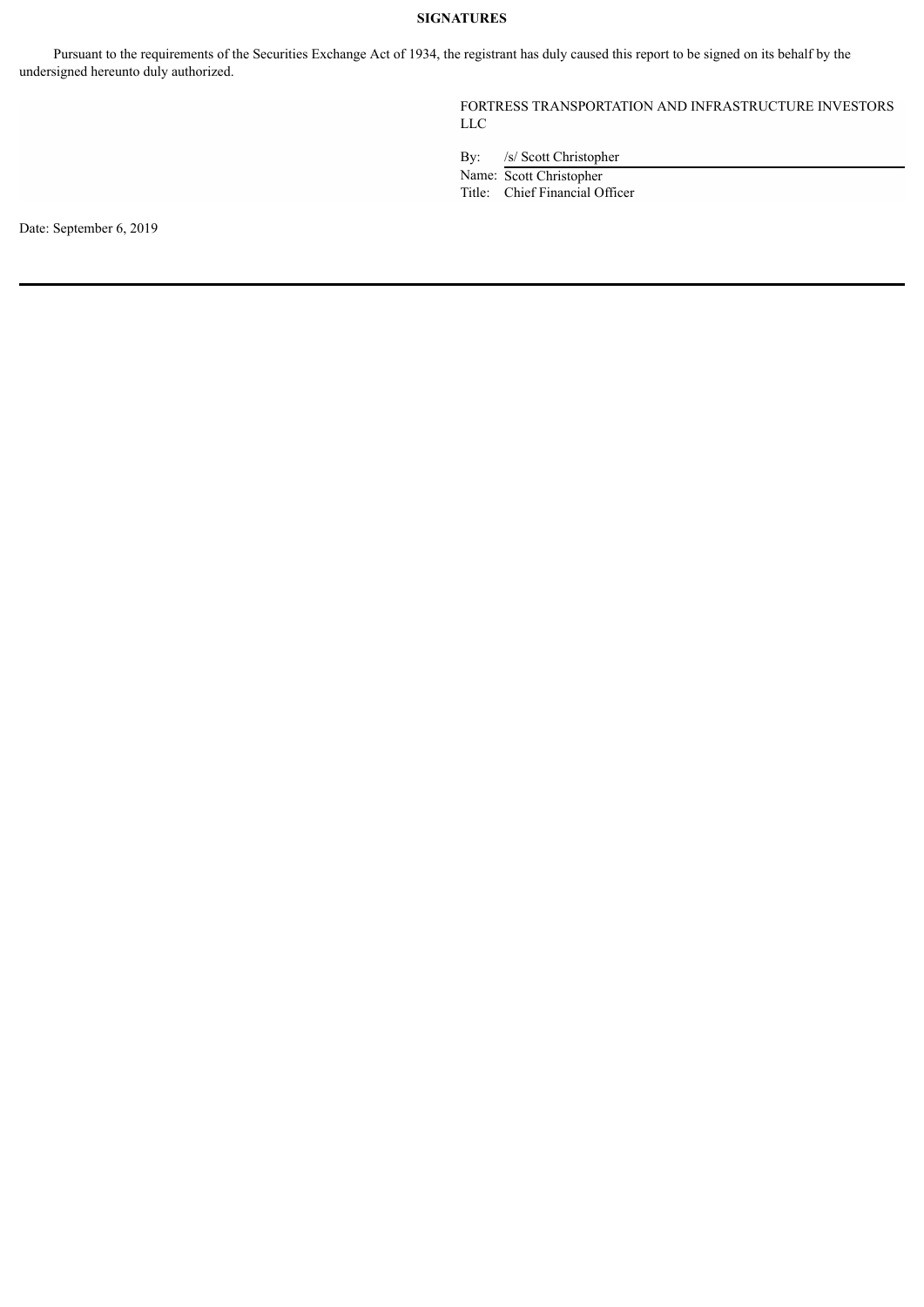#### **SIGNATURES**

Pursuant to the requirements of the Securities Exchange Act of 1934, the registrant has duly caused this report to be signed on its behalf by the undersigned hereunto duly authorized.

> FORTRESS TRANSPORTATION AND INFRASTRUCTURE INVESTORS LLC

By: /s/ Scott Christopher

Name: Scott Christopher

Title: Chief Financial Officer

Date: September 6, 2019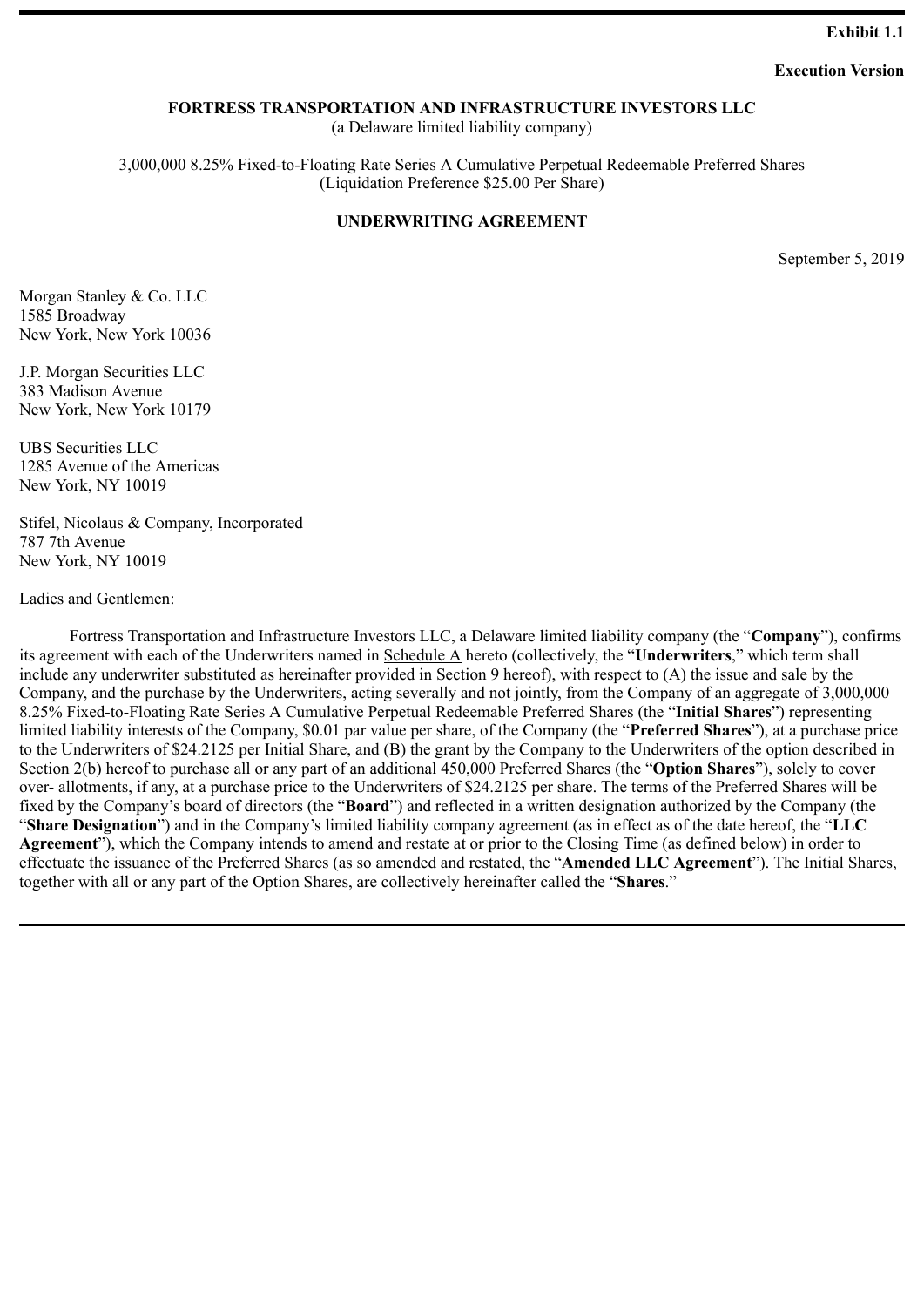#### **Exhibit 1.1**

#### **Execution Version**

#### <span id="page-4-0"></span>**FORTRESS TRANSPORTATION AND INFRASTRUCTURE INVESTORS LLC**

(a Delaware limited liability company)

3,000,000 8.25% Fixed-to-Floating Rate Series A Cumulative Perpetual Redeemable Preferred Shares (Liquidation Preference \$25.00 Per Share)

#### **UNDERWRITING AGREEMENT**

September 5, 2019

Morgan Stanley & Co. LLC 1585 Broadway New York, New York 10036

J.P. Morgan Securities LLC 383 Madison Avenue New York, New York 10179

UBS Securities LLC 1285 Avenue of the Americas New York, NY 10019

Stifel, Nicolaus & Company, Incorporated 787 7th Avenue New York, NY 10019

Ladies and Gentlemen:

Fortress Transportation and Infrastructure Investors LLC, a Delaware limited liability company (the "**Company**"), confirms its agreement with each of the Underwriters named in Schedule A hereto (collectively, the "**Underwriters**," which term shall include any underwriter substituted as hereinafter provided in Section 9 hereof), with respect to (A) the issue and sale by the Company, and the purchase by the Underwriters, acting severally and not jointly, from the Company of an aggregate of 3,000,000 8.25% Fixed-to-Floating Rate Series A Cumulative Perpetual Redeemable Preferred Shares (the "**Initial Shares**") representing limited liability interests of the Company, \$0.01 par value per share, of the Company (the "**Preferred Shares**"), at a purchase price to the Underwriters of \$24.2125 per Initial Share, and (B) the grant by the Company to the Underwriters of the option described in Section 2(b) hereof to purchase all or any part of an additional 450,000 Preferred Shares (the "**Option Shares**"), solely to cover over- allotments, if any, at a purchase price to the Underwriters of \$24.2125 per share. The terms of the Preferred Shares will be fixed by the Company's board of directors (the "**Board**") and reflected in a written designation authorized by the Company (the "**Share Designation**") and in the Company's limited liability company agreement (as in effect as of the date hereof, the "**LLC Agreement**"), which the Company intends to amend and restate at or prior to the Closing Time (as defined below) in order to effectuate the issuance of the Preferred Shares (as so amended and restated, the "**Amended LLC Agreement**"). The Initial Shares, together with all or any part of the Option Shares, are collectively hereinafter called the "**Shares**."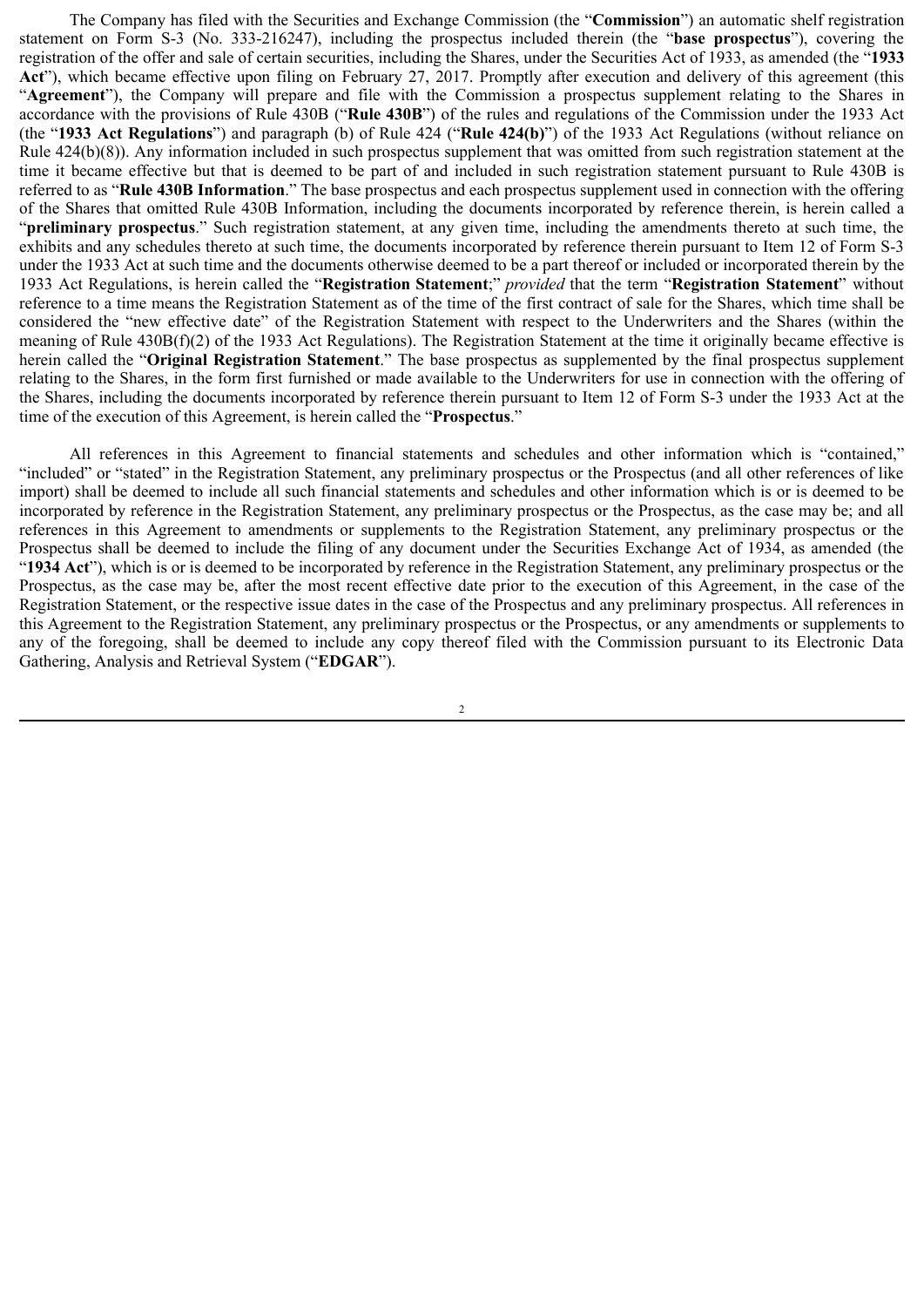The Company has filed with the Securities and Exchange Commission (the "**Commission**") an automatic shelf registration statement on Form S-3 (No. 333-216247), including the prospectus included therein (the "**base prospectus**"), covering the registration of the offer and sale of certain securities, including the Shares, under the Securities Act of 1933, as amended (the "**1933 Act**"), which became effective upon filing on February 27, 2017. Promptly after execution and delivery of this agreement (this "**Agreement**"), the Company will prepare and file with the Commission a prospectus supplement relating to the Shares in accordance with the provisions of Rule 430B ("**Rule 430B**") of the rules and regulations of the Commission under the 1933 Act (the "**1933 Act Regulations**") and paragraph (b) of Rule 424 ("**Rule 424(b)**") of the 1933 Act Regulations (without reliance on Rule 424(b)(8)). Any information included in such prospectus supplement that was omitted from such registration statement at the time it became effective but that is deemed to be part of and included in such registration statement pursuant to Rule 430B is referred to as "**Rule 430B Information**." The base prospectus and each prospectus supplement used in connection with the offering of the Shares that omitted Rule 430B Information, including the documents incorporated by reference therein, is herein called a "**preliminary prospectus**." Such registration statement, at any given time, including the amendments thereto at such time, the exhibits and any schedules thereto at such time, the documents incorporated by reference therein pursuant to Item 12 of Form S-3 under the 1933 Act at such time and the documents otherwise deemed to be a part thereof or included or incorporated therein by the 1933 Act Regulations, is herein called the "**Registration Statement**;" *provided* that the term "**Registration Statement**" without reference to a time means the Registration Statement as of the time of the first contract of sale for the Shares, which time shall be considered the "new effective date" of the Registration Statement with respect to the Underwriters and the Shares (within the meaning of Rule 430B(f)(2) of the 1933 Act Regulations). The Registration Statement at the time it originally became effective is herein called the "**Original Registration Statement**." The base prospectus as supplemented by the final prospectus supplement relating to the Shares, in the form first furnished or made available to the Underwriters for use in connection with the offering of the Shares, including the documents incorporated by reference therein pursuant to Item 12 of Form S-3 under the 1933 Act at the time of the execution of this Agreement, is herein called the "**Prospectus**."

All references in this Agreement to financial statements and schedules and other information which is "contained," "included" or "stated" in the Registration Statement, any preliminary prospectus or the Prospectus (and all other references of like import) shall be deemed to include all such financial statements and schedules and other information which is or is deemed to be incorporated by reference in the Registration Statement, any preliminary prospectus or the Prospectus, as the case may be; and all references in this Agreement to amendments or supplements to the Registration Statement, any preliminary prospectus or the Prospectus shall be deemed to include the filing of any document under the Securities Exchange Act of 1934, as amended (the "**1934 Act**"), which is or is deemed to be incorporated by reference in the Registration Statement, any preliminary prospectus or the Prospectus, as the case may be, after the most recent effective date prior to the execution of this Agreement, in the case of the Registration Statement, or the respective issue dates in the case of the Prospectus and any preliminary prospectus. All references in this Agreement to the Registration Statement, any preliminary prospectus or the Prospectus, or any amendments or supplements to any of the foregoing, shall be deemed to include any copy thereof filed with the Commission pursuant to its Electronic Data Gathering, Analysis and Retrieval System ("**EDGAR**").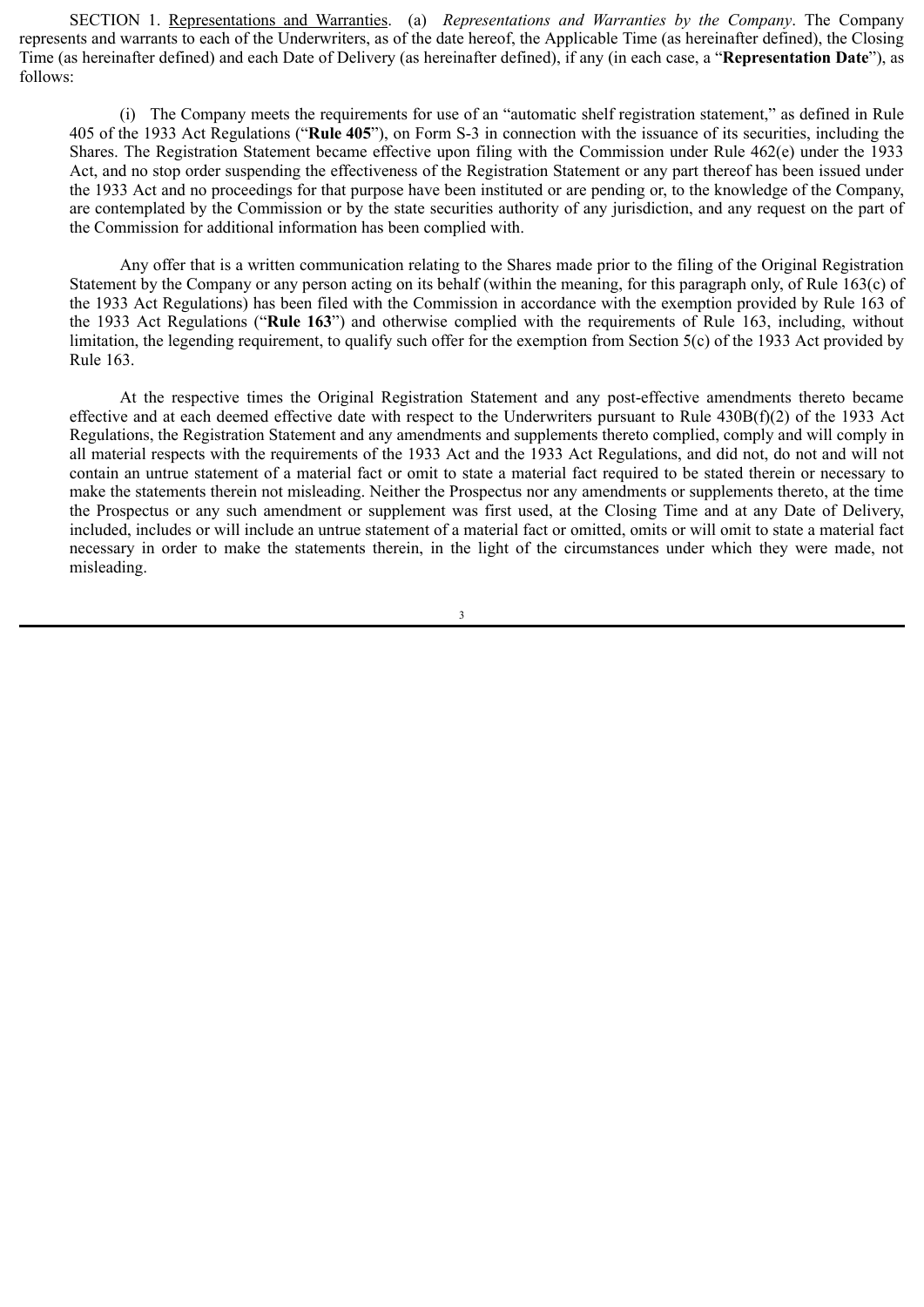SECTION 1. Representations and Warranties. (a) *Representations and Warranties by the Company*. The Company represents and warrants to each of the Underwriters, as of the date hereof, the Applicable Time (as hereinafter defined), the Closing Time (as hereinafter defined) and each Date of Delivery (as hereinafter defined), if any (in each case, a "**Representation Date**"), as follows:

(i) The Company meets the requirements for use of an "automatic shelf registration statement," as defined in Rule 405 of the 1933 Act Regulations ("**Rule 405**"), on Form S-3 in connection with the issuance of its securities, including the Shares. The Registration Statement became effective upon filing with the Commission under Rule 462(e) under the 1933 Act, and no stop order suspending the effectiveness of the Registration Statement or any part thereof has been issued under the 1933 Act and no proceedings for that purpose have been instituted or are pending or, to the knowledge of the Company, are contemplated by the Commission or by the state securities authority of any jurisdiction, and any request on the part of the Commission for additional information has been complied with.

Any offer that is a written communication relating to the Shares made prior to the filing of the Original Registration Statement by the Company or any person acting on its behalf (within the meaning, for this paragraph only, of Rule 163(c) of the 1933 Act Regulations) has been filed with the Commission in accordance with the exemption provided by Rule 163 of the 1933 Act Regulations ("**Rule 163**") and otherwise complied with the requirements of Rule 163, including, without limitation, the legending requirement, to qualify such offer for the exemption from Section 5(c) of the 1933 Act provided by Rule 163.

At the respective times the Original Registration Statement and any post-effective amendments thereto became effective and at each deemed effective date with respect to the Underwriters pursuant to Rule 430B(f)(2) of the 1933 Act Regulations, the Registration Statement and any amendments and supplements thereto complied, comply and will comply in all material respects with the requirements of the 1933 Act and the 1933 Act Regulations, and did not, do not and will not contain an untrue statement of a material fact or omit to state a material fact required to be stated therein or necessary to make the statements therein not misleading. Neither the Prospectus nor any amendments or supplements thereto, at the time the Prospectus or any such amendment or supplement was first used, at the Closing Time and at any Date of Delivery, included, includes or will include an untrue statement of a material fact or omitted, omits or will omit to state a material fact necessary in order to make the statements therein, in the light of the circumstances under which they were made, not misleading.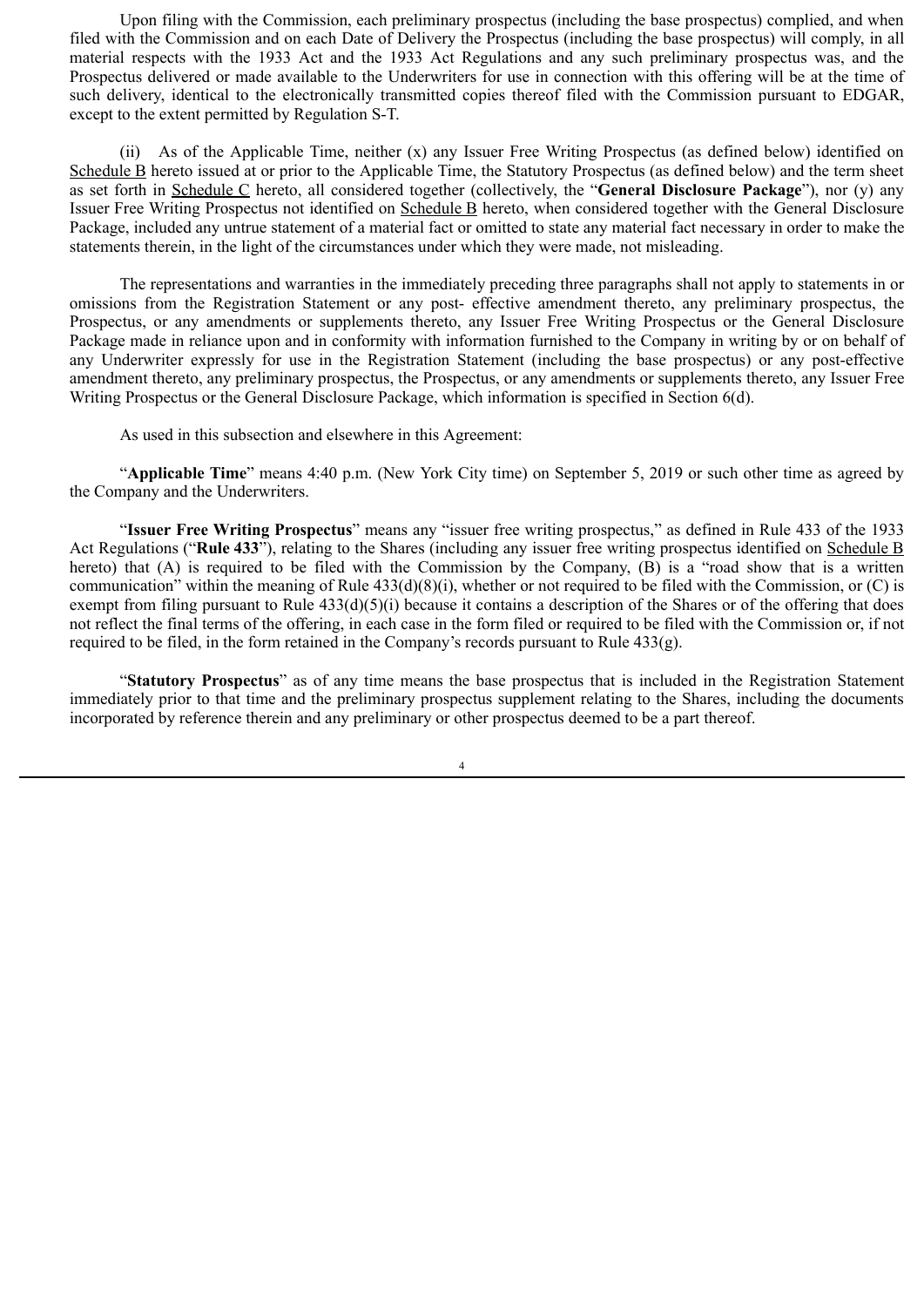Upon filing with the Commission, each preliminary prospectus (including the base prospectus) complied, and when filed with the Commission and on each Date of Delivery the Prospectus (including the base prospectus) will comply, in all material respects with the 1933 Act and the 1933 Act Regulations and any such preliminary prospectus was, and the Prospectus delivered or made available to the Underwriters for use in connection with this offering will be at the time of such delivery, identical to the electronically transmitted copies thereof filed with the Commission pursuant to EDGAR, except to the extent permitted by Regulation S-T.

(ii) As of the Applicable Time, neither (x) any Issuer Free Writing Prospectus (as defined below) identified on Schedule B hereto issued at or prior to the Applicable Time, the Statutory Prospectus (as defined below) and the term sheet as set forth in Schedule C hereto, all considered together (collectively, the "**General Disclosure Package**"), nor (y) any Issuer Free Writing Prospectus not identified on Schedule B hereto, when considered together with the General Disclosure Package, included any untrue statement of a material fact or omitted to state any material fact necessary in order to make the statements therein, in the light of the circumstances under which they were made, not misleading.

The representations and warranties in the immediately preceding three paragraphs shall not apply to statements in or omissions from the Registration Statement or any post- effective amendment thereto, any preliminary prospectus, the Prospectus, or any amendments or supplements thereto, any Issuer Free Writing Prospectus or the General Disclosure Package made in reliance upon and in conformity with information furnished to the Company in writing by or on behalf of any Underwriter expressly for use in the Registration Statement (including the base prospectus) or any post-effective amendment thereto, any preliminary prospectus, the Prospectus, or any amendments or supplements thereto, any Issuer Free Writing Prospectus or the General Disclosure Package, which information is specified in Section 6(d).

As used in this subsection and elsewhere in this Agreement:

"**Applicable Time**" means 4:40 p.m. (New York City time) on September 5, 2019 or such other time as agreed by the Company and the Underwriters.

"**Issuer Free Writing Prospectus**" means any "issuer free writing prospectus," as defined in Rule 433 of the 1933 Act Regulations ("**Rule 433**"), relating to the Shares (including any issuer free writing prospectus identified on Schedule B hereto) that (A) is required to be filed with the Commission by the Company, (B) is a "road show that is a written communication" within the meaning of Rule 433(d)(8)(i), whether or not required to be filed with the Commission, or (C) is exempt from filing pursuant to Rule 433(d)(5)(i) because it contains a description of the Shares or of the offering that does not reflect the final terms of the offering, in each case in the form filed or required to be filed with the Commission or, if not required to be filed, in the form retained in the Company's records pursuant to Rule 433(g).

"**Statutory Prospectus**" as of any time means the base prospectus that is included in the Registration Statement immediately prior to that time and the preliminary prospectus supplement relating to the Shares, including the documents incorporated by reference therein and any preliminary or other prospectus deemed to be a part thereof.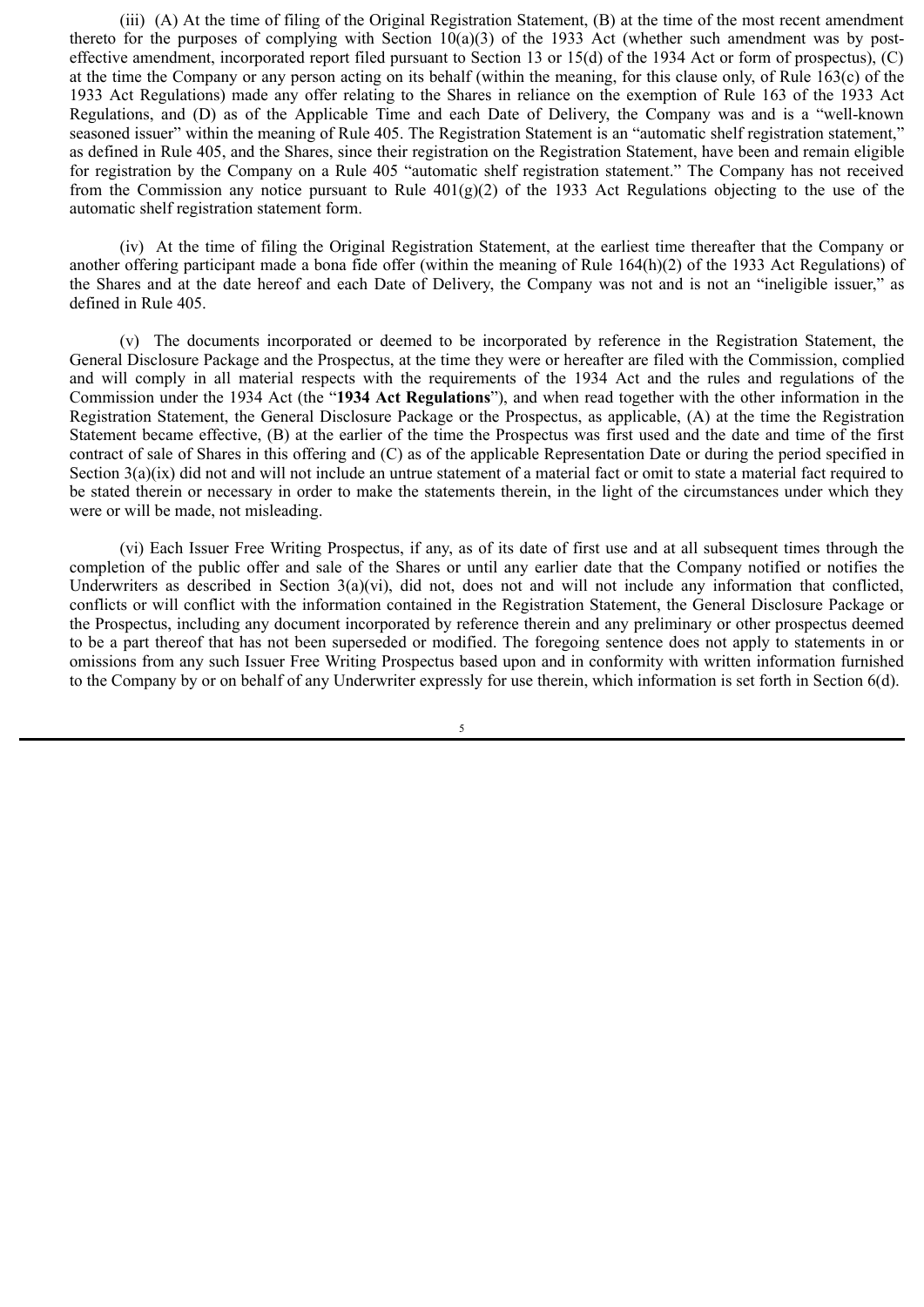(iii) (A) At the time of filing of the Original Registration Statement, (B) at the time of the most recent amendment thereto for the purposes of complying with Section  $10(a)(3)$  of the 1933 Act (whether such amendment was by posteffective amendment, incorporated report filed pursuant to Section 13 or 15(d) of the 1934 Act or form of prospectus), (C) at the time the Company or any person acting on its behalf (within the meaning, for this clause only, of Rule 163(c) of the 1933 Act Regulations) made any offer relating to the Shares in reliance on the exemption of Rule 163 of the 1933 Act Regulations, and (D) as of the Applicable Time and each Date of Delivery, the Company was and is a "well-known seasoned issuer" within the meaning of Rule 405. The Registration Statement is an "automatic shelf registration statement," as defined in Rule 405, and the Shares, since their registration on the Registration Statement, have been and remain eligible for registration by the Company on a Rule 405 "automatic shelf registration statement." The Company has not received from the Commission any notice pursuant to Rule  $401(g)(2)$  of the 1933 Act Regulations objecting to the use of the automatic shelf registration statement form.

(iv) At the time of filing the Original Registration Statement, at the earliest time thereafter that the Company or another offering participant made a bona fide offer (within the meaning of Rule 164(h)(2) of the 1933 Act Regulations) of the Shares and at the date hereof and each Date of Delivery, the Company was not and is not an "ineligible issuer," as defined in Rule 405.

(v) The documents incorporated or deemed to be incorporated by reference in the Registration Statement, the General Disclosure Package and the Prospectus, at the time they were or hereafter are filed with the Commission, complied and will comply in all material respects with the requirements of the 1934 Act and the rules and regulations of the Commission under the 1934 Act (the "**1934 Act Regulations**"), and when read together with the other information in the Registration Statement, the General Disclosure Package or the Prospectus, as applicable, (A) at the time the Registration Statement became effective, (B) at the earlier of the time the Prospectus was first used and the date and time of the first contract of sale of Shares in this offering and (C) as of the applicable Representation Date or during the period specified in Section  $3(a)(ix)$  did not and will not include an untrue statement of a material fact or omit to state a material fact required to be stated therein or necessary in order to make the statements therein, in the light of the circumstances under which they were or will be made, not misleading.

(vi) Each Issuer Free Writing Prospectus, if any, as of its date of first use and at all subsequent times through the completion of the public offer and sale of the Shares or until any earlier date that the Company notified or notifies the Underwriters as described in Section  $3(a)(vi)$ , did not, does not and will not include any information that conflicted, conflicts or will conflict with the information contained in the Registration Statement, the General Disclosure Package or the Prospectus, including any document incorporated by reference therein and any preliminary or other prospectus deemed to be a part thereof that has not been superseded or modified. The foregoing sentence does not apply to statements in or omissions from any such Issuer Free Writing Prospectus based upon and in conformity with written information furnished to the Company by or on behalf of any Underwriter expressly for use therein, which information is set forth in Section 6(d).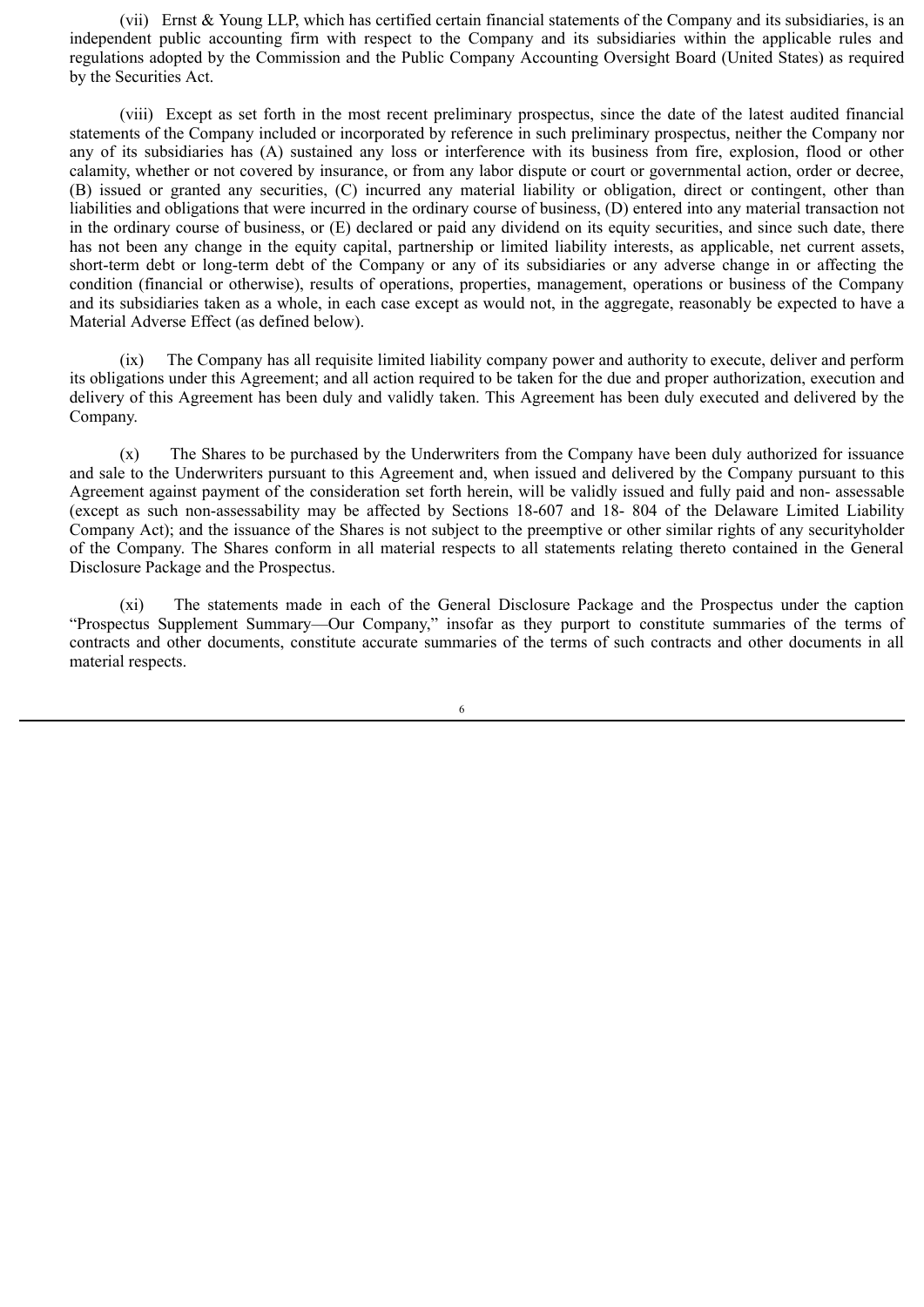(vii) Ernst & Young LLP, which has certified certain financial statements of the Company and its subsidiaries, is an independent public accounting firm with respect to the Company and its subsidiaries within the applicable rules and regulations adopted by the Commission and the Public Company Accounting Oversight Board (United States) as required by the Securities Act.

(viii) Except as set forth in the most recent preliminary prospectus, since the date of the latest audited financial statements of the Company included or incorporated by reference in such preliminary prospectus, neither the Company nor any of its subsidiaries has (A) sustained any loss or interference with its business from fire, explosion, flood or other calamity, whether or not covered by insurance, or from any labor dispute or court or governmental action, order or decree, (B) issued or granted any securities, (C) incurred any material liability or obligation, direct or contingent, other than liabilities and obligations that were incurred in the ordinary course of business, (D) entered into any material transaction not in the ordinary course of business, or (E) declared or paid any dividend on its equity securities, and since such date, there has not been any change in the equity capital, partnership or limited liability interests, as applicable, net current assets, short-term debt or long-term debt of the Company or any of its subsidiaries or any adverse change in or affecting the condition (financial or otherwise), results of operations, properties, management, operations or business of the Company and its subsidiaries taken as a whole, in each case except as would not, in the aggregate, reasonably be expected to have a Material Adverse Effect (as defined below).

(ix) The Company has all requisite limited liability company power and authority to execute, deliver and perform its obligations under this Agreement; and all action required to be taken for the due and proper authorization, execution and delivery of this Agreement has been duly and validly taken. This Agreement has been duly executed and delivered by the Company.

(x) The Shares to be purchased by the Underwriters from the Company have been duly authorized for issuance and sale to the Underwriters pursuant to this Agreement and, when issued and delivered by the Company pursuant to this Agreement against payment of the consideration set forth herein, will be validly issued and fully paid and non- assessable (except as such non-assessability may be affected by Sections 18-607 and 18- 804 of the Delaware Limited Liability Company Act); and the issuance of the Shares is not subject to the preemptive or other similar rights of any securityholder of the Company. The Shares conform in all material respects to all statements relating thereto contained in the General Disclosure Package and the Prospectus.

(xi) The statements made in each of the General Disclosure Package and the Prospectus under the caption "Prospectus Supplement Summary—Our Company," insofar as they purport to constitute summaries of the terms of contracts and other documents, constitute accurate summaries of the terms of such contracts and other documents in all material respects.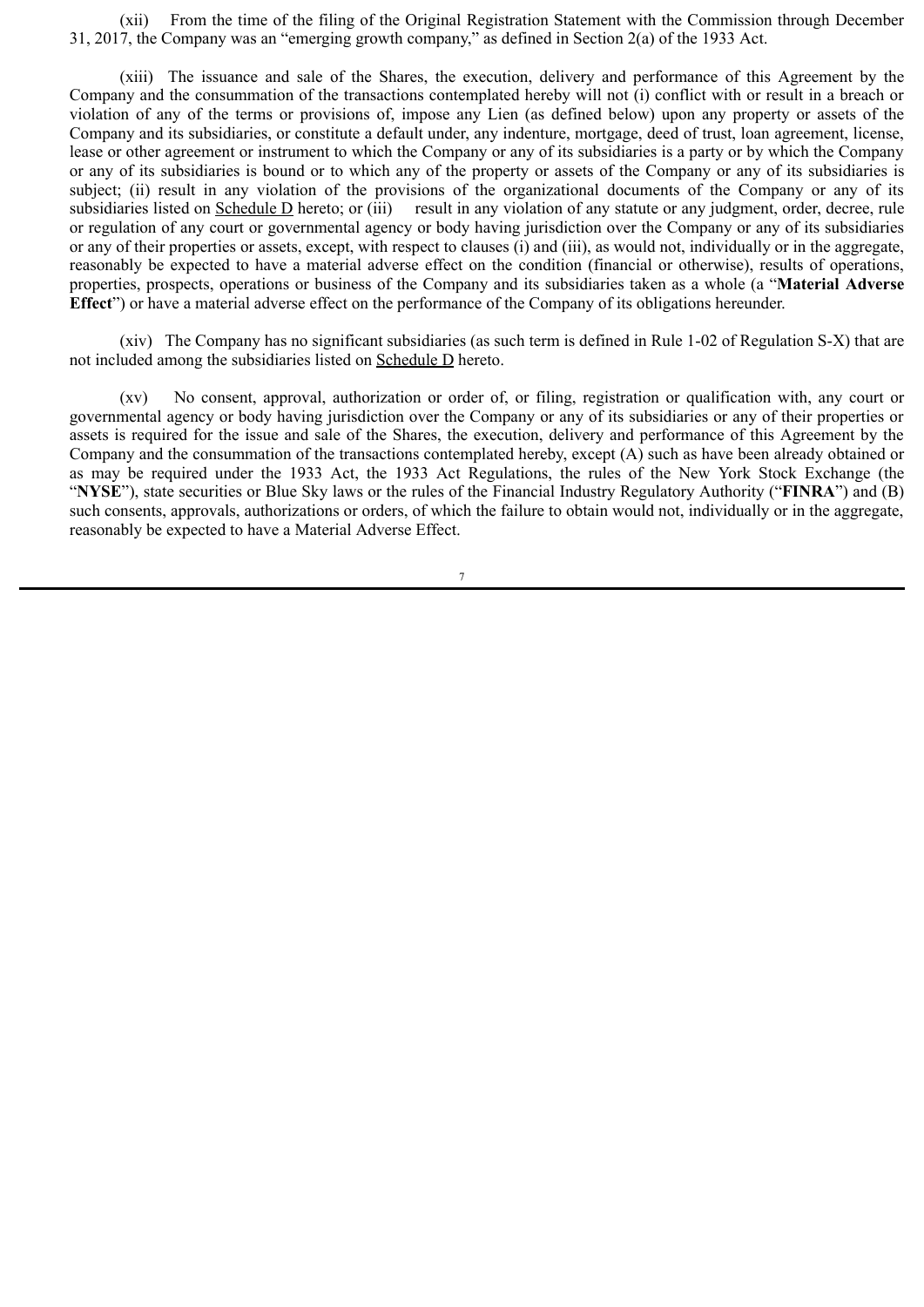(xii) From the time of the filing of the Original Registration Statement with the Commission through December 31, 2017, the Company was an "emerging growth company," as defined in Section 2(a) of the 1933 Act.

(xiii) The issuance and sale of the Shares, the execution, delivery and performance of this Agreement by the Company and the consummation of the transactions contemplated hereby will not (i) conflict with or result in a breach or violation of any of the terms or provisions of, impose any Lien (as defined below) upon any property or assets of the Company and its subsidiaries, or constitute a default under, any indenture, mortgage, deed of trust, loan agreement, license, lease or other agreement or instrument to which the Company or any of its subsidiaries is a party or by which the Company or any of its subsidiaries is bound or to which any of the property or assets of the Company or any of its subsidiaries is subject; (ii) result in any violation of the provisions of the organizational documents of the Company or any of its subsidiaries listed on Schedule D hereto; or (iii) result in any violation of any statute or any judgment, order, decree, rule or regulation of any court or governmental agency or body having jurisdiction over the Company or any of its subsidiaries or any of their properties or assets, except, with respect to clauses (i) and (iii), as would not, individually or in the aggregate, reasonably be expected to have a material adverse effect on the condition (financial or otherwise), results of operations, properties, prospects, operations or business of the Company and its subsidiaries taken as a whole (a "**Material Adverse Effect**") or have a material adverse effect on the performance of the Company of its obligations hereunder.

(xiv) The Company has no significant subsidiaries (as such term is defined in Rule 1-02 of Regulation S-X) that are not included among the subsidiaries listed on Schedule D hereto.

(xv) No consent, approval, authorization or order of, or filing, registration or qualification with, any court or governmental agency or body having jurisdiction over the Company or any of its subsidiaries or any of their properties or assets is required for the issue and sale of the Shares, the execution, delivery and performance of this Agreement by the Company and the consummation of the transactions contemplated hereby, except (A) such as have been already obtained or as may be required under the 1933 Act, the 1933 Act Regulations, the rules of the New York Stock Exchange (the "**NYSE**"), state securities or Blue Sky laws or the rules of the Financial Industry Regulatory Authority ("**FINRA**") and (B) such consents, approvals, authorizations or orders, of which the failure to obtain would not, individually or in the aggregate, reasonably be expected to have a Material Adverse Effect.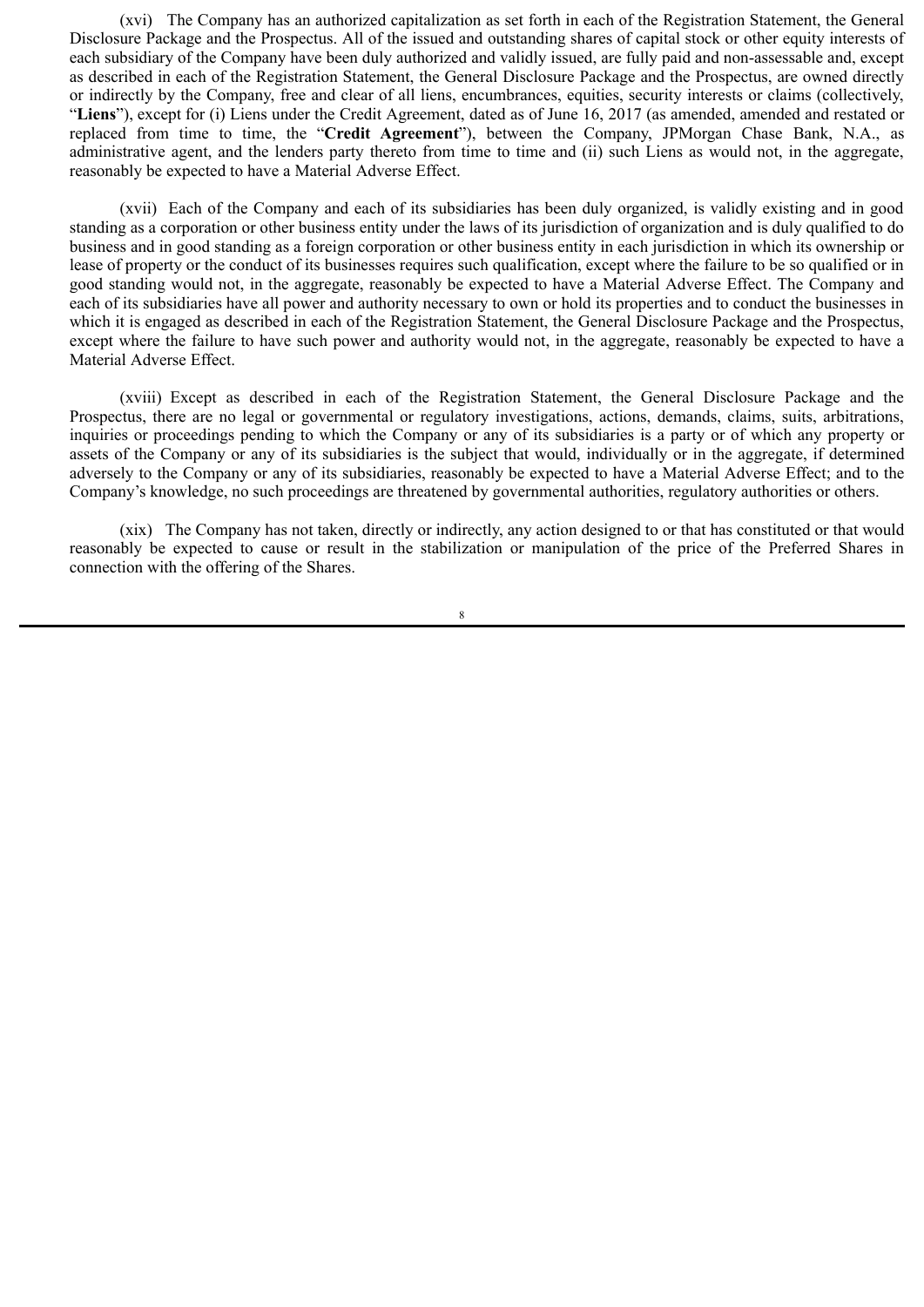(xvi) The Company has an authorized capitalization as set forth in each of the Registration Statement, the General Disclosure Package and the Prospectus. All of the issued and outstanding shares of capital stock or other equity interests of each subsidiary of the Company have been duly authorized and validly issued, are fully paid and non-assessable and, except as described in each of the Registration Statement, the General Disclosure Package and the Prospectus, are owned directly or indirectly by the Company, free and clear of all liens, encumbrances, equities, security interests or claims (collectively, "**Liens**"), except for (i) Liens under the Credit Agreement, dated as of June 16, 2017 (as amended, amended and restated or replaced from time to time, the "**Credit Agreement**"), between the Company, JPMorgan Chase Bank, N.A., as administrative agent, and the lenders party thereto from time to time and (ii) such Liens as would not, in the aggregate, reasonably be expected to have a Material Adverse Effect.

(xvii) Each of the Company and each of its subsidiaries has been duly organized, is validly existing and in good standing as a corporation or other business entity under the laws of its jurisdiction of organization and is duly qualified to do business and in good standing as a foreign corporation or other business entity in each jurisdiction in which its ownership or lease of property or the conduct of its businesses requires such qualification, except where the failure to be so qualified or in good standing would not, in the aggregate, reasonably be expected to have a Material Adverse Effect. The Company and each of its subsidiaries have all power and authority necessary to own or hold its properties and to conduct the businesses in which it is engaged as described in each of the Registration Statement, the General Disclosure Package and the Prospectus, except where the failure to have such power and authority would not, in the aggregate, reasonably be expected to have a Material Adverse Effect.

(xviii) Except as described in each of the Registration Statement, the General Disclosure Package and the Prospectus, there are no legal or governmental or regulatory investigations, actions, demands, claims, suits, arbitrations, inquiries or proceedings pending to which the Company or any of its subsidiaries is a party or of which any property or assets of the Company or any of its subsidiaries is the subject that would, individually or in the aggregate, if determined adversely to the Company or any of its subsidiaries, reasonably be expected to have a Material Adverse Effect; and to the Company's knowledge, no such proceedings are threatened by governmental authorities, regulatory authorities or others.

(xix) The Company has not taken, directly or indirectly, any action designed to or that has constituted or that would reasonably be expected to cause or result in the stabilization or manipulation of the price of the Preferred Shares in connection with the offering of the Shares.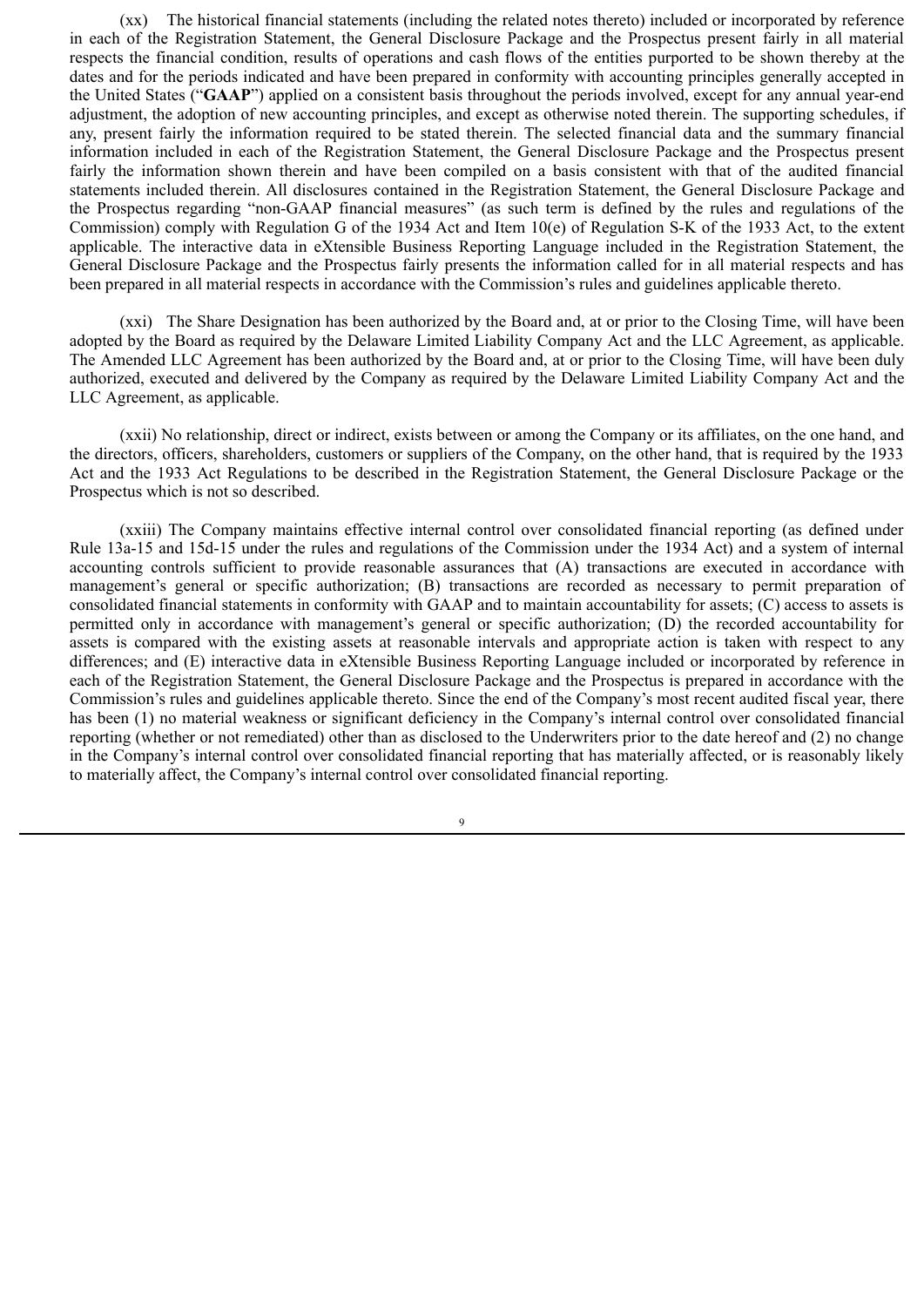(xx) The historical financial statements (including the related notes thereto) included or incorporated by reference in each of the Registration Statement, the General Disclosure Package and the Prospectus present fairly in all material respects the financial condition, results of operations and cash flows of the entities purported to be shown thereby at the dates and for the periods indicated and have been prepared in conformity with accounting principles generally accepted in the United States ("**GAAP**") applied on a consistent basis throughout the periods involved, except for any annual year-end adjustment, the adoption of new accounting principles, and except as otherwise noted therein. The supporting schedules, if any, present fairly the information required to be stated therein. The selected financial data and the summary financial information included in each of the Registration Statement, the General Disclosure Package and the Prospectus present fairly the information shown therein and have been compiled on a basis consistent with that of the audited financial statements included therein. All disclosures contained in the Registration Statement, the General Disclosure Package and the Prospectus regarding "non-GAAP financial measures" (as such term is defined by the rules and regulations of the Commission) comply with Regulation G of the 1934 Act and Item 10(e) of Regulation S-K of the 1933 Act, to the extent applicable. The interactive data in eXtensible Business Reporting Language included in the Registration Statement, the General Disclosure Package and the Prospectus fairly presents the information called for in all material respects and has been prepared in all material respects in accordance with the Commission's rules and guidelines applicable thereto.

(xxi) The Share Designation has been authorized by the Board and, at or prior to the Closing Time, will have been adopted by the Board as required by the Delaware Limited Liability Company Act and the LLC Agreement, as applicable. The Amended LLC Agreement has been authorized by the Board and, at or prior to the Closing Time, will have been duly authorized, executed and delivered by the Company as required by the Delaware Limited Liability Company Act and the LLC Agreement, as applicable.

(xxii) No relationship, direct or indirect, exists between or among the Company or its affiliates, on the one hand, and the directors, officers, shareholders, customers or suppliers of the Company, on the other hand, that is required by the 1933 Act and the 1933 Act Regulations to be described in the Registration Statement, the General Disclosure Package or the Prospectus which is not so described.

(xxiii) The Company maintains effective internal control over consolidated financial reporting (as defined under Rule 13a-15 and 15d-15 under the rules and regulations of the Commission under the 1934 Act) and a system of internal accounting controls sufficient to provide reasonable assurances that (A) transactions are executed in accordance with management's general or specific authorization; (B) transactions are recorded as necessary to permit preparation of consolidated financial statements in conformity with GAAP and to maintain accountability for assets; (C) access to assets is permitted only in accordance with management's general or specific authorization; (D) the recorded accountability for assets is compared with the existing assets at reasonable intervals and appropriate action is taken with respect to any differences; and (E) interactive data in eXtensible Business Reporting Language included or incorporated by reference in each of the Registration Statement, the General Disclosure Package and the Prospectus is prepared in accordance with the Commission's rules and guidelines applicable thereto. Since the end of the Company's most recent audited fiscal year, there has been (1) no material weakness or significant deficiency in the Company's internal control over consolidated financial reporting (whether or not remediated) other than as disclosed to the Underwriters prior to the date hereof and (2) no change in the Company's internal control over consolidated financial reporting that has materially affected, or is reasonably likely to materially affect, the Company's internal control over consolidated financial reporting.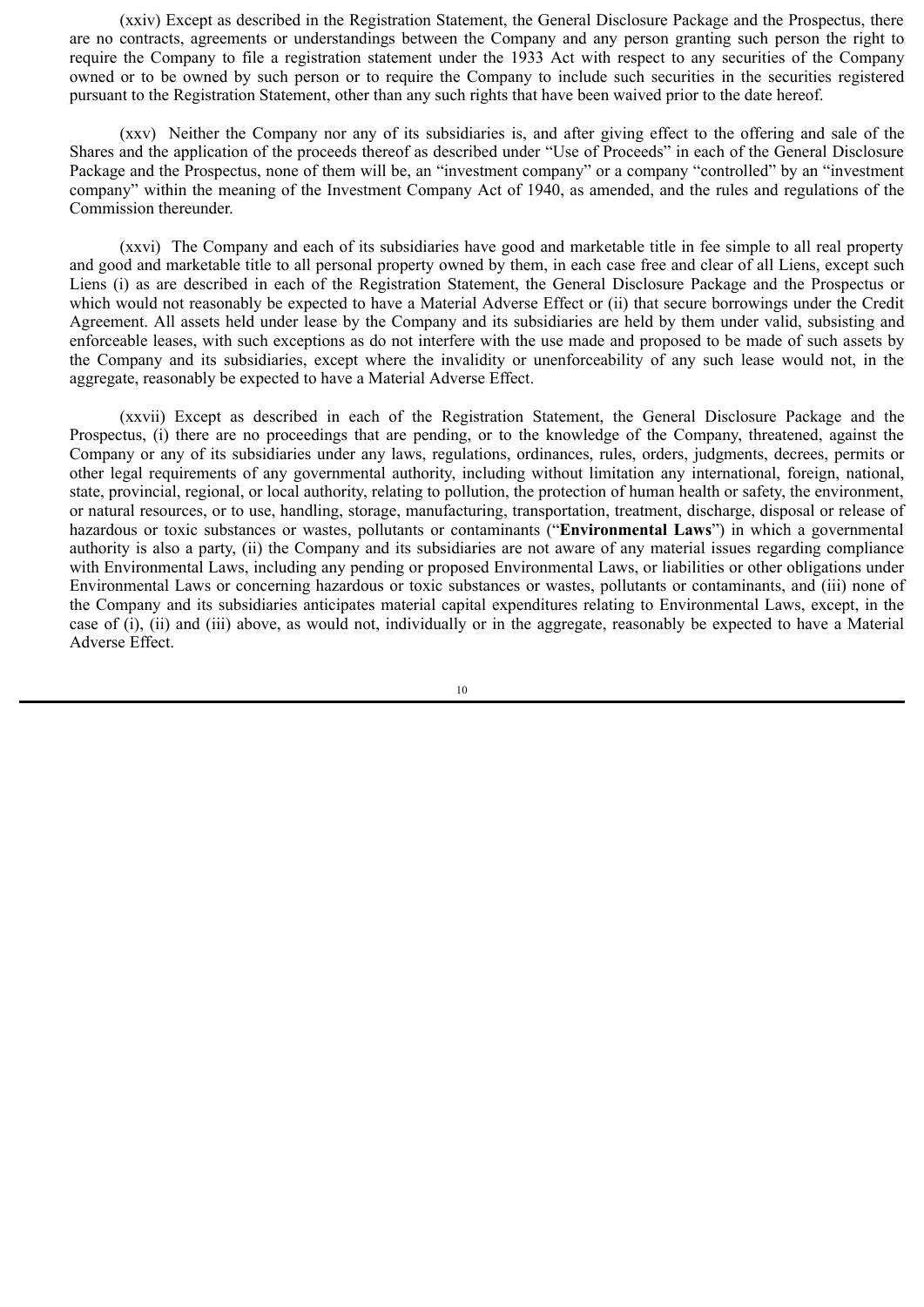(xxiv) Except as described in the Registration Statement, the General Disclosure Package and the Prospectus, there are no contracts, agreements or understandings between the Company and any person granting such person the right to require the Company to file a registration statement under the 1933 Act with respect to any securities of the Company owned or to be owned by such person or to require the Company to include such securities in the securities registered pursuant to the Registration Statement, other than any such rights that have been waived prior to the date hereof.

(xxv) Neither the Company nor any of its subsidiaries is, and after giving effect to the offering and sale of the Shares and the application of the proceeds thereof as described under "Use of Proceeds" in each of the General Disclosure Package and the Prospectus, none of them will be, an "investment company" or a company "controlled" by an "investment company" within the meaning of the Investment Company Act of 1940, as amended, and the rules and regulations of the Commission thereunder.

(xxvi) The Company and each of its subsidiaries have good and marketable title in fee simple to all real property and good and marketable title to all personal property owned by them, in each case free and clear of all Liens, except such Liens (i) as are described in each of the Registration Statement, the General Disclosure Package and the Prospectus or which would not reasonably be expected to have a Material Adverse Effect or (ii) that secure borrowings under the Credit Agreement. All assets held under lease by the Company and its subsidiaries are held by them under valid, subsisting and enforceable leases, with such exceptions as do not interfere with the use made and proposed to be made of such assets by the Company and its subsidiaries, except where the invalidity or unenforceability of any such lease would not, in the aggregate, reasonably be expected to have a Material Adverse Effect.

(xxvii) Except as described in each of the Registration Statement, the General Disclosure Package and the Prospectus, (i) there are no proceedings that are pending, or to the knowledge of the Company, threatened, against the Company or any of its subsidiaries under any laws, regulations, ordinances, rules, orders, judgments, decrees, permits or other legal requirements of any governmental authority, including without limitation any international, foreign, national, state, provincial, regional, or local authority, relating to pollution, the protection of human health or safety, the environment, or natural resources, or to use, handling, storage, manufacturing, transportation, treatment, discharge, disposal or release of hazardous or toxic substances or wastes, pollutants or contaminants ("**Environmental Laws**") in which a governmental authority is also a party, (ii) the Company and its subsidiaries are not aware of any material issues regarding compliance with Environmental Laws, including any pending or proposed Environmental Laws, or liabilities or other obligations under Environmental Laws or concerning hazardous or toxic substances or wastes, pollutants or contaminants, and (iii) none of the Company and its subsidiaries anticipates material capital expenditures relating to Environmental Laws, except, in the case of (i), (ii) and (iii) above, as would not, individually or in the aggregate, reasonably be expected to have a Material Adverse Effect.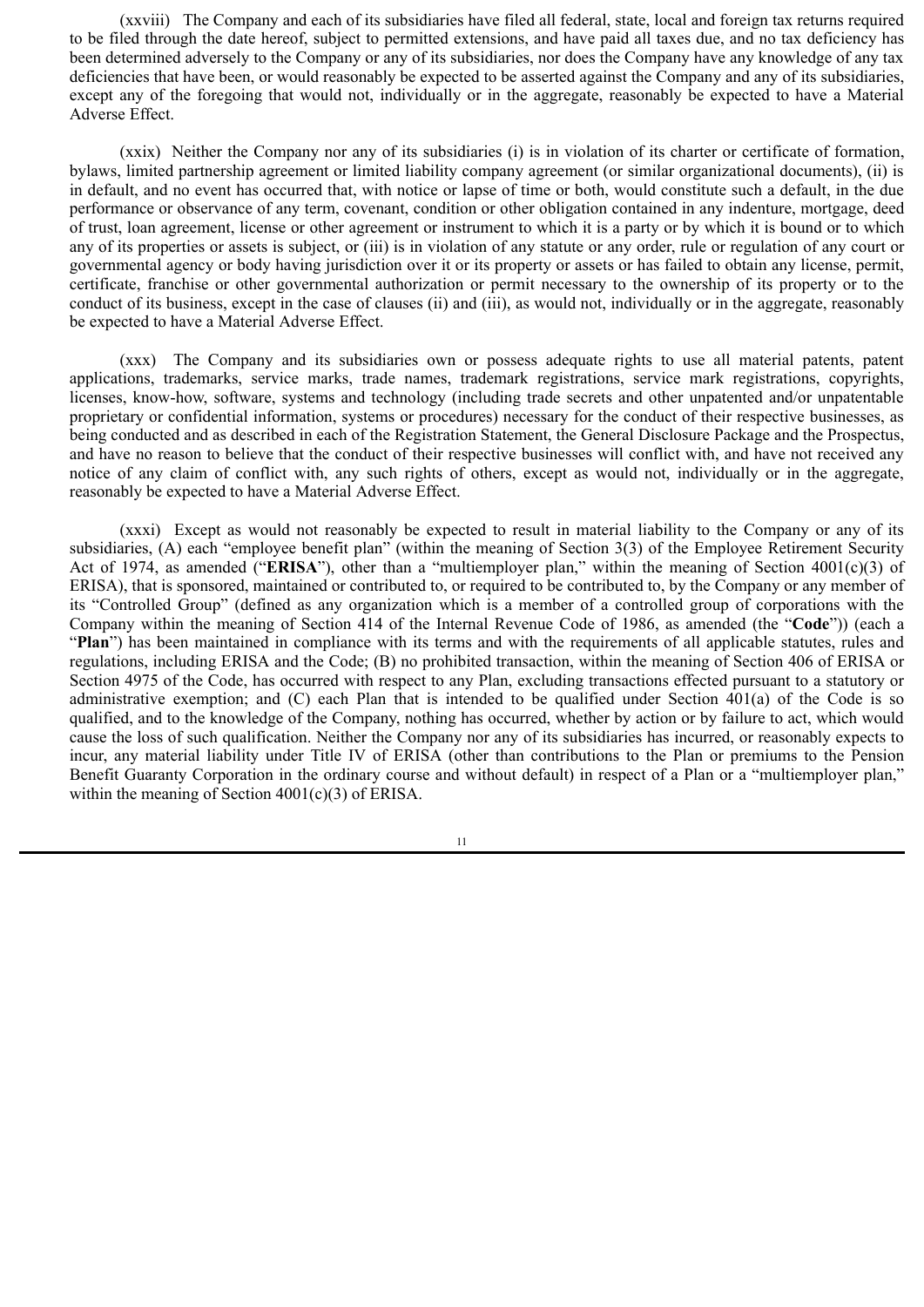(xxviii) The Company and each of its subsidiaries have filed all federal, state, local and foreign tax returns required to be filed through the date hereof, subject to permitted extensions, and have paid all taxes due, and no tax deficiency has been determined adversely to the Company or any of its subsidiaries, nor does the Company have any knowledge of any tax deficiencies that have been, or would reasonably be expected to be asserted against the Company and any of its subsidiaries, except any of the foregoing that would not, individually or in the aggregate, reasonably be expected to have a Material Adverse Effect.

(xxix) Neither the Company nor any of its subsidiaries (i) is in violation of its charter or certificate of formation, bylaws, limited partnership agreement or limited liability company agreement (or similar organizational documents), (ii) is in default, and no event has occurred that, with notice or lapse of time or both, would constitute such a default, in the due performance or observance of any term, covenant, condition or other obligation contained in any indenture, mortgage, deed of trust, loan agreement, license or other agreement or instrument to which it is a party or by which it is bound or to which any of its properties or assets is subject, or (iii) is in violation of any statute or any order, rule or regulation of any court or governmental agency or body having jurisdiction over it or its property or assets or has failed to obtain any license, permit, certificate, franchise or other governmental authorization or permit necessary to the ownership of its property or to the conduct of its business, except in the case of clauses (ii) and (iii), as would not, individually or in the aggregate, reasonably be expected to have a Material Adverse Effect.

(xxx) The Company and its subsidiaries own or possess adequate rights to use all material patents, patent applications, trademarks, service marks, trade names, trademark registrations, service mark registrations, copyrights, licenses, know-how, software, systems and technology (including trade secrets and other unpatented and/or unpatentable proprietary or confidential information, systems or procedures) necessary for the conduct of their respective businesses, as being conducted and as described in each of the Registration Statement, the General Disclosure Package and the Prospectus, and have no reason to believe that the conduct of their respective businesses will conflict with, and have not received any notice of any claim of conflict with, any such rights of others, except as would not, individually or in the aggregate, reasonably be expected to have a Material Adverse Effect.

(xxxi) Except as would not reasonably be expected to result in material liability to the Company or any of its subsidiaries, (A) each "employee benefit plan" (within the meaning of Section 3(3) of the Employee Retirement Security Act of 1974, as amended ("**ERISA**"), other than a "multiemployer plan," within the meaning of Section 4001(c)(3) of ERISA), that is sponsored, maintained or contributed to, or required to be contributed to, by the Company or any member of its "Controlled Group" (defined as any organization which is a member of a controlled group of corporations with the Company within the meaning of Section 414 of the Internal Revenue Code of 1986, as amended (the "**Code**")) (each a "**Plan**") has been maintained in compliance with its terms and with the requirements of all applicable statutes, rules and regulations, including ERISA and the Code; (B) no prohibited transaction, within the meaning of Section 406 of ERISA or Section 4975 of the Code, has occurred with respect to any Plan, excluding transactions effected pursuant to a statutory or administrative exemption; and (C) each Plan that is intended to be qualified under Section 401(a) of the Code is so qualified, and to the knowledge of the Company, nothing has occurred, whether by action or by failure to act, which would cause the loss of such qualification. Neither the Company nor any of its subsidiaries has incurred, or reasonably expects to incur, any material liability under Title IV of ERISA (other than contributions to the Plan or premiums to the Pension Benefit Guaranty Corporation in the ordinary course and without default) in respect of a Plan or a "multiemployer plan," within the meaning of Section 4001(c)(3) of ERISA.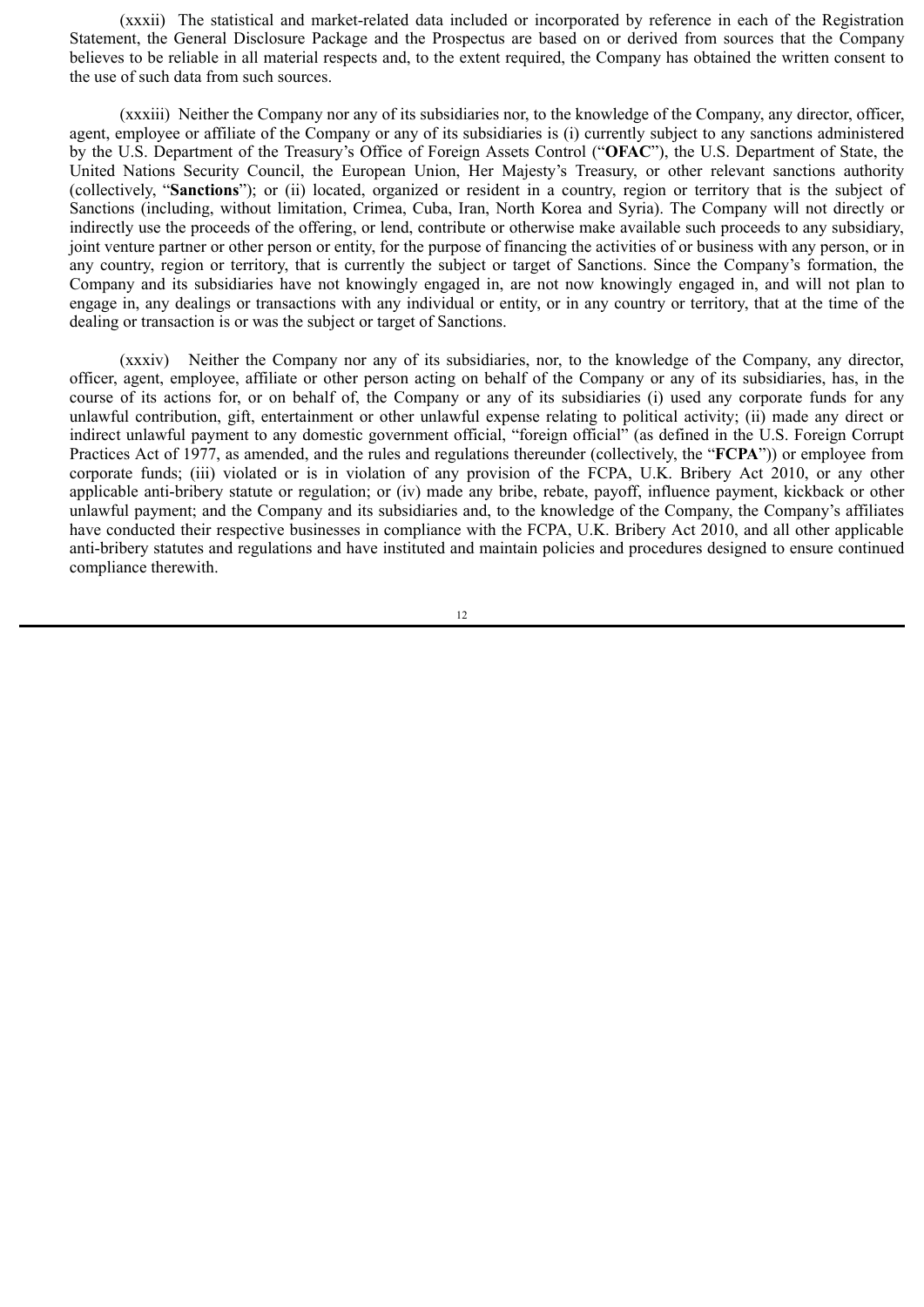(xxxii) The statistical and market-related data included or incorporated by reference in each of the Registration Statement, the General Disclosure Package and the Prospectus are based on or derived from sources that the Company believes to be reliable in all material respects and, to the extent required, the Company has obtained the written consent to the use of such data from such sources.

(xxxiii) Neither the Company nor any of its subsidiaries nor, to the knowledge of the Company, any director, officer, agent, employee or affiliate of the Company or any of its subsidiaries is (i) currently subject to any sanctions administered by the U.S. Department of the Treasury's Office of Foreign Assets Control ("**OFAC**"), the U.S. Department of State, the United Nations Security Council, the European Union, Her Majesty's Treasury, or other relevant sanctions authority (collectively, "**Sanctions**"); or (ii) located, organized or resident in a country, region or territory that is the subject of Sanctions (including, without limitation, Crimea, Cuba, Iran, North Korea and Syria). The Company will not directly or indirectly use the proceeds of the offering, or lend, contribute or otherwise make available such proceeds to any subsidiary, joint venture partner or other person or entity, for the purpose of financing the activities of or business with any person, or in any country, region or territory, that is currently the subject or target of Sanctions. Since the Company's formation, the Company and its subsidiaries have not knowingly engaged in, are not now knowingly engaged in, and will not plan to engage in, any dealings or transactions with any individual or entity, or in any country or territory, that at the time of the dealing or transaction is or was the subject or target of Sanctions.

(xxxiv) Neither the Company nor any of its subsidiaries, nor, to the knowledge of the Company, any director, officer, agent, employee, affiliate or other person acting on behalf of the Company or any of its subsidiaries, has, in the course of its actions for, or on behalf of, the Company or any of its subsidiaries (i) used any corporate funds for any unlawful contribution, gift, entertainment or other unlawful expense relating to political activity; (ii) made any direct or indirect unlawful payment to any domestic government official, "foreign official" (as defined in the U.S. Foreign Corrupt Practices Act of 1977, as amended, and the rules and regulations thereunder (collectively, the "**FCPA**")) or employee from corporate funds; (iii) violated or is in violation of any provision of the FCPA, U.K. Bribery Act 2010, or any other applicable anti-bribery statute or regulation; or (iv) made any bribe, rebate, payoff, influence payment, kickback or other unlawful payment; and the Company and its subsidiaries and, to the knowledge of the Company, the Company's affiliates have conducted their respective businesses in compliance with the FCPA, U.K. Bribery Act 2010, and all other applicable anti-bribery statutes and regulations and have instituted and maintain policies and procedures designed to ensure continued compliance therewith.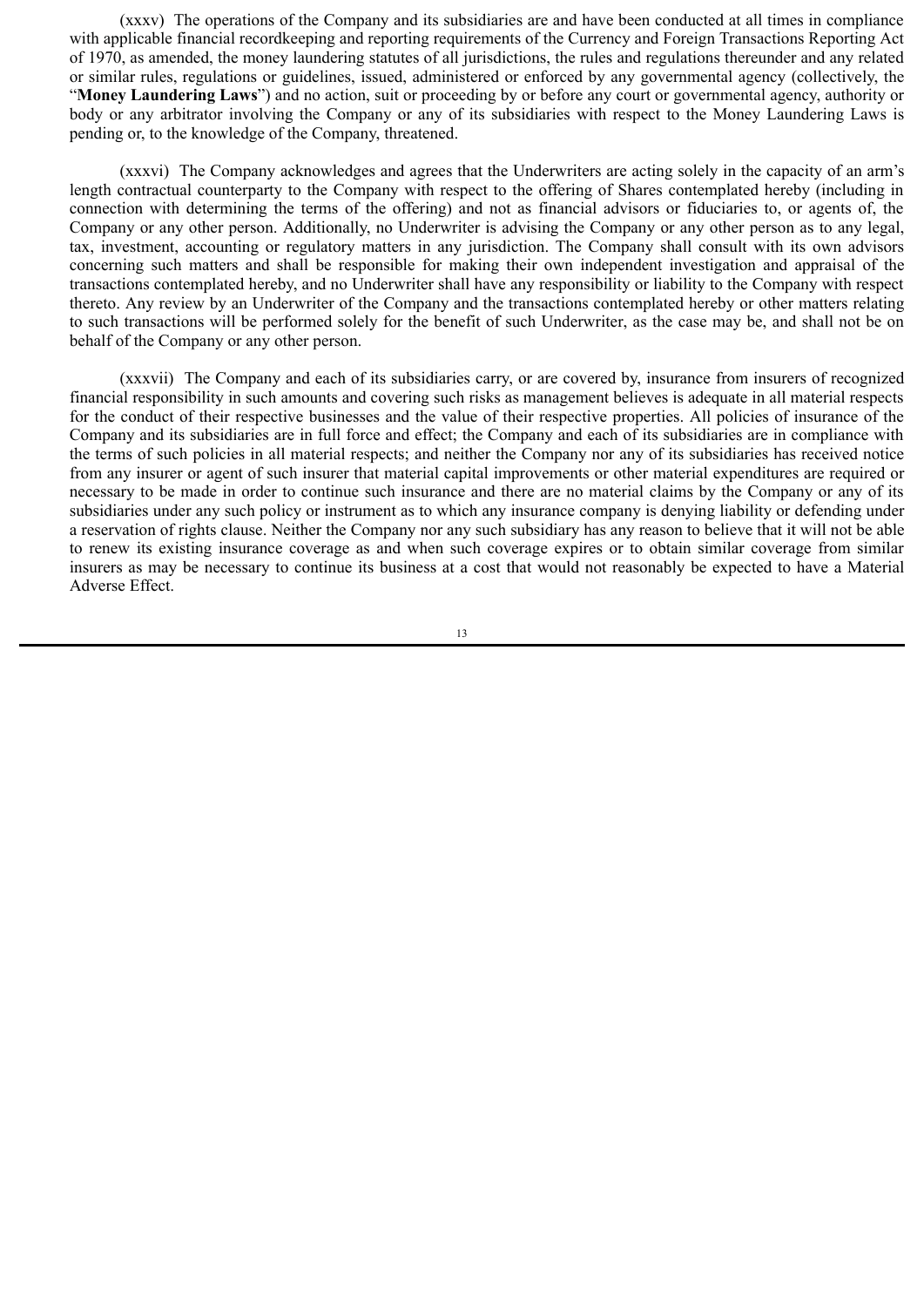(xxxv) The operations of the Company and its subsidiaries are and have been conducted at all times in compliance with applicable financial recordkeeping and reporting requirements of the Currency and Foreign Transactions Reporting Act of 1970, as amended, the money laundering statutes of all jurisdictions, the rules and regulations thereunder and any related or similar rules, regulations or guidelines, issued, administered or enforced by any governmental agency (collectively, the "**Money Laundering Laws**") and no action, suit or proceeding by or before any court or governmental agency, authority or body or any arbitrator involving the Company or any of its subsidiaries with respect to the Money Laundering Laws is pending or, to the knowledge of the Company, threatened.

(xxxvi) The Company acknowledges and agrees that the Underwriters are acting solely in the capacity of an arm's length contractual counterparty to the Company with respect to the offering of Shares contemplated hereby (including in connection with determining the terms of the offering) and not as financial advisors or fiduciaries to, or agents of, the Company or any other person. Additionally, no Underwriter is advising the Company or any other person as to any legal, tax, investment, accounting or regulatory matters in any jurisdiction. The Company shall consult with its own advisors concerning such matters and shall be responsible for making their own independent investigation and appraisal of the transactions contemplated hereby, and no Underwriter shall have any responsibility or liability to the Company with respect thereto. Any review by an Underwriter of the Company and the transactions contemplated hereby or other matters relating to such transactions will be performed solely for the benefit of such Underwriter, as the case may be, and shall not be on behalf of the Company or any other person.

(xxxvii) The Company and each of its subsidiaries carry, or are covered by, insurance from insurers of recognized financial responsibility in such amounts and covering such risks as management believes is adequate in all material respects for the conduct of their respective businesses and the value of their respective properties. All policies of insurance of the Company and its subsidiaries are in full force and effect; the Company and each of its subsidiaries are in compliance with the terms of such policies in all material respects; and neither the Company nor any of its subsidiaries has received notice from any insurer or agent of such insurer that material capital improvements or other material expenditures are required or necessary to be made in order to continue such insurance and there are no material claims by the Company or any of its subsidiaries under any such policy or instrument as to which any insurance company is denying liability or defending under a reservation of rights clause. Neither the Company nor any such subsidiary has any reason to believe that it will not be able to renew its existing insurance coverage as and when such coverage expires or to obtain similar coverage from similar insurers as may be necessary to continue its business at a cost that would not reasonably be expected to have a Material Adverse Effect.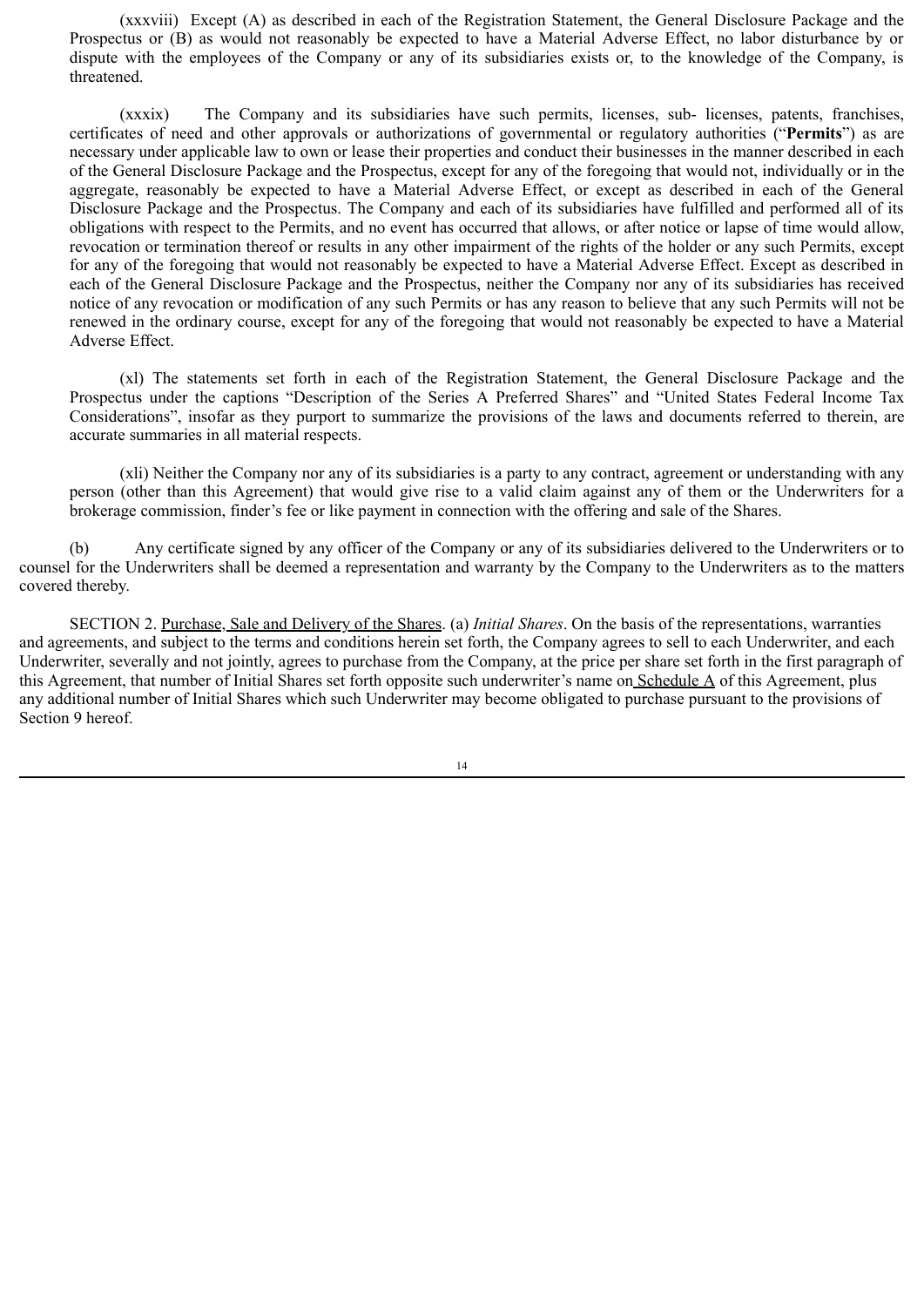(xxxviii) Except (A) as described in each of the Registration Statement, the General Disclosure Package and the Prospectus or (B) as would not reasonably be expected to have a Material Adverse Effect, no labor disturbance by or dispute with the employees of the Company or any of its subsidiaries exists or, to the knowledge of the Company, is threatened.

(xxxix) The Company and its subsidiaries have such permits, licenses, sub- licenses, patents, franchises, certificates of need and other approvals or authorizations of governmental or regulatory authorities ("**Permits**") as are necessary under applicable law to own or lease their properties and conduct their businesses in the manner described in each of the General Disclosure Package and the Prospectus, except for any of the foregoing that would not, individually or in the aggregate, reasonably be expected to have a Material Adverse Effect, or except as described in each of the General Disclosure Package and the Prospectus. The Company and each of its subsidiaries have fulfilled and performed all of its obligations with respect to the Permits, and no event has occurred that allows, or after notice or lapse of time would allow, revocation or termination thereof or results in any other impairment of the rights of the holder or any such Permits, except for any of the foregoing that would not reasonably be expected to have a Material Adverse Effect. Except as described in each of the General Disclosure Package and the Prospectus, neither the Company nor any of its subsidiaries has received notice of any revocation or modification of any such Permits or has any reason to believe that any such Permits will not be renewed in the ordinary course, except for any of the foregoing that would not reasonably be expected to have a Material Adverse Effect.

(xl) The statements set forth in each of the Registration Statement, the General Disclosure Package and the Prospectus under the captions "Description of the Series A Preferred Shares" and "United States Federal Income Tax Considerations", insofar as they purport to summarize the provisions of the laws and documents referred to therein, are accurate summaries in all material respects.

(xli) Neither the Company nor any of its subsidiaries is a party to any contract, agreement or understanding with any person (other than this Agreement) that would give rise to a valid claim against any of them or the Underwriters for a brokerage commission, finder's fee or like payment in connection with the offering and sale of the Shares.

(b) Any certificate signed by any officer of the Company or any of its subsidiaries delivered to the Underwriters or to counsel for the Underwriters shall be deemed a representation and warranty by the Company to the Underwriters as to the matters covered thereby.

SECTION 2. Purchase, Sale and Delivery of the Shares. (a) *Initial Shares*. On the basis of the representations, warranties and agreements, and subject to the terms and conditions herein set forth, the Company agrees to sell to each Underwriter, and each Underwriter, severally and not jointly, agrees to purchase from the Company, at the price per share set forth in the first paragraph of this Agreement, that number of Initial Shares set forth opposite such underwriter's name on Schedule A of this Agreement, plus any additional number of Initial Shares which such Underwriter may become obligated to purchase pursuant to the provisions of Section 9 hereof.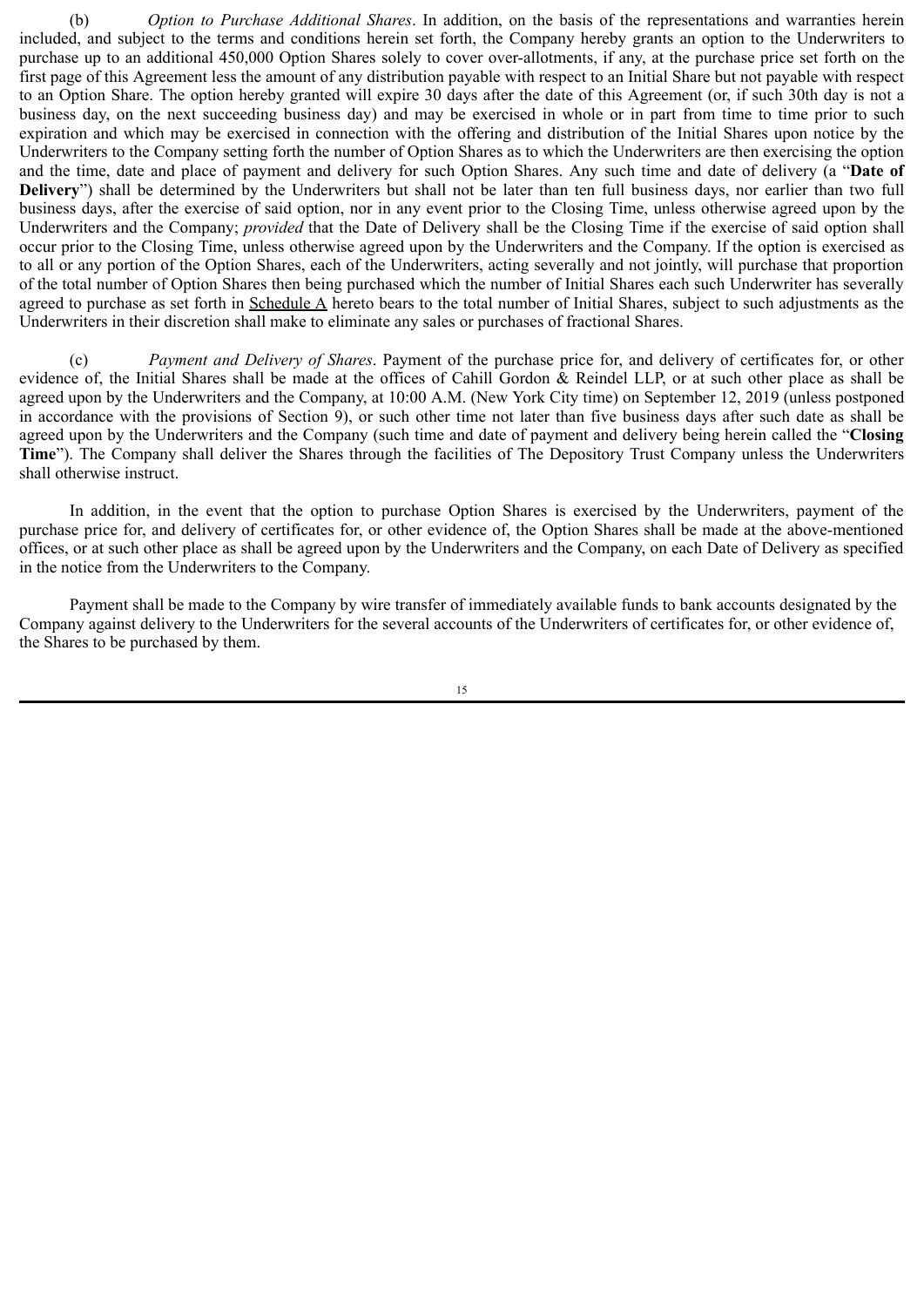(b) *Option to Purchase Additional Shares*. In addition, on the basis of the representations and warranties herein included, and subject to the terms and conditions herein set forth, the Company hereby grants an option to the Underwriters to purchase up to an additional 450,000 Option Shares solely to cover over-allotments, if any, at the purchase price set forth on the first page of this Agreement less the amount of any distribution payable with respect to an Initial Share but not payable with respect to an Option Share. The option hereby granted will expire 30 days after the date of this Agreement (or, if such 30th day is not a business day, on the next succeeding business day) and may be exercised in whole or in part from time to time prior to such expiration and which may be exercised in connection with the offering and distribution of the Initial Shares upon notice by the Underwriters to the Company setting forth the number of Option Shares as to which the Underwriters are then exercising the option and the time, date and place of payment and delivery for such Option Shares. Any such time and date of delivery (a "**Date of Delivery**") shall be determined by the Underwriters but shall not be later than ten full business days, nor earlier than two full business days, after the exercise of said option, nor in any event prior to the Closing Time, unless otherwise agreed upon by the Underwriters and the Company; *provided* that the Date of Delivery shall be the Closing Time if the exercise of said option shall occur prior to the Closing Time, unless otherwise agreed upon by the Underwriters and the Company. If the option is exercised as to all or any portion of the Option Shares, each of the Underwriters, acting severally and not jointly, will purchase that proportion of the total number of Option Shares then being purchased which the number of Initial Shares each such Underwriter has severally agreed to purchase as set forth in Schedule A hereto bears to the total number of Initial Shares, subject to such adjustments as the Underwriters in their discretion shall make to eliminate any sales or purchases of fractional Shares.

(c) *Payment and Delivery of Shares*. Payment of the purchase price for, and delivery of certificates for, or other evidence of, the Initial Shares shall be made at the offices of Cahill Gordon & Reindel LLP, or at such other place as shall be agreed upon by the Underwriters and the Company, at 10:00 A.M. (New York City time) on September 12, 2019 (unless postponed in accordance with the provisions of Section 9), or such other time not later than five business days after such date as shall be agreed upon by the Underwriters and the Company (such time and date of payment and delivery being herein called the "**Closing Time**"). The Company shall deliver the Shares through the facilities of The Depository Trust Company unless the Underwriters shall otherwise instruct.

In addition, in the event that the option to purchase Option Shares is exercised by the Underwriters, payment of the purchase price for, and delivery of certificates for, or other evidence of, the Option Shares shall be made at the above-mentioned offices, or at such other place as shall be agreed upon by the Underwriters and the Company, on each Date of Delivery as specified in the notice from the Underwriters to the Company.

Payment shall be made to the Company by wire transfer of immediately available funds to bank accounts designated by the Company against delivery to the Underwriters for the several accounts of the Underwriters of certificates for, or other evidence of, the Shares to be purchased by them.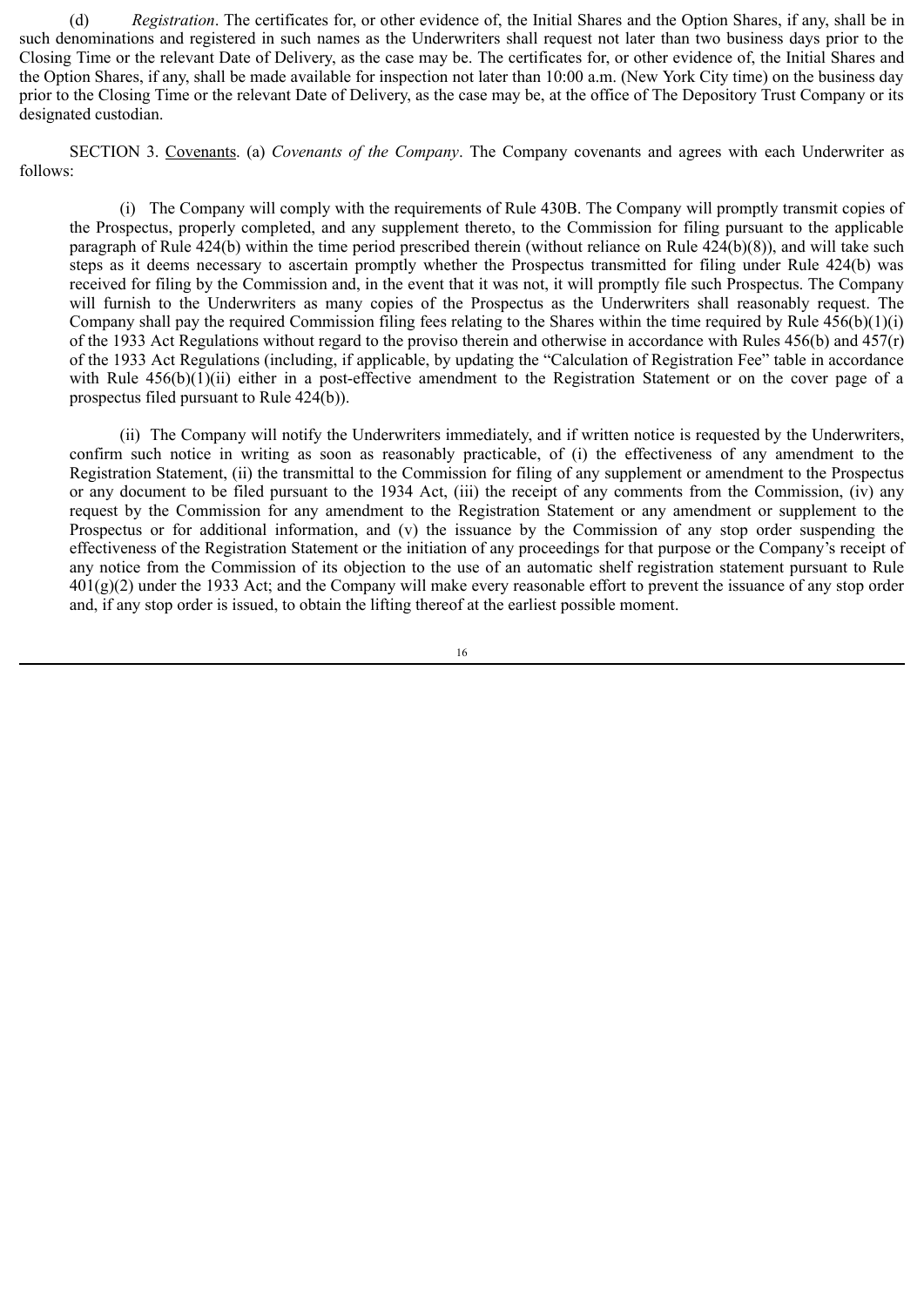(d) *Registration*. The certificates for, or other evidence of, the Initial Shares and the Option Shares, if any, shall be in such denominations and registered in such names as the Underwriters shall request not later than two business days prior to the Closing Time or the relevant Date of Delivery, as the case may be. The certificates for, or other evidence of, the Initial Shares and the Option Shares, if any, shall be made available for inspection not later than 10:00 a.m. (New York City time) on the business day prior to the Closing Time or the relevant Date of Delivery, as the case may be, at the office of The Depository Trust Company or its designated custodian.

SECTION 3. Covenants. (a) *Covenants of the Company*. The Company covenants and agrees with each Underwriter as follows:

(i) The Company will comply with the requirements of Rule 430B. The Company will promptly transmit copies of the Prospectus, properly completed, and any supplement thereto, to the Commission for filing pursuant to the applicable paragraph of Rule 424(b) within the time period prescribed therein (without reliance on Rule 424(b)(8)), and will take such steps as it deems necessary to ascertain promptly whether the Prospectus transmitted for filing under Rule 424(b) was received for filing by the Commission and, in the event that it was not, it will promptly file such Prospectus. The Company will furnish to the Underwriters as many copies of the Prospectus as the Underwriters shall reasonably request. The Company shall pay the required Commission filing fees relating to the Shares within the time required by Rule 456(b)(1)(i) of the 1933 Act Regulations without regard to the proviso therein and otherwise in accordance with Rules 456(b) and 457(r) of the 1933 Act Regulations (including, if applicable, by updating the "Calculation of Registration Fee" table in accordance with Rule 456(b)(1)(ii) either in a post-effective amendment to the Registration Statement or on the cover page of a prospectus filed pursuant to Rule 424(b)).

(ii) The Company will notify the Underwriters immediately, and if written notice is requested by the Underwriters, confirm such notice in writing as soon as reasonably practicable, of (i) the effectiveness of any amendment to the Registration Statement, (ii) the transmittal to the Commission for filing of any supplement or amendment to the Prospectus or any document to be filed pursuant to the 1934 Act, (iii) the receipt of any comments from the Commission, (iv) any request by the Commission for any amendment to the Registration Statement or any amendment or supplement to the Prospectus or for additional information, and (v) the issuance by the Commission of any stop order suspending the effectiveness of the Registration Statement or the initiation of any proceedings for that purpose or the Company's receipt of any notice from the Commission of its objection to the use of an automatic shelf registration statement pursuant to Rule  $401(g)(2)$  under the 1933 Act; and the Company will make every reasonable effort to prevent the issuance of any stop order and, if any stop order is issued, to obtain the lifting thereof at the earliest possible moment.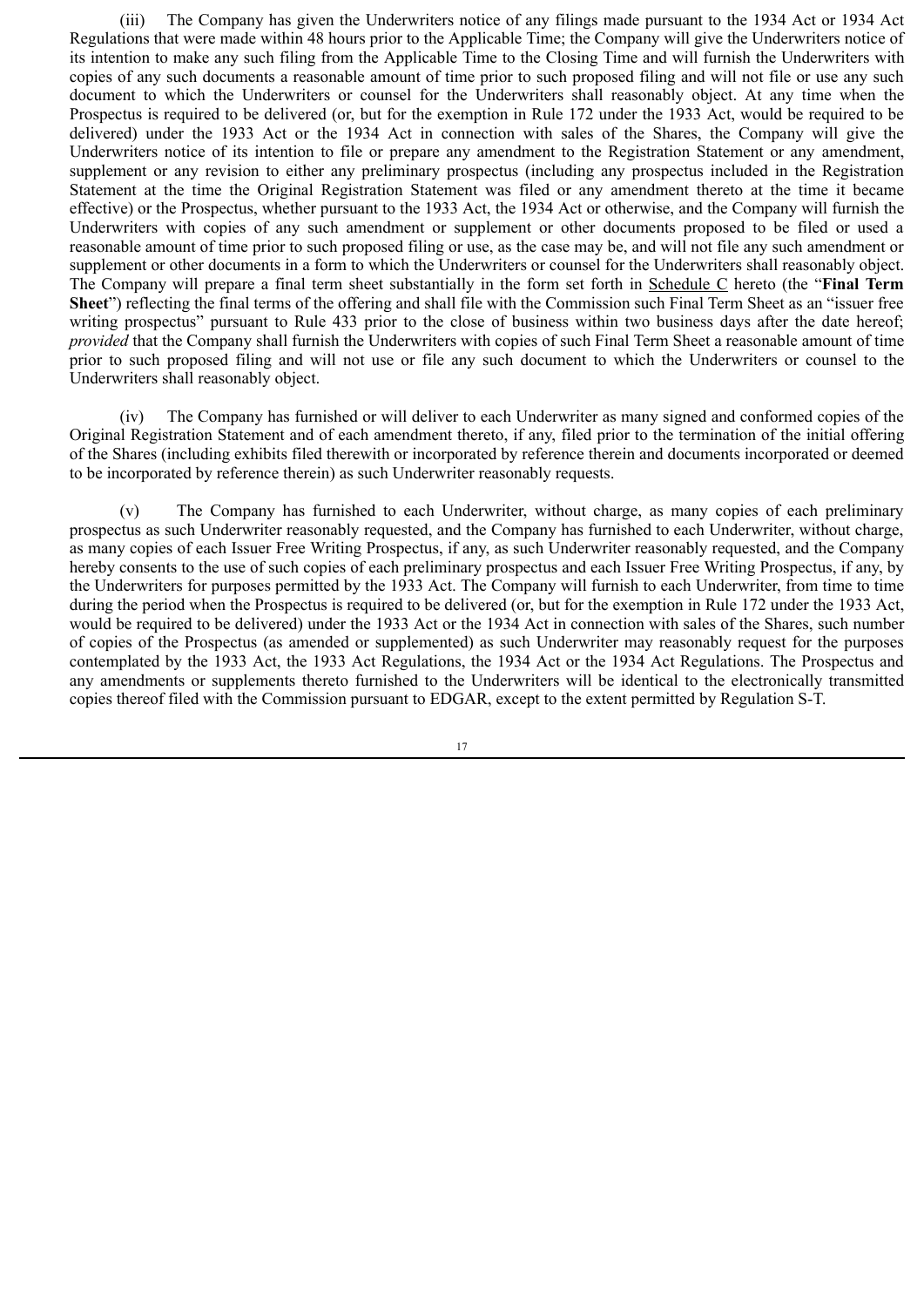(iii) The Company has given the Underwriters notice of any filings made pursuant to the 1934 Act or 1934 Act Regulations that were made within 48 hours prior to the Applicable Time; the Company will give the Underwriters notice of its intention to make any such filing from the Applicable Time to the Closing Time and will furnish the Underwriters with copies of any such documents a reasonable amount of time prior to such proposed filing and will not file or use any such document to which the Underwriters or counsel for the Underwriters shall reasonably object. At any time when the Prospectus is required to be delivered (or, but for the exemption in Rule 172 under the 1933 Act, would be required to be delivered) under the 1933 Act or the 1934 Act in connection with sales of the Shares, the Company will give the Underwriters notice of its intention to file or prepare any amendment to the Registration Statement or any amendment, supplement or any revision to either any preliminary prospectus (including any prospectus included in the Registration Statement at the time the Original Registration Statement was filed or any amendment thereto at the time it became effective) or the Prospectus, whether pursuant to the 1933 Act, the 1934 Act or otherwise, and the Company will furnish the Underwriters with copies of any such amendment or supplement or other documents proposed to be filed or used a reasonable amount of time prior to such proposed filing or use, as the case may be, and will not file any such amendment or supplement or other documents in a form to which the Underwriters or counsel for the Underwriters shall reasonably object. The Company will prepare a final term sheet substantially in the form set forth in Schedule C hereto (the "**Final Term Sheet**") reflecting the final terms of the offering and shall file with the Commission such Final Term Sheet as an "issuer free writing prospectus" pursuant to Rule 433 prior to the close of business within two business days after the date hereof; *provided* that the Company shall furnish the Underwriters with copies of such Final Term Sheet a reasonable amount of time prior to such proposed filing and will not use or file any such document to which the Underwriters or counsel to the Underwriters shall reasonably object.

(iv) The Company has furnished or will deliver to each Underwriter as many signed and conformed copies of the Original Registration Statement and of each amendment thereto, if any, filed prior to the termination of the initial offering of the Shares (including exhibits filed therewith or incorporated by reference therein and documents incorporated or deemed to be incorporated by reference therein) as such Underwriter reasonably requests.

(v) The Company has furnished to each Underwriter, without charge, as many copies of each preliminary prospectus as such Underwriter reasonably requested, and the Company has furnished to each Underwriter, without charge, as many copies of each Issuer Free Writing Prospectus, if any, as such Underwriter reasonably requested, and the Company hereby consents to the use of such copies of each preliminary prospectus and each Issuer Free Writing Prospectus, if any, by the Underwriters for purposes permitted by the 1933 Act. The Company will furnish to each Underwriter, from time to time during the period when the Prospectus is required to be delivered (or, but for the exemption in Rule 172 under the 1933 Act, would be required to be delivered) under the 1933 Act or the 1934 Act in connection with sales of the Shares, such number of copies of the Prospectus (as amended or supplemented) as such Underwriter may reasonably request for the purposes contemplated by the 1933 Act, the 1933 Act Regulations, the 1934 Act or the 1934 Act Regulations. The Prospectus and any amendments or supplements thereto furnished to the Underwriters will be identical to the electronically transmitted copies thereof filed with the Commission pursuant to EDGAR, except to the extent permitted by Regulation S-T.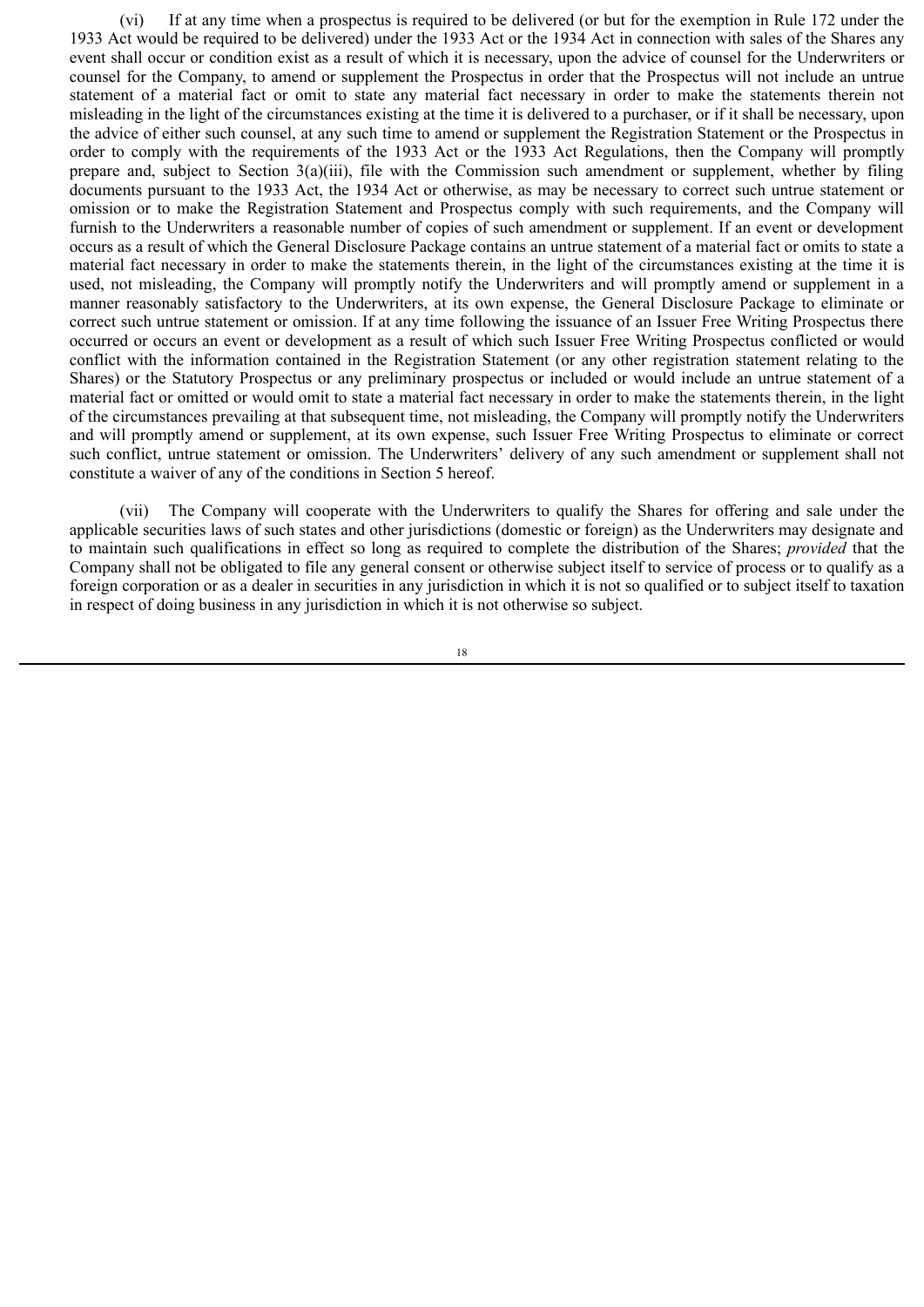(vi) If at any time when a prospectus is required to be delivered (or but for the exemption in Rule 172 under the 1933 Act would be required to be delivered) under the 1933 Act or the 1934 Act in connection with sales of the Shares any event shall occur or condition exist as a result of which it is necessary, upon the advice of counsel for the Underwriters or counsel for the Company, to amend or supplement the Prospectus in order that the Prospectus will not include an untrue statement of a material fact or omit to state any material fact necessary in order to make the statements therein not misleading in the light of the circumstances existing at the time it is delivered to a purchaser, or if it shall be necessary, upon the advice of either such counsel, at any such time to amend or supplement the Registration Statement or the Prospectus in order to comply with the requirements of the 1933 Act or the 1933 Act Regulations, then the Company will promptly prepare and, subject to Section 3(a)(iii), file with the Commission such amendment or supplement, whether by filing documents pursuant to the 1933 Act, the 1934 Act or otherwise, as may be necessary to correct such untrue statement or omission or to make the Registration Statement and Prospectus comply with such requirements, and the Company will furnish to the Underwriters a reasonable number of copies of such amendment or supplement. If an event or development occurs as a result of which the General Disclosure Package contains an untrue statement of a material fact or omits to state a material fact necessary in order to make the statements therein, in the light of the circumstances existing at the time it is used, not misleading, the Company will promptly notify the Underwriters and will promptly amend or supplement in a manner reasonably satisfactory to the Underwriters, at its own expense, the General Disclosure Package to eliminate or correct such untrue statement or omission. If at any time following the issuance of an Issuer Free Writing Prospectus there occurred or occurs an event or development as a result of which such Issuer Free Writing Prospectus conflicted or would conflict with the information contained in the Registration Statement (or any other registration statement relating to the Shares) or the Statutory Prospectus or any preliminary prospectus or included or would include an untrue statement of a material fact or omitted or would omit to state a material fact necessary in order to make the statements therein, in the light of the circumstances prevailing at that subsequent time, not misleading, the Company will promptly notify the Underwriters and will promptly amend or supplement, at its own expense, such Issuer Free Writing Prospectus to eliminate or correct such conflict, untrue statement or omission. The Underwriters' delivery of any such amendment or supplement shall not constitute a waiver of any of the conditions in Section 5 hereof.

(vii) The Company will cooperate with the Underwriters to qualify the Shares for offering and sale under the applicable securities laws of such states and other jurisdictions (domestic or foreign) as the Underwriters may designate and to maintain such qualifications in effect so long as required to complete the distribution of the Shares; *provided* that the Company shall not be obligated to file any general consent or otherwise subject itself to service of process or to qualify as a foreign corporation or as a dealer in securities in any jurisdiction in which it is not so qualified or to subject itself to taxation in respect of doing business in any jurisdiction in which it is not otherwise so subject.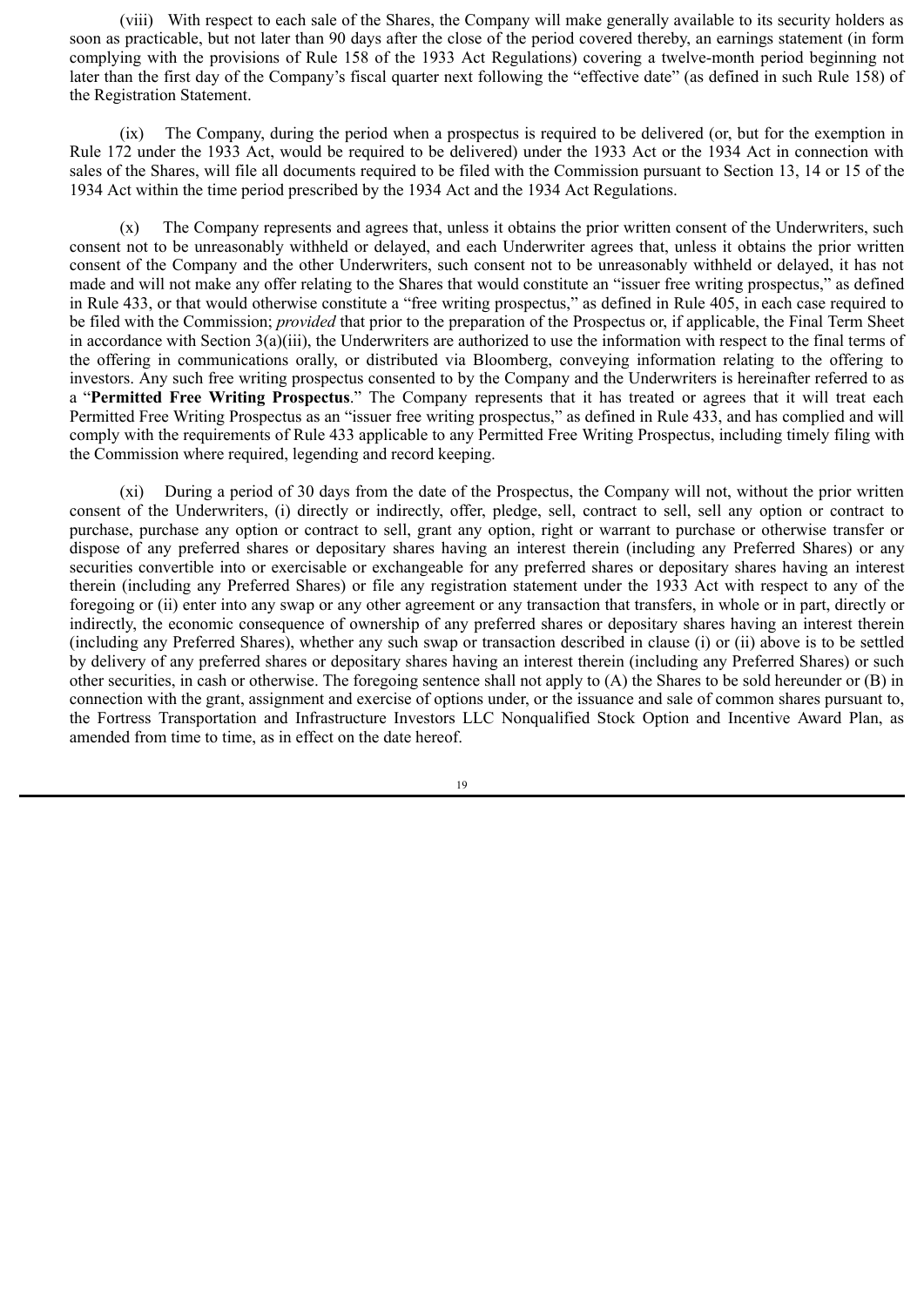(viii) With respect to each sale of the Shares, the Company will make generally available to its security holders as soon as practicable, but not later than 90 days after the close of the period covered thereby, an earnings statement (in form complying with the provisions of Rule 158 of the 1933 Act Regulations) covering a twelve-month period beginning not later than the first day of the Company's fiscal quarter next following the "effective date" (as defined in such Rule 158) of the Registration Statement.

(ix) The Company, during the period when a prospectus is required to be delivered (or, but for the exemption in Rule 172 under the 1933 Act, would be required to be delivered) under the 1933 Act or the 1934 Act in connection with sales of the Shares, will file all documents required to be filed with the Commission pursuant to Section 13, 14 or 15 of the 1934 Act within the time period prescribed by the 1934 Act and the 1934 Act Regulations.

(x) The Company represents and agrees that, unless it obtains the prior written consent of the Underwriters, such consent not to be unreasonably withheld or delayed, and each Underwriter agrees that, unless it obtains the prior written consent of the Company and the other Underwriters, such consent not to be unreasonably withheld or delayed, it has not made and will not make any offer relating to the Shares that would constitute an "issuer free writing prospectus," as defined in Rule 433, or that would otherwise constitute a "free writing prospectus," as defined in Rule 405, in each case required to be filed with the Commission; *provided* that prior to the preparation of the Prospectus or, if applicable, the Final Term Sheet in accordance with Section 3(a)(iii), the Underwriters are authorized to use the information with respect to the final terms of the offering in communications orally, or distributed via Bloomberg, conveying information relating to the offering to investors. Any such free writing prospectus consented to by the Company and the Underwriters is hereinafter referred to as a "**Permitted Free Writing Prospectus**." The Company represents that it has treated or agrees that it will treat each Permitted Free Writing Prospectus as an "issuer free writing prospectus," as defined in Rule 433, and has complied and will comply with the requirements of Rule 433 applicable to any Permitted Free Writing Prospectus, including timely filing with the Commission where required, legending and record keeping.

(xi) During a period of 30 days from the date of the Prospectus, the Company will not, without the prior written consent of the Underwriters, (i) directly or indirectly, offer, pledge, sell, contract to sell, sell any option or contract to purchase, purchase any option or contract to sell, grant any option, right or warrant to purchase or otherwise transfer or dispose of any preferred shares or depositary shares having an interest therein (including any Preferred Shares) or any securities convertible into or exercisable or exchangeable for any preferred shares or depositary shares having an interest therein (including any Preferred Shares) or file any registration statement under the 1933 Act with respect to any of the foregoing or (ii) enter into any swap or any other agreement or any transaction that transfers, in whole or in part, directly or indirectly, the economic consequence of ownership of any preferred shares or depositary shares having an interest therein (including any Preferred Shares), whether any such swap or transaction described in clause (i) or (ii) above is to be settled by delivery of any preferred shares or depositary shares having an interest therein (including any Preferred Shares) or such other securities, in cash or otherwise. The foregoing sentence shall not apply to (A) the Shares to be sold hereunder or (B) in connection with the grant, assignment and exercise of options under, or the issuance and sale of common shares pursuant to, the Fortress Transportation and Infrastructure Investors LLC Nonqualified Stock Option and Incentive Award Plan, as amended from time to time, as in effect on the date hereof.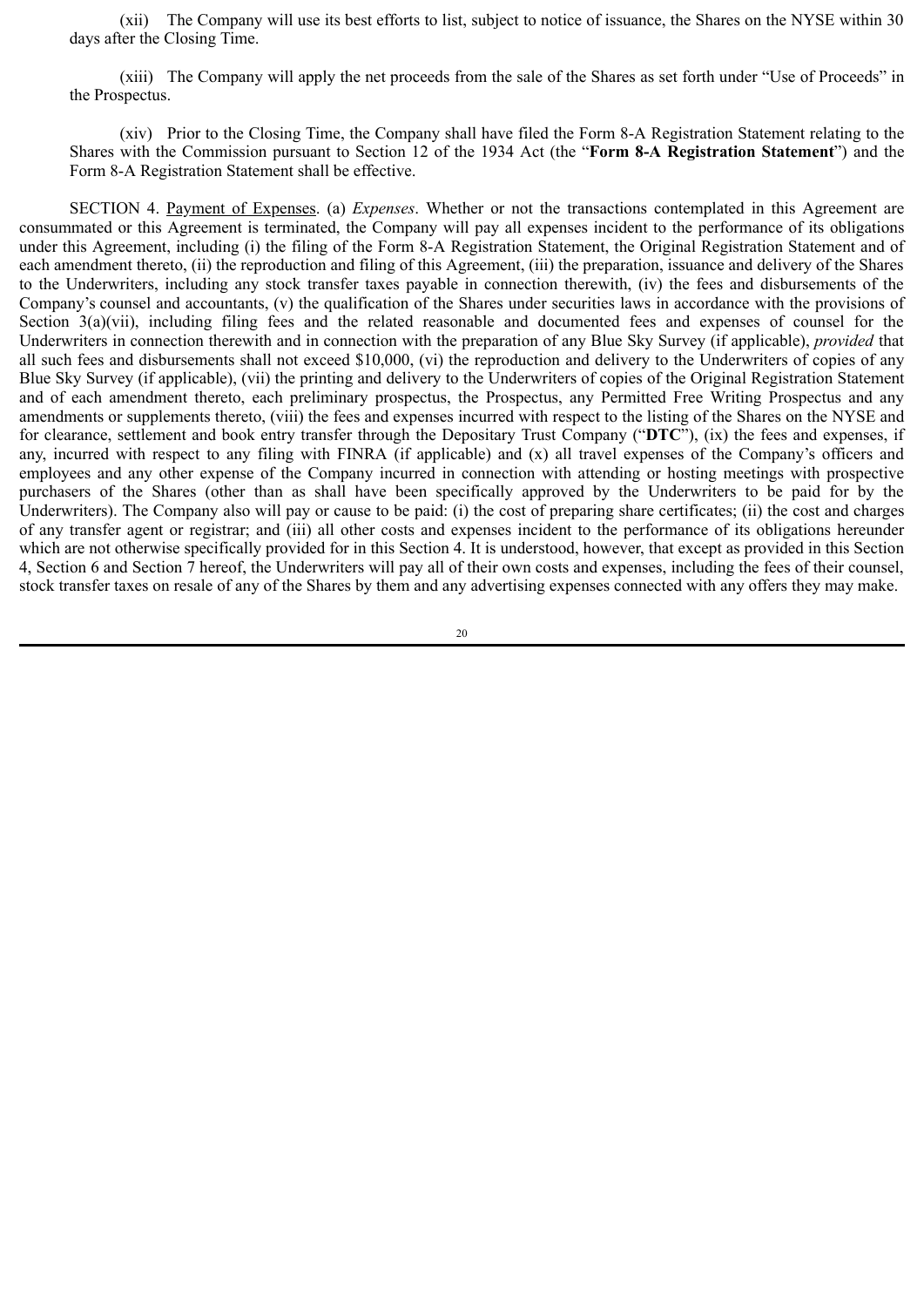(xii) The Company will use its best efforts to list, subject to notice of issuance, the Shares on the NYSE within 30 days after the Closing Time.

(xiii) The Company will apply the net proceeds from the sale of the Shares as set forth under "Use of Proceeds" in the Prospectus.

(xiv) Prior to the Closing Time, the Company shall have filed the Form 8-A Registration Statement relating to the Shares with the Commission pursuant to Section 12 of the 1934 Act (the "**Form 8-A Registration Statement**") and the Form 8-A Registration Statement shall be effective.

SECTION 4. Payment of Expenses. (a) *Expenses*. Whether or not the transactions contemplated in this Agreement are consummated or this Agreement is terminated, the Company will pay all expenses incident to the performance of its obligations under this Agreement, including (i) the filing of the Form 8-A Registration Statement, the Original Registration Statement and of each amendment thereto, (ii) the reproduction and filing of this Agreement, (iii) the preparation, issuance and delivery of the Shares to the Underwriters, including any stock transfer taxes payable in connection therewith, (iv) the fees and disbursements of the Company's counsel and accountants, (v) the qualification of the Shares under securities laws in accordance with the provisions of Section 3(a)(vii), including filing fees and the related reasonable and documented fees and expenses of counsel for the Underwriters in connection therewith and in connection with the preparation of any Blue Sky Survey (if applicable), *provided* that all such fees and disbursements shall not exceed \$10,000, (vi) the reproduction and delivery to the Underwriters of copies of any Blue Sky Survey (if applicable), (vii) the printing and delivery to the Underwriters of copies of the Original Registration Statement and of each amendment thereto, each preliminary prospectus, the Prospectus, any Permitted Free Writing Prospectus and any amendments or supplements thereto, (viii) the fees and expenses incurred with respect to the listing of the Shares on the NYSE and for clearance, settlement and book entry transfer through the Depositary Trust Company ("**DTC**"), (ix) the fees and expenses, if any, incurred with respect to any filing with FINRA (if applicable) and (x) all travel expenses of the Company's officers and employees and any other expense of the Company incurred in connection with attending or hosting meetings with prospective purchasers of the Shares (other than as shall have been specifically approved by the Underwriters to be paid for by the Underwriters). The Company also will pay or cause to be paid: (i) the cost of preparing share certificates; (ii) the cost and charges of any transfer agent or registrar; and (iii) all other costs and expenses incident to the performance of its obligations hereunder which are not otherwise specifically provided for in this Section 4. It is understood, however, that except as provided in this Section 4, Section 6 and Section 7 hereof, the Underwriters will pay all of their own costs and expenses, including the fees of their counsel, stock transfer taxes on resale of any of the Shares by them and any advertising expenses connected with any offers they may make.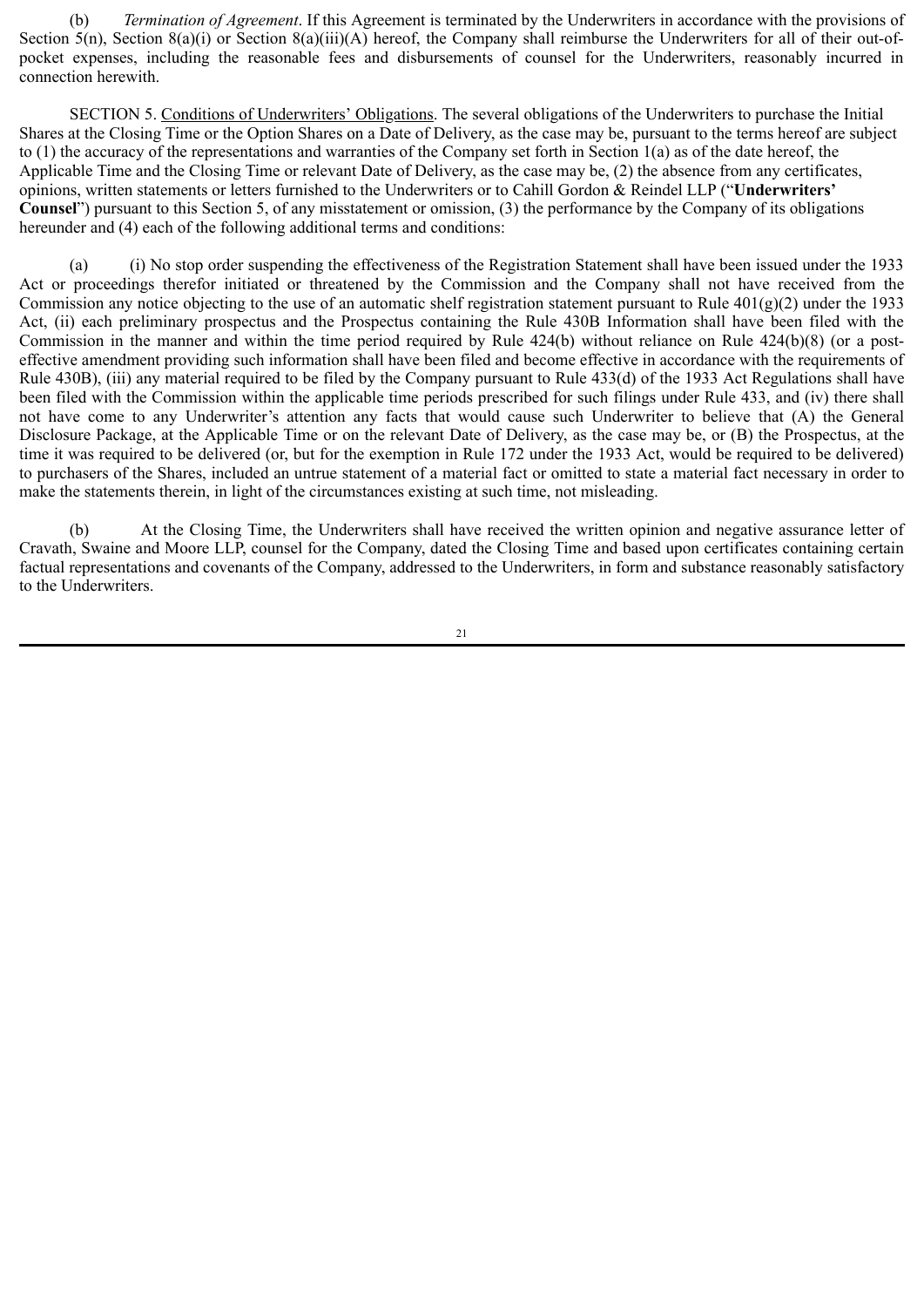(b) *Termination of Agreement*. If this Agreement is terminated by the Underwriters in accordance with the provisions of Section  $5(n)$ , Section  $8(a)(i)$  or Section  $8(a)(iii)(A)$  hereof, the Company shall reimburse the Underwriters for all of their out-ofpocket expenses, including the reasonable fees and disbursements of counsel for the Underwriters, reasonably incurred in connection herewith.

SECTION 5. Conditions of Underwriters' Obligations. The several obligations of the Underwriters to purchase the Initial Shares at the Closing Time or the Option Shares on a Date of Delivery, as the case may be, pursuant to the terms hereof are subject to (1) the accuracy of the representations and warranties of the Company set forth in Section 1(a) as of the date hereof, the Applicable Time and the Closing Time or relevant Date of Delivery, as the case may be, (2) the absence from any certificates, opinions, written statements or letters furnished to the Underwriters or to Cahill Gordon & Reindel LLP ("**Underwriters' Counsel**") pursuant to this Section 5, of any misstatement or omission, (3) the performance by the Company of its obligations hereunder and (4) each of the following additional terms and conditions:

(a) (i) No stop order suspending the effectiveness of the Registration Statement shall have been issued under the 1933 Act or proceedings therefor initiated or threatened by the Commission and the Company shall not have received from the Commission any notice objecting to the use of an automatic shelf registration statement pursuant to Rule  $401(g)(2)$  under the 1933 Act, (ii) each preliminary prospectus and the Prospectus containing the Rule 430B Information shall have been filed with the Commission in the manner and within the time period required by Rule 424(b) without reliance on Rule 424(b)(8) (or a posteffective amendment providing such information shall have been filed and become effective in accordance with the requirements of Rule 430B), (iii) any material required to be filed by the Company pursuant to Rule 433(d) of the 1933 Act Regulations shall have been filed with the Commission within the applicable time periods prescribed for such filings under Rule 433, and (iv) there shall not have come to any Underwriter's attention any facts that would cause such Underwriter to believe that (A) the General Disclosure Package, at the Applicable Time or on the relevant Date of Delivery, as the case may be, or (B) the Prospectus, at the time it was required to be delivered (or, but for the exemption in Rule 172 under the 1933 Act, would be required to be delivered) to purchasers of the Shares, included an untrue statement of a material fact or omitted to state a material fact necessary in order to make the statements therein, in light of the circumstances existing at such time, not misleading.

(b) At the Closing Time, the Underwriters shall have received the written opinion and negative assurance letter of Cravath, Swaine and Moore LLP, counsel for the Company, dated the Closing Time and based upon certificates containing certain factual representations and covenants of the Company, addressed to the Underwriters, in form and substance reasonably satisfactory to the Underwriters.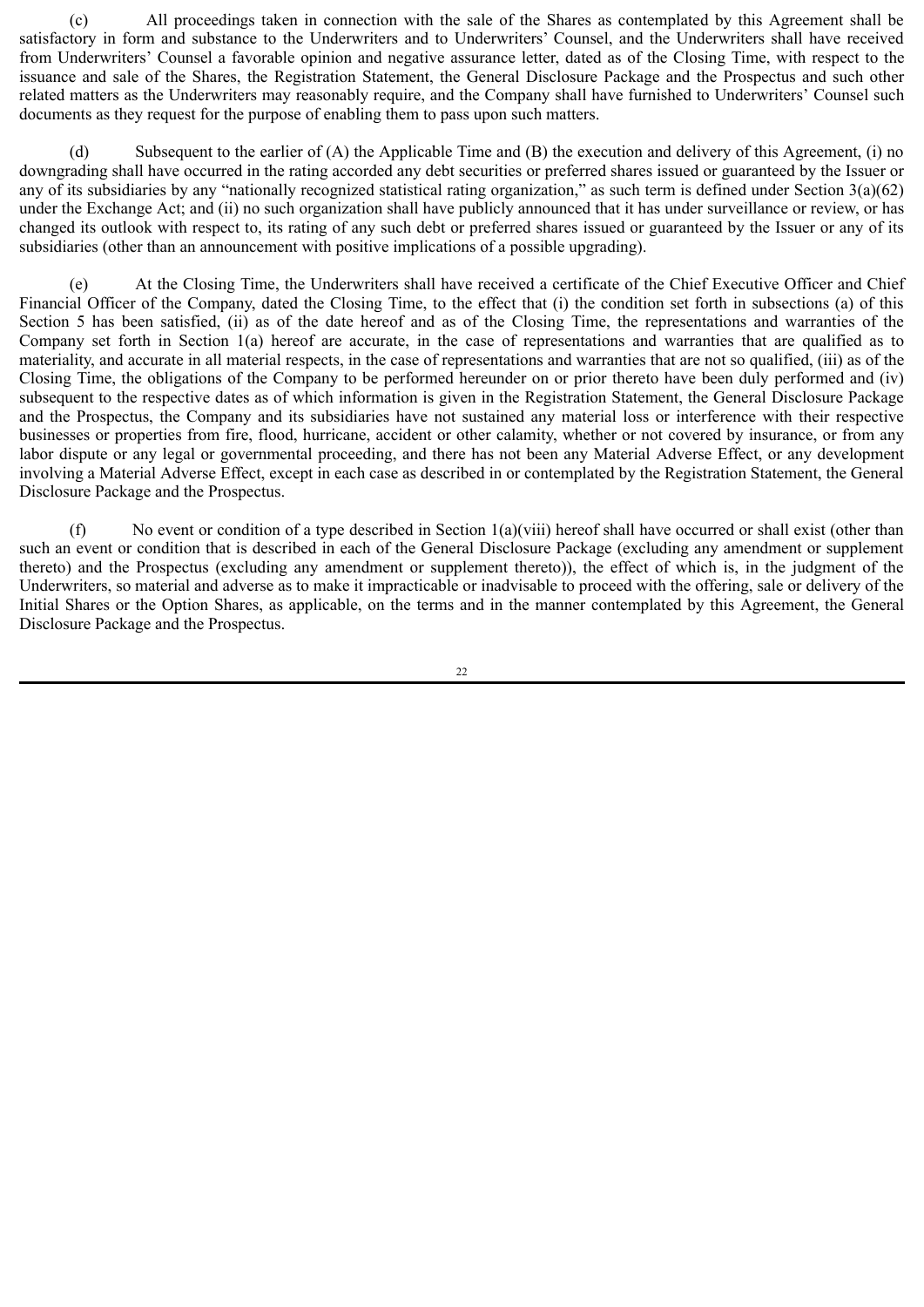(c) All proceedings taken in connection with the sale of the Shares as contemplated by this Agreement shall be satisfactory in form and substance to the Underwriters and to Underwriters' Counsel, and the Underwriters shall have received from Underwriters' Counsel a favorable opinion and negative assurance letter, dated as of the Closing Time, with respect to the issuance and sale of the Shares, the Registration Statement, the General Disclosure Package and the Prospectus and such other related matters as the Underwriters may reasonably require, and the Company shall have furnished to Underwriters' Counsel such documents as they request for the purpose of enabling them to pass upon such matters.

(d) Subsequent to the earlier of (A) the Applicable Time and (B) the execution and delivery of this Agreement, (i) no downgrading shall have occurred in the rating accorded any debt securities or preferred shares issued or guaranteed by the Issuer or any of its subsidiaries by any "nationally recognized statistical rating organization," as such term is defined under Section 3(a)(62) under the Exchange Act; and (ii) no such organization shall have publicly announced that it has under surveillance or review, or has changed its outlook with respect to, its rating of any such debt or preferred shares issued or guaranteed by the Issuer or any of its subsidiaries (other than an announcement with positive implications of a possible upgrading).

(e) At the Closing Time, the Underwriters shall have received a certificate of the Chief Executive Officer and Chief Financial Officer of the Company, dated the Closing Time, to the effect that (i) the condition set forth in subsections (a) of this Section 5 has been satisfied, (ii) as of the date hereof and as of the Closing Time, the representations and warranties of the Company set forth in Section 1(a) hereof are accurate, in the case of representations and warranties that are qualified as to materiality, and accurate in all material respects, in the case of representations and warranties that are not so qualified, (iii) as of the Closing Time, the obligations of the Company to be performed hereunder on or prior thereto have been duly performed and (iv) subsequent to the respective dates as of which information is given in the Registration Statement, the General Disclosure Package and the Prospectus, the Company and its subsidiaries have not sustained any material loss or interference with their respective businesses or properties from fire, flood, hurricane, accident or other calamity, whether or not covered by insurance, or from any labor dispute or any legal or governmental proceeding, and there has not been any Material Adverse Effect, or any development involving a Material Adverse Effect, except in each case as described in or contemplated by the Registration Statement, the General Disclosure Package and the Prospectus.

(f) No event or condition of a type described in Section  $1(a)(viii)$  hereof shall have occurred or shall exist (other than such an event or condition that is described in each of the General Disclosure Package (excluding any amendment or supplement thereto) and the Prospectus (excluding any amendment or supplement thereto)), the effect of which is, in the judgment of the Underwriters, so material and adverse as to make it impracticable or inadvisable to proceed with the offering, sale or delivery of the Initial Shares or the Option Shares, as applicable, on the terms and in the manner contemplated by this Agreement, the General Disclosure Package and the Prospectus.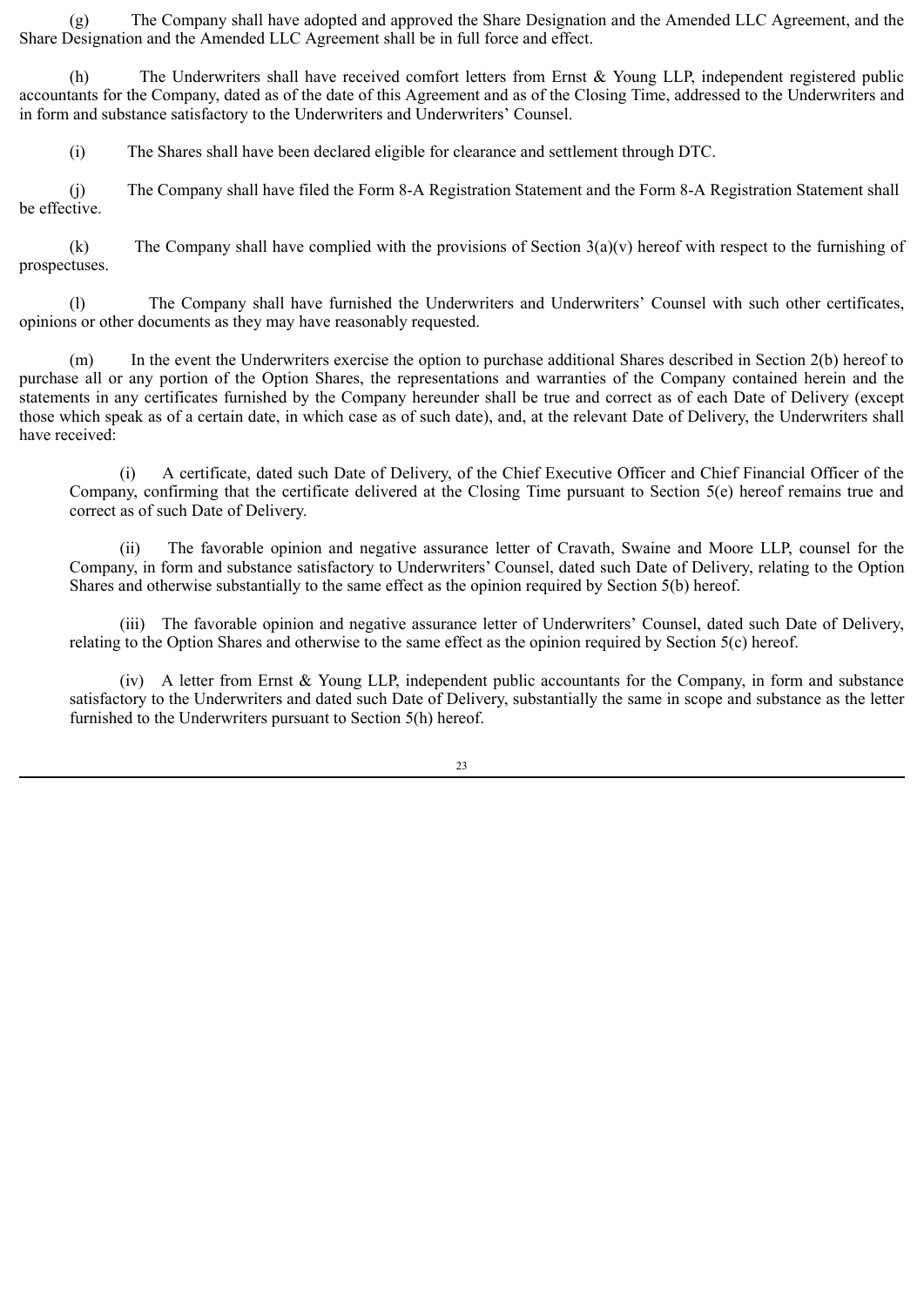(g) The Company shall have adopted and approved the Share Designation and the Amended LLC Agreement, and the Share Designation and the Amended LLC Agreement shall be in full force and effect.

(h) The Underwriters shall have received comfort letters from Ernst & Young LLP, independent registered public accountants for the Company, dated as of the date of this Agreement and as of the Closing Time, addressed to the Underwriters and in form and substance satisfactory to the Underwriters and Underwriters' Counsel.

(i) The Shares shall have been declared eligible for clearance and settlement through DTC.

(j) The Company shall have filed the Form 8-A Registration Statement and the Form 8-A Registration Statement shall be effective.

(k) The Company shall have complied with the provisions of Section  $3(a)(v)$  hereof with respect to the furnishing of prospectuses.

(l) The Company shall have furnished the Underwriters and Underwriters' Counsel with such other certificates, opinions or other documents as they may have reasonably requested.

(m) In the event the Underwriters exercise the option to purchase additional Shares described in Section 2(b) hereof to purchase all or any portion of the Option Shares, the representations and warranties of the Company contained herein and the statements in any certificates furnished by the Company hereunder shall be true and correct as of each Date of Delivery (except those which speak as of a certain date, in which case as of such date), and, at the relevant Date of Delivery, the Underwriters shall have received:

(i) A certificate, dated such Date of Delivery, of the Chief Executive Officer and Chief Financial Officer of the Company, confirming that the certificate delivered at the Closing Time pursuant to Section 5(e) hereof remains true and correct as of such Date of Delivery.

(ii) The favorable opinion and negative assurance letter of Cravath, Swaine and Moore LLP, counsel for the Company, in form and substance satisfactory to Underwriters' Counsel, dated such Date of Delivery, relating to the Option Shares and otherwise substantially to the same effect as the opinion required by Section 5(b) hereof.

(iii) The favorable opinion and negative assurance letter of Underwriters' Counsel, dated such Date of Delivery, relating to the Option Shares and otherwise to the same effect as the opinion required by Section 5(c) hereof.

(iv) A letter from Ernst & Young LLP, independent public accountants for the Company, in form and substance satisfactory to the Underwriters and dated such Date of Delivery, substantially the same in scope and substance as the letter furnished to the Underwriters pursuant to Section 5(h) hereof.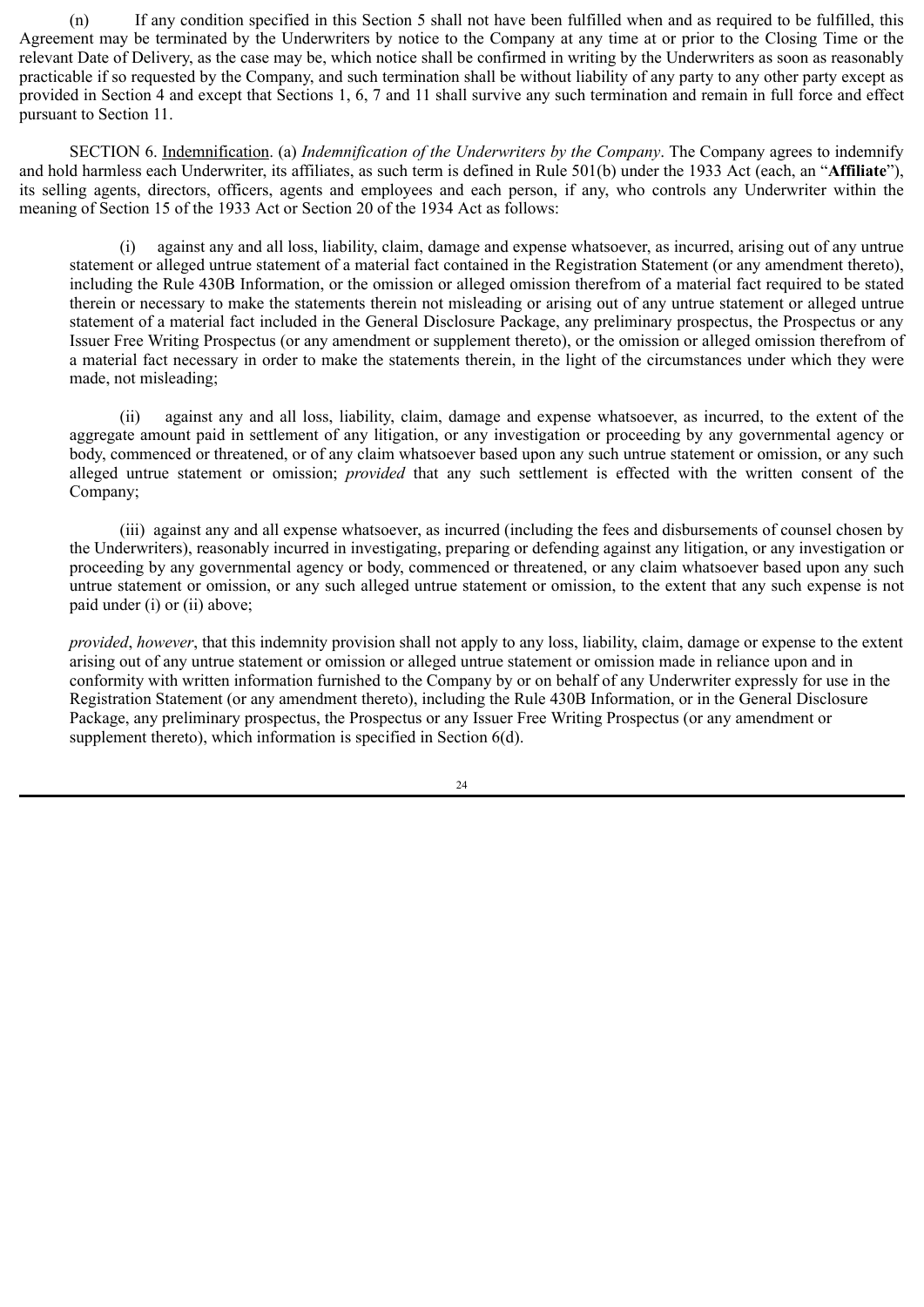(n) If any condition specified in this Section 5 shall not have been fulfilled when and as required to be fulfilled, this Agreement may be terminated by the Underwriters by notice to the Company at any time at or prior to the Closing Time or the relevant Date of Delivery, as the case may be, which notice shall be confirmed in writing by the Underwriters as soon as reasonably practicable if so requested by the Company, and such termination shall be without liability of any party to any other party except as provided in Section 4 and except that Sections 1, 6, 7 and 11 shall survive any such termination and remain in full force and effect pursuant to Section 11.

SECTION 6. Indemnification. (a) *Indemnification of the Underwriters by the Company*. The Company agrees to indemnify and hold harmless each Underwriter, its affiliates, as such term is defined in Rule 501(b) under the 1933 Act (each, an "**Affiliate**"), its selling agents, directors, officers, agents and employees and each person, if any, who controls any Underwriter within the meaning of Section 15 of the 1933 Act or Section 20 of the 1934 Act as follows:

(i) against any and all loss, liability, claim, damage and expense whatsoever, as incurred, arising out of any untrue statement or alleged untrue statement of a material fact contained in the Registration Statement (or any amendment thereto), including the Rule 430B Information, or the omission or alleged omission therefrom of a material fact required to be stated therein or necessary to make the statements therein not misleading or arising out of any untrue statement or alleged untrue statement of a material fact included in the General Disclosure Package, any preliminary prospectus, the Prospectus or any Issuer Free Writing Prospectus (or any amendment or supplement thereto), or the omission or alleged omission therefrom of a material fact necessary in order to make the statements therein, in the light of the circumstances under which they were made, not misleading;

(ii) against any and all loss, liability, claim, damage and expense whatsoever, as incurred, to the extent of the aggregate amount paid in settlement of any litigation, or any investigation or proceeding by any governmental agency or body, commenced or threatened, or of any claim whatsoever based upon any such untrue statement or omission, or any such alleged untrue statement or omission; *provided* that any such settlement is effected with the written consent of the Company;

(iii) against any and all expense whatsoever, as incurred (including the fees and disbursements of counsel chosen by the Underwriters), reasonably incurred in investigating, preparing or defending against any litigation, or any investigation or proceeding by any governmental agency or body, commenced or threatened, or any claim whatsoever based upon any such untrue statement or omission, or any such alleged untrue statement or omission, to the extent that any such expense is not paid under (i) or (ii) above;

*provided*, *however*, that this indemnity provision shall not apply to any loss, liability, claim, damage or expense to the extent arising out of any untrue statement or omission or alleged untrue statement or omission made in reliance upon and in conformity with written information furnished to the Company by or on behalf of any Underwriter expressly for use in the Registration Statement (or any amendment thereto), including the Rule 430B Information, or in the General Disclosure Package, any preliminary prospectus, the Prospectus or any Issuer Free Writing Prospectus (or any amendment or supplement thereto), which information is specified in Section 6(d).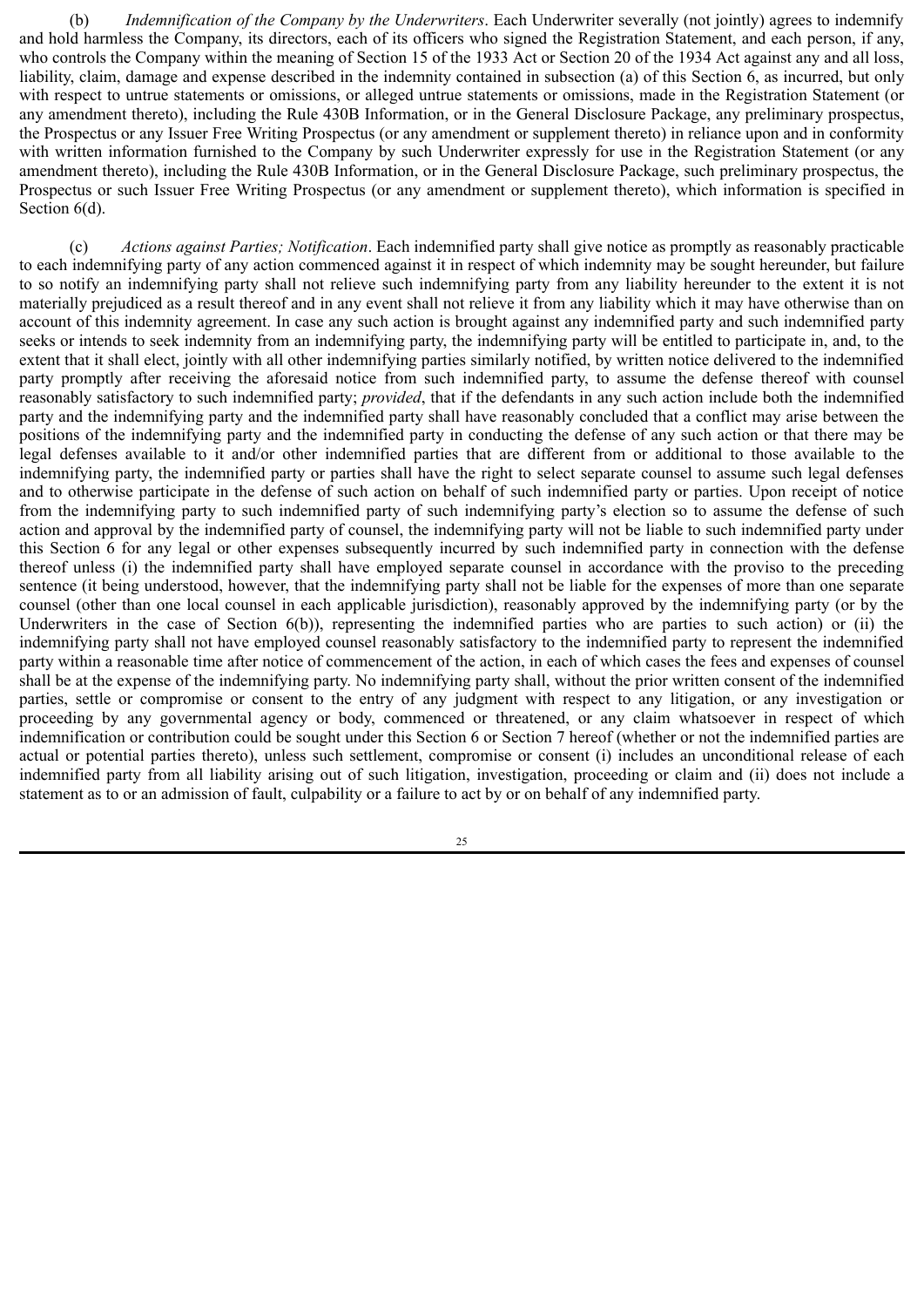(b) *Indemnification of the Company by the Underwriters*. Each Underwriter severally (not jointly) agrees to indemnify and hold harmless the Company, its directors, each of its officers who signed the Registration Statement, and each person, if any, who controls the Company within the meaning of Section 15 of the 1933 Act or Section 20 of the 1934 Act against any and all loss, liability, claim, damage and expense described in the indemnity contained in subsection (a) of this Section 6, as incurred, but only with respect to untrue statements or omissions, or alleged untrue statements or omissions, made in the Registration Statement (or any amendment thereto), including the Rule 430B Information, or in the General Disclosure Package, any preliminary prospectus, the Prospectus or any Issuer Free Writing Prospectus (or any amendment or supplement thereto) in reliance upon and in conformity with written information furnished to the Company by such Underwriter expressly for use in the Registration Statement (or any amendment thereto), including the Rule 430B Information, or in the General Disclosure Package, such preliminary prospectus, the Prospectus or such Issuer Free Writing Prospectus (or any amendment or supplement thereto), which information is specified in Section  $6(d)$ .

(c) *Actions against Parties; Notification*. Each indemnified party shall give notice as promptly as reasonably practicable to each indemnifying party of any action commenced against it in respect of which indemnity may be sought hereunder, but failure to so notify an indemnifying party shall not relieve such indemnifying party from any liability hereunder to the extent it is not materially prejudiced as a result thereof and in any event shall not relieve it from any liability which it may have otherwise than on account of this indemnity agreement. In case any such action is brought against any indemnified party and such indemnified party seeks or intends to seek indemnity from an indemnifying party, the indemnifying party will be entitled to participate in, and, to the extent that it shall elect, jointly with all other indemnifying parties similarly notified, by written notice delivered to the indemnified party promptly after receiving the aforesaid notice from such indemnified party, to assume the defense thereof with counsel reasonably satisfactory to such indemnified party; *provided*, that if the defendants in any such action include both the indemnified party and the indemnifying party and the indemnified party shall have reasonably concluded that a conflict may arise between the positions of the indemnifying party and the indemnified party in conducting the defense of any such action or that there may be legal defenses available to it and/or other indemnified parties that are different from or additional to those available to the indemnifying party, the indemnified party or parties shall have the right to select separate counsel to assume such legal defenses and to otherwise participate in the defense of such action on behalf of such indemnified party or parties. Upon receipt of notice from the indemnifying party to such indemnified party of such indemnifying party's election so to assume the defense of such action and approval by the indemnified party of counsel, the indemnifying party will not be liable to such indemnified party under this Section 6 for any legal or other expenses subsequently incurred by such indemnified party in connection with the defense thereof unless (i) the indemnified party shall have employed separate counsel in accordance with the proviso to the preceding sentence (it being understood, however, that the indemnifying party shall not be liable for the expenses of more than one separate counsel (other than one local counsel in each applicable jurisdiction), reasonably approved by the indemnifying party (or by the Underwriters in the case of Section 6(b)), representing the indemnified parties who are parties to such action) or (ii) the indemnifying party shall not have employed counsel reasonably satisfactory to the indemnified party to represent the indemnified party within a reasonable time after notice of commencement of the action, in each of which cases the fees and expenses of counsel shall be at the expense of the indemnifying party. No indemnifying party shall, without the prior written consent of the indemnified parties, settle or compromise or consent to the entry of any judgment with respect to any litigation, or any investigation or proceeding by any governmental agency or body, commenced or threatened, or any claim whatsoever in respect of which indemnification or contribution could be sought under this Section 6 or Section 7 hereof (whether or not the indemnified parties are actual or potential parties thereto), unless such settlement, compromise or consent (i) includes an unconditional release of each indemnified party from all liability arising out of such litigation, investigation, proceeding or claim and (ii) does not include a statement as to or an admission of fault, culpability or a failure to act by or on behalf of any indemnified party.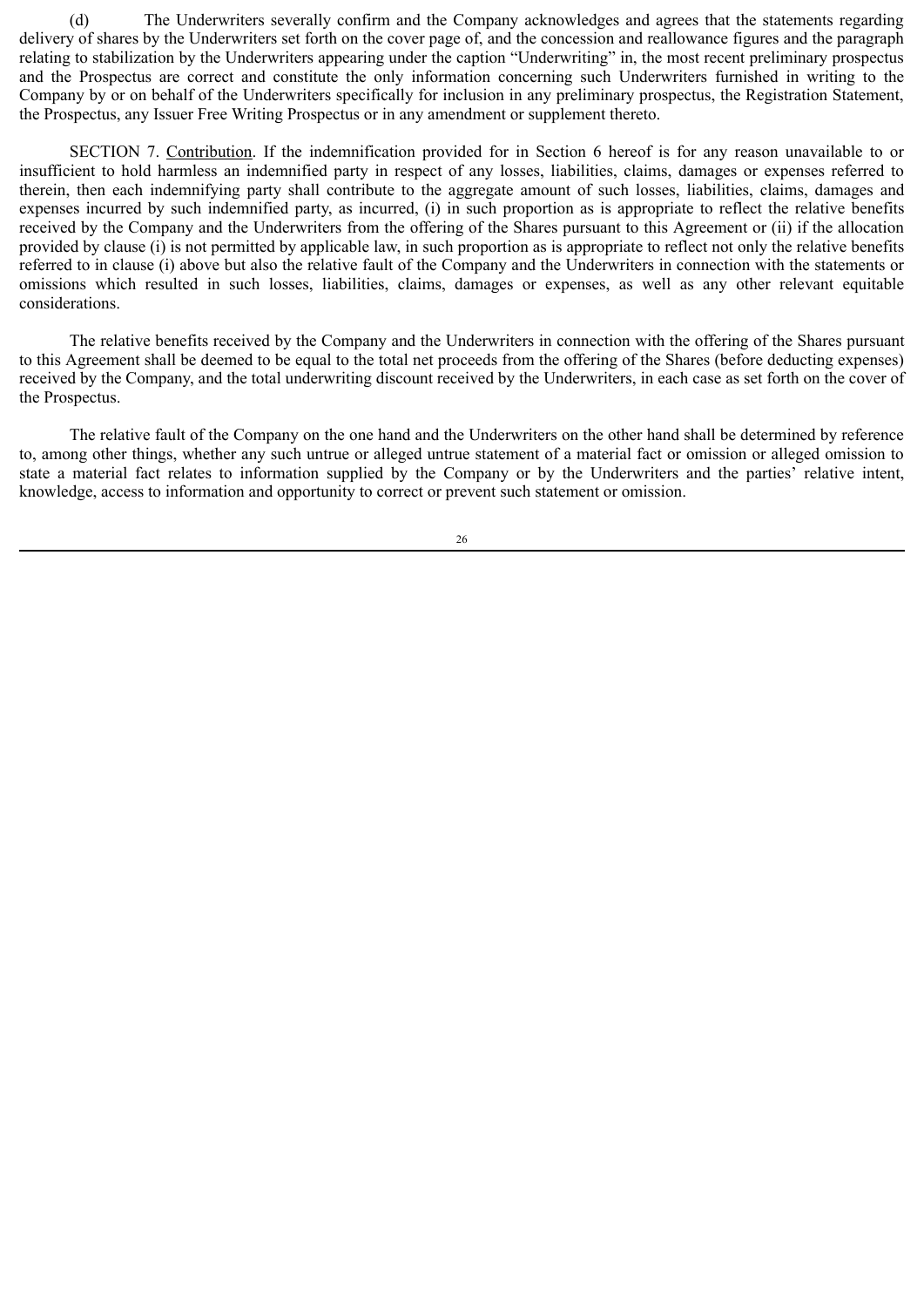(d) The Underwriters severally confirm and the Company acknowledges and agrees that the statements regarding delivery of shares by the Underwriters set forth on the cover page of, and the concession and reallowance figures and the paragraph relating to stabilization by the Underwriters appearing under the caption "Underwriting" in, the most recent preliminary prospectus and the Prospectus are correct and constitute the only information concerning such Underwriters furnished in writing to the Company by or on behalf of the Underwriters specifically for inclusion in any preliminary prospectus, the Registration Statement, the Prospectus, any Issuer Free Writing Prospectus or in any amendment or supplement thereto.

SECTION 7. Contribution. If the indemnification provided for in Section 6 hereof is for any reason unavailable to or insufficient to hold harmless an indemnified party in respect of any losses, liabilities, claims, damages or expenses referred to therein, then each indemnifying party shall contribute to the aggregate amount of such losses, liabilities, claims, damages and expenses incurred by such indemnified party, as incurred, (i) in such proportion as is appropriate to reflect the relative benefits received by the Company and the Underwriters from the offering of the Shares pursuant to this Agreement or (ii) if the allocation provided by clause (i) is not permitted by applicable law, in such proportion as is appropriate to reflect not only the relative benefits referred to in clause (i) above but also the relative fault of the Company and the Underwriters in connection with the statements or omissions which resulted in such losses, liabilities, claims, damages or expenses, as well as any other relevant equitable considerations.

The relative benefits received by the Company and the Underwriters in connection with the offering of the Shares pursuant to this Agreement shall be deemed to be equal to the total net proceeds from the offering of the Shares (before deducting expenses) received by the Company, and the total underwriting discount received by the Underwriters, in each case as set forth on the cover of the Prospectus.

The relative fault of the Company on the one hand and the Underwriters on the other hand shall be determined by reference to, among other things, whether any such untrue or alleged untrue statement of a material fact or omission or alleged omission to state a material fact relates to information supplied by the Company or by the Underwriters and the parties' relative intent, knowledge, access to information and opportunity to correct or prevent such statement or omission.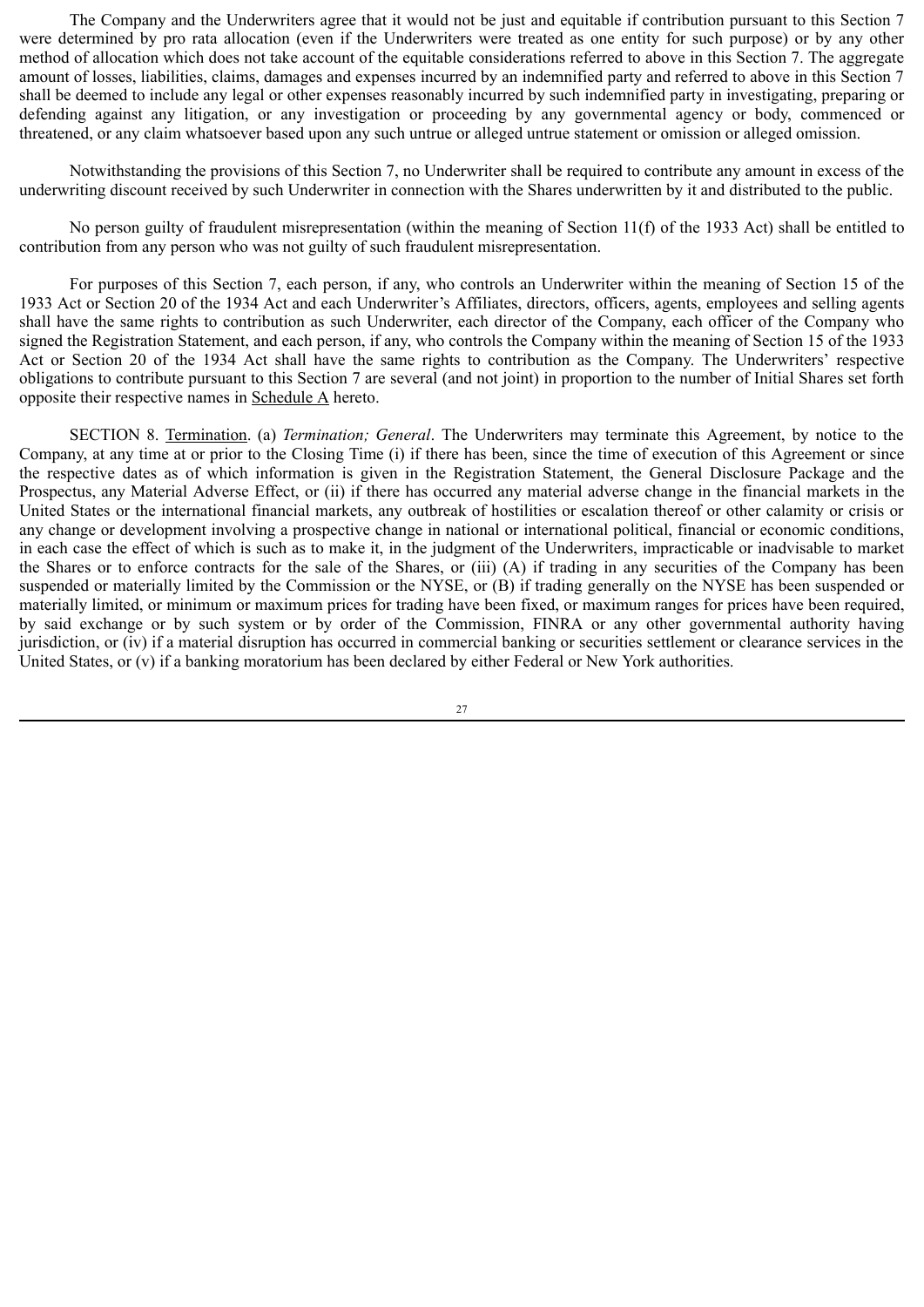The Company and the Underwriters agree that it would not be just and equitable if contribution pursuant to this Section 7 were determined by pro rata allocation (even if the Underwriters were treated as one entity for such purpose) or by any other method of allocation which does not take account of the equitable considerations referred to above in this Section 7. The aggregate amount of losses, liabilities, claims, damages and expenses incurred by an indemnified party and referred to above in this Section 7 shall be deemed to include any legal or other expenses reasonably incurred by such indemnified party in investigating, preparing or defending against any litigation, or any investigation or proceeding by any governmental agency or body, commenced or threatened, or any claim whatsoever based upon any such untrue or alleged untrue statement or omission or alleged omission.

Notwithstanding the provisions of this Section 7, no Underwriter shall be required to contribute any amount in excess of the underwriting discount received by such Underwriter in connection with the Shares underwritten by it and distributed to the public.

No person guilty of fraudulent misrepresentation (within the meaning of Section 11(f) of the 1933 Act) shall be entitled to contribution from any person who was not guilty of such fraudulent misrepresentation.

For purposes of this Section 7, each person, if any, who controls an Underwriter within the meaning of Section 15 of the 1933 Act or Section 20 of the 1934 Act and each Underwriter's Affiliates, directors, officers, agents, employees and selling agents shall have the same rights to contribution as such Underwriter, each director of the Company, each officer of the Company who signed the Registration Statement, and each person, if any, who controls the Company within the meaning of Section 15 of the 1933 Act or Section 20 of the 1934 Act shall have the same rights to contribution as the Company. The Underwriters' respective obligations to contribute pursuant to this Section 7 are several (and not joint) in proportion to the number of Initial Shares set forth opposite their respective names in Schedule  $\triangle$  hereto.

SECTION 8. Termination. (a) *Termination; General*. The Underwriters may terminate this Agreement, by notice to the Company, at any time at or prior to the Closing Time (i) if there has been, since the time of execution of this Agreement or since the respective dates as of which information is given in the Registration Statement, the General Disclosure Package and the Prospectus, any Material Adverse Effect, or (ii) if there has occurred any material adverse change in the financial markets in the United States or the international financial markets, any outbreak of hostilities or escalation thereof or other calamity or crisis or any change or development involving a prospective change in national or international political, financial or economic conditions, in each case the effect of which is such as to make it, in the judgment of the Underwriters, impracticable or inadvisable to market the Shares or to enforce contracts for the sale of the Shares, or (iii) (A) if trading in any securities of the Company has been suspended or materially limited by the Commission or the NYSE, or (B) if trading generally on the NYSE has been suspended or materially limited, or minimum or maximum prices for trading have been fixed, or maximum ranges for prices have been required, by said exchange or by such system or by order of the Commission, FINRA or any other governmental authority having jurisdiction, or (iv) if a material disruption has occurred in commercial banking or securities settlement or clearance services in the United States, or (v) if a banking moratorium has been declared by either Federal or New York authorities.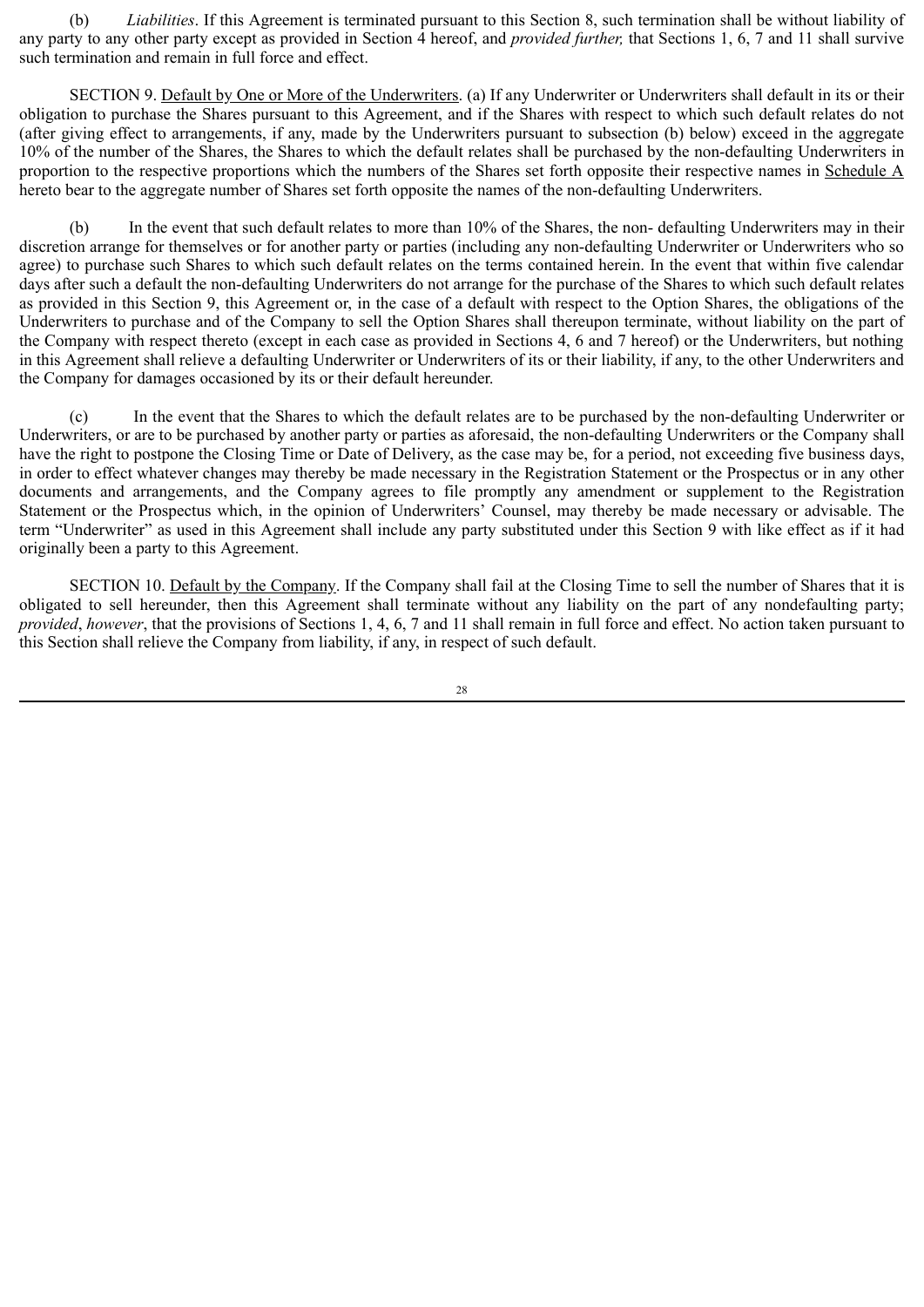(b) *Liabilities*. If this Agreement is terminated pursuant to this Section 8, such termination shall be without liability of any party to any other party except as provided in Section 4 hereof, and *provided further,* that Sections 1, 6, 7 and 11 shall survive such termination and remain in full force and effect.

SECTION 9. Default by One or More of the Underwriters. (a) If any Underwriter or Underwriters shall default in its or their obligation to purchase the Shares pursuant to this Agreement, and if the Shares with respect to which such default relates do not (after giving effect to arrangements, if any, made by the Underwriters pursuant to subsection (b) below) exceed in the aggregate 10% of the number of the Shares, the Shares to which the default relates shall be purchased by the non-defaulting Underwriters in proportion to the respective proportions which the numbers of the Shares set forth opposite their respective names in Schedule A hereto bear to the aggregate number of Shares set forth opposite the names of the non-defaulting Underwriters.

(b) In the event that such default relates to more than 10% of the Shares, the non- defaulting Underwriters may in their discretion arrange for themselves or for another party or parties (including any non-defaulting Underwriter or Underwriters who so agree) to purchase such Shares to which such default relates on the terms contained herein. In the event that within five calendar days after such a default the non-defaulting Underwriters do not arrange for the purchase of the Shares to which such default relates as provided in this Section 9, this Agreement or, in the case of a default with respect to the Option Shares, the obligations of the Underwriters to purchase and of the Company to sell the Option Shares shall thereupon terminate, without liability on the part of the Company with respect thereto (except in each case as provided in Sections 4, 6 and 7 hereof) or the Underwriters, but nothing in this Agreement shall relieve a defaulting Underwriter or Underwriters of its or their liability, if any, to the other Underwriters and the Company for damages occasioned by its or their default hereunder.

(c) In the event that the Shares to which the default relates are to be purchased by the non-defaulting Underwriter or Underwriters, or are to be purchased by another party or parties as aforesaid, the non-defaulting Underwriters or the Company shall have the right to postpone the Closing Time or Date of Delivery, as the case may be, for a period, not exceeding five business days, in order to effect whatever changes may thereby be made necessary in the Registration Statement or the Prospectus or in any other documents and arrangements, and the Company agrees to file promptly any amendment or supplement to the Registration Statement or the Prospectus which, in the opinion of Underwriters' Counsel, may thereby be made necessary or advisable. The term "Underwriter" as used in this Agreement shall include any party substituted under this Section 9 with like effect as if it had originally been a party to this Agreement.

SECTION 10. Default by the Company. If the Company shall fail at the Closing Time to sell the number of Shares that it is obligated to sell hereunder, then this Agreement shall terminate without any liability on the part of any nondefaulting party; *provided*, *however*, that the provisions of Sections 1, 4, 6, 7 and 11 shall remain in full force and effect. No action taken pursuant to this Section shall relieve the Company from liability, if any, in respect of such default.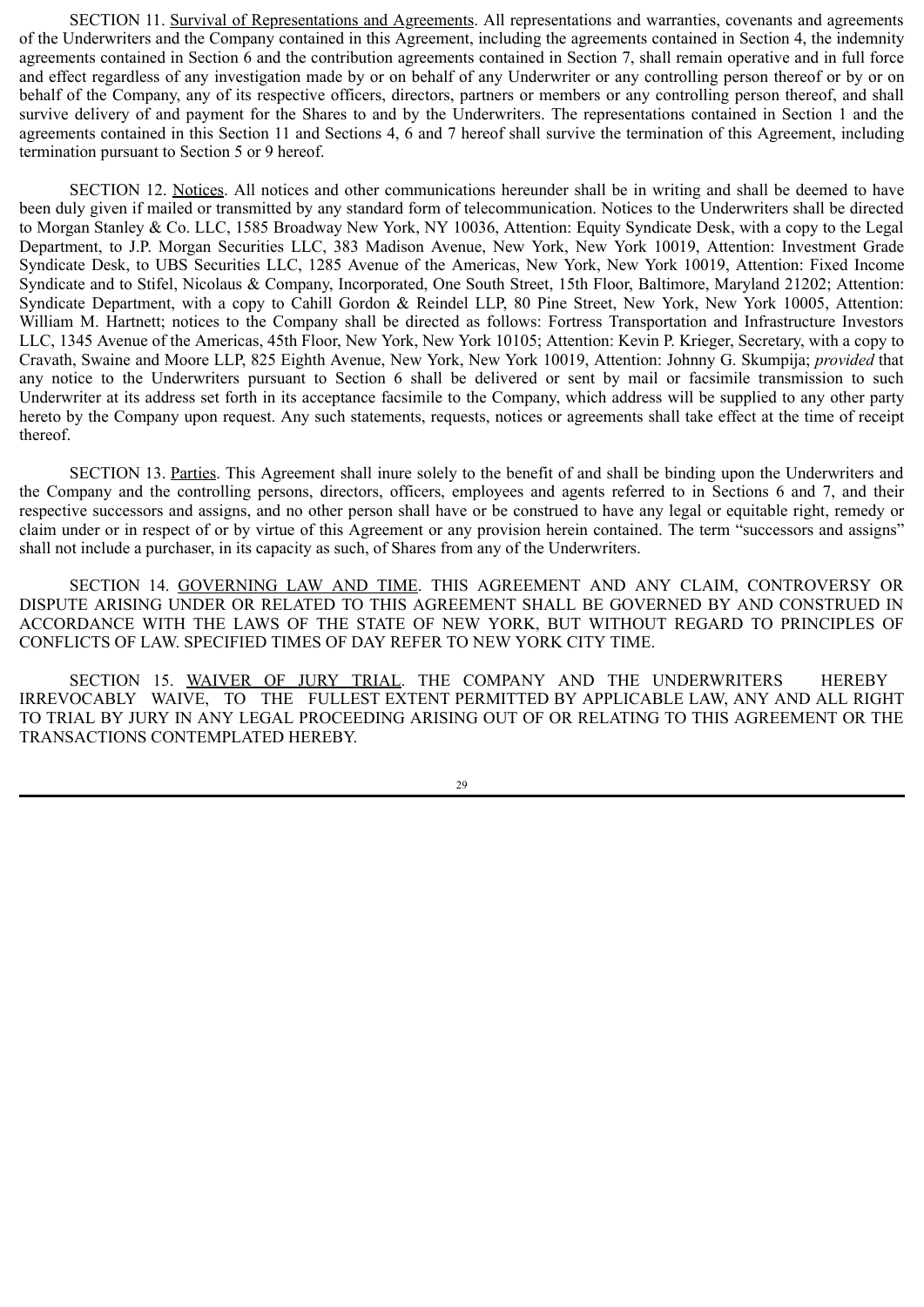SECTION 11. Survival of Representations and Agreements. All representations and warranties, covenants and agreements of the Underwriters and the Company contained in this Agreement, including the agreements contained in Section 4, the indemnity agreements contained in Section 6 and the contribution agreements contained in Section 7, shall remain operative and in full force and effect regardless of any investigation made by or on behalf of any Underwriter or any controlling person thereof or by or on behalf of the Company, any of its respective officers, directors, partners or members or any controlling person thereof, and shall survive delivery of and payment for the Shares to and by the Underwriters. The representations contained in Section 1 and the agreements contained in this Section 11 and Sections 4, 6 and 7 hereof shall survive the termination of this Agreement, including termination pursuant to Section 5 or 9 hereof.

SECTION 12. Notices. All notices and other communications hereunder shall be in writing and shall be deemed to have been duly given if mailed or transmitted by any standard form of telecommunication. Notices to the Underwriters shall be directed to Morgan Stanley & Co. LLC, 1585 Broadway New York, NY 10036, Attention: Equity Syndicate Desk, with a copy to the Legal Department, to J.P. Morgan Securities LLC, 383 Madison Avenue, New York, New York 10019, Attention: Investment Grade Syndicate Desk, to UBS Securities LLC, 1285 Avenue of the Americas, New York, New York 10019, Attention: Fixed Income Syndicate and to Stifel, Nicolaus & Company, Incorporated, One South Street, 15th Floor, Baltimore, Maryland 21202; Attention: Syndicate Department, with a copy to Cahill Gordon & Reindel LLP, 80 Pine Street, New York, New York 10005, Attention: William M. Hartnett: notices to the Company shall be directed as follows: Fortress Transportation and Infrastructure Investors LLC, 1345 Avenue of the Americas, 45th Floor, New York, New York 10105; Attention: Kevin P. Krieger, Secretary, with a copy to Cravath, Swaine and Moore LLP, 825 Eighth Avenue, New York, New York 10019, Attention: Johnny G. Skumpija; *provided* that any notice to the Underwriters pursuant to Section 6 shall be delivered or sent by mail or facsimile transmission to such Underwriter at its address set forth in its acceptance facsimile to the Company, which address will be supplied to any other party hereto by the Company upon request. Any such statements, requests, notices or agreements shall take effect at the time of receipt thereof.

SECTION 13. Parties. This Agreement shall inure solely to the benefit of and shall be binding upon the Underwriters and the Company and the controlling persons, directors, officers, employees and agents referred to in Sections 6 and 7, and their respective successors and assigns, and no other person shall have or be construed to have any legal or equitable right, remedy or claim under or in respect of or by virtue of this Agreement or any provision herein contained. The term "successors and assigns" shall not include a purchaser, in its capacity as such, of Shares from any of the Underwriters.

SECTION 14. GOVERNING LAW AND TIME. THIS AGREEMENT AND ANY CLAIM, CONTROVERSY OR DISPUTE ARISING UNDER OR RELATED TO THIS AGREEMENT SHALL BE GOVERNED BY AND CONSTRUED IN ACCORDANCE WITH THE LAWS OF THE STATE OF NEW YORK, BUT WITHOUT REGARD TO PRINCIPLES OF CONFLICTS OF LAW. SPECIFIED TIMES OF DAY REFER TO NEW YORK CITY TIME.

SECTION 15. WAIVER OF JURY TRIAL. THE COMPANY AND THE UNDERWRITERS HEREBY IRREVOCABLY WAIVE, TO THE FULLEST EXTENT PERMITTED BY APPLICABLE LAW, ANY AND ALL RIGHT TO TRIAL BY JURY IN ANY LEGAL PROCEEDING ARISING OUT OF OR RELATING TO THIS AGREEMENT OR THE TRANSACTIONS CONTEMPLATED HEREBY.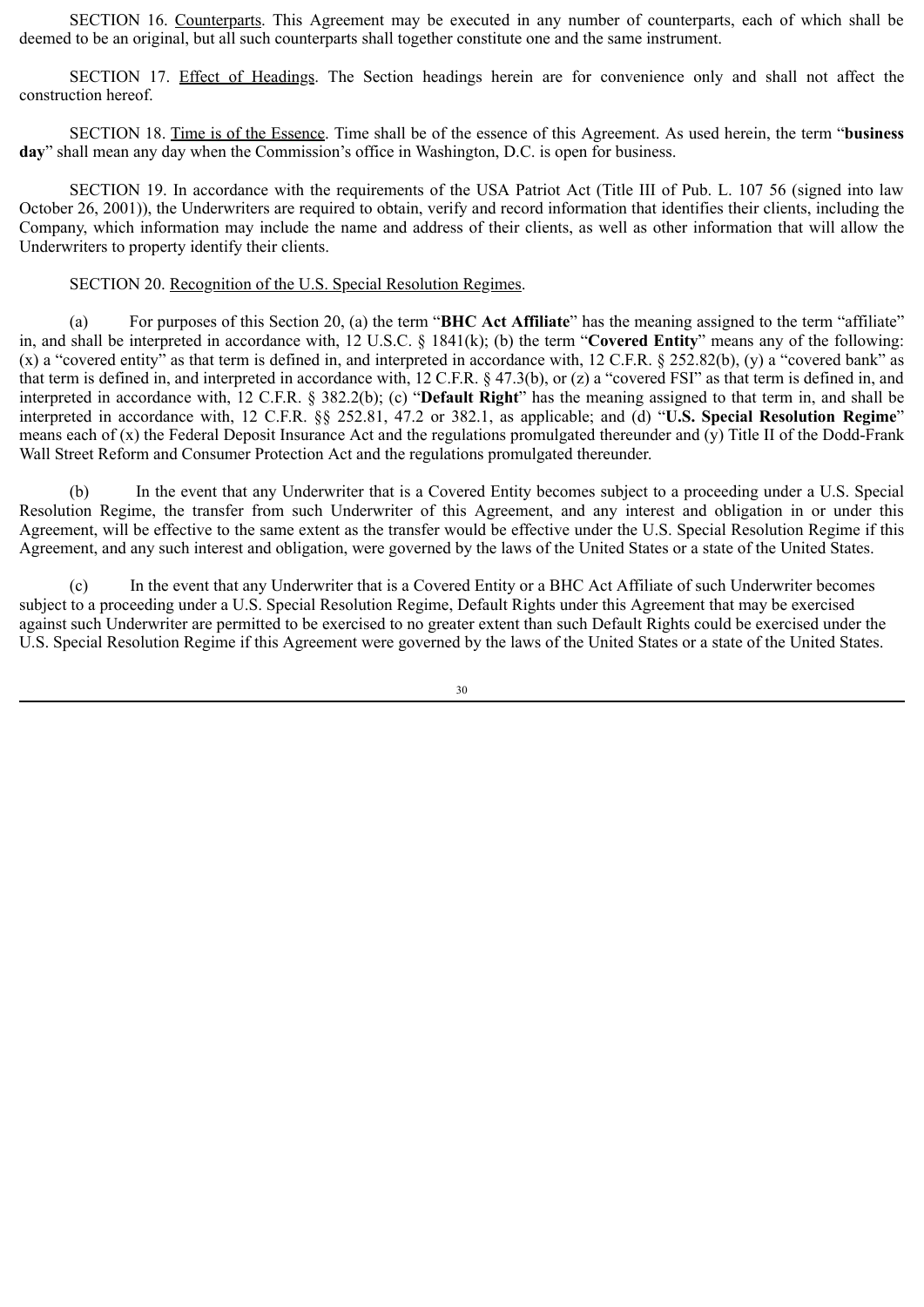SECTION 16. Counterparts. This Agreement may be executed in any number of counterparts, each of which shall be deemed to be an original, but all such counterparts shall together constitute one and the same instrument.

SECTION 17. Effect of Headings. The Section headings herein are for convenience only and shall not affect the construction hereof.

SECTION 18. Time is of the Essence. Time shall be of the essence of this Agreement. As used herein, the term "**business day**" shall mean any day when the Commission's office in Washington, D.C. is open for business.

SECTION 19. In accordance with the requirements of the USA Patriot Act (Title III of Pub. L. 107 56 (signed into law October 26, 2001)), the Underwriters are required to obtain, verify and record information that identifies their clients, including the Company, which information may include the name and address of their clients, as well as other information that will allow the Underwriters to property identify their clients.

#### SECTION 20. Recognition of the U.S. Special Resolution Regimes.

(a) For purposes of this Section 20, (a) the term "**BHC Act Affiliate**" has the meaning assigned to the term "affiliate" in, and shall be interpreted in accordance with, 12 U.S.C. § 1841(k); (b) the term "**Covered Entity**" means any of the following: (x) a "covered entity" as that term is defined in, and interpreted in accordance with, 12 C.F.R. § 252.82(b), (y) a "covered bank" as that term is defined in, and interpreted in accordance with, 12 C.F.R. § 47.3(b), or (z) a "covered FSI" as that term is defined in, and interpreted in accordance with, 12 C.F.R. § 382.2(b); (c) "**Default Right**" has the meaning assigned to that term in, and shall be interpreted in accordance with, 12 C.F.R. §§ 252.81, 47.2 or 382.1, as applicable; and (d) "**U.S. Special Resolution Regime**" means each of (x) the Federal Deposit Insurance Act and the regulations promulgated thereunder and (y) Title II of the Dodd-Frank Wall Street Reform and Consumer Protection Act and the regulations promulgated thereunder.

(b) In the event that any Underwriter that is a Covered Entity becomes subject to a proceeding under a U.S. Special Resolution Regime, the transfer from such Underwriter of this Agreement, and any interest and obligation in or under this Agreement, will be effective to the same extent as the transfer would be effective under the U.S. Special Resolution Regime if this Agreement, and any such interest and obligation, were governed by the laws of the United States or a state of the United States.

(c) In the event that any Underwriter that is a Covered Entity or a BHC Act Affiliate of such Underwriter becomes subject to a proceeding under a U.S. Special Resolution Regime, Default Rights under this Agreement that may be exercised against such Underwriter are permitted to be exercised to no greater extent than such Default Rights could be exercised under the U.S. Special Resolution Regime if this Agreement were governed by the laws of the United States or a state of the United States.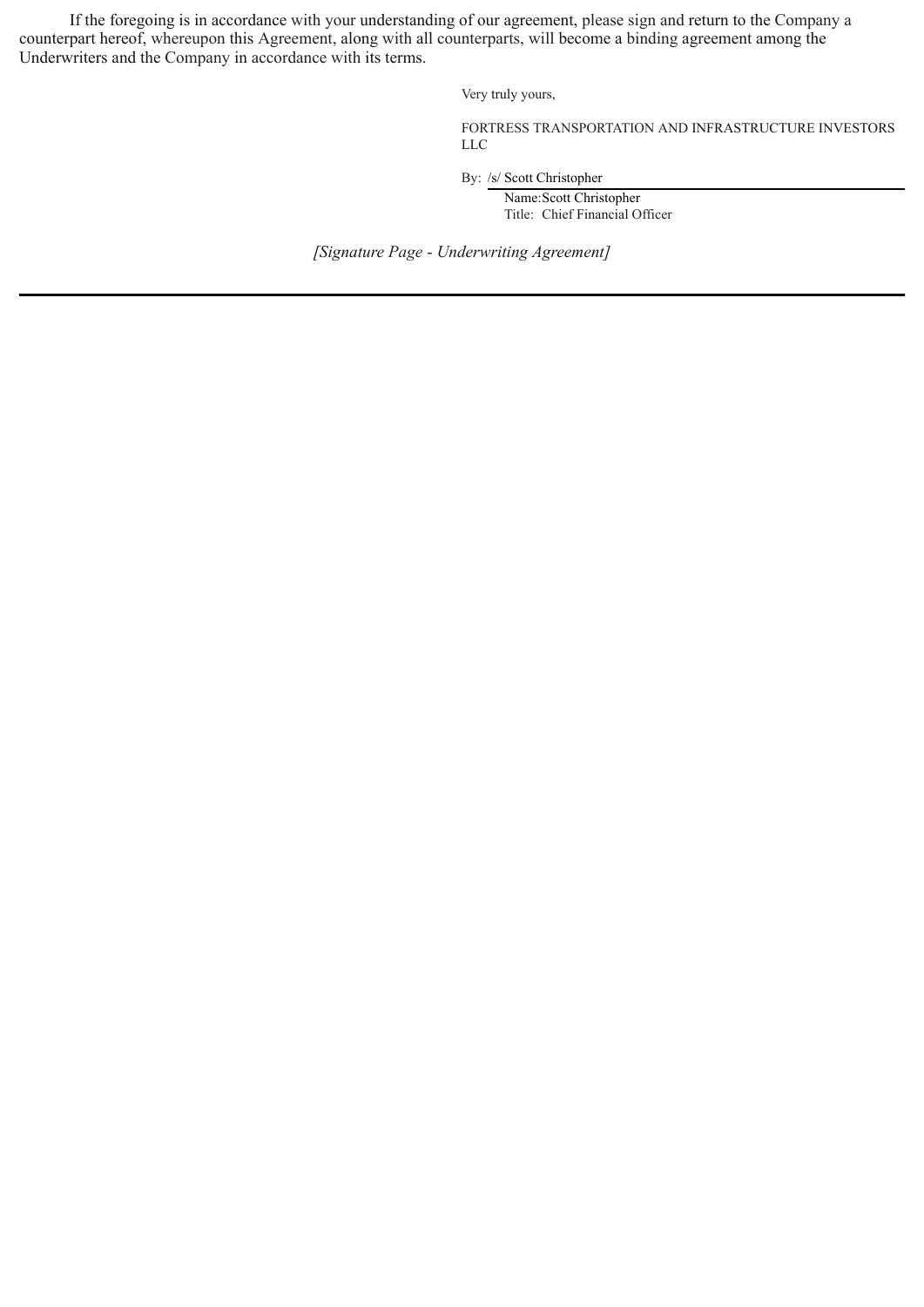If the foregoing is in accordance with your understanding of our agreement, please sign and return to the Company a counterpart hereof, whereupon this Agreement, along with all counterparts, will become a binding agreement among the Underwriters and the Company in accordance with its terms.

Very truly yours,

FORTRESS TRANSPORTATION AND INFRASTRUCTURE INVESTORS LLC

By: /s/ Scott Christopher

Name:Scott Christopher Title: Chief Financial Officer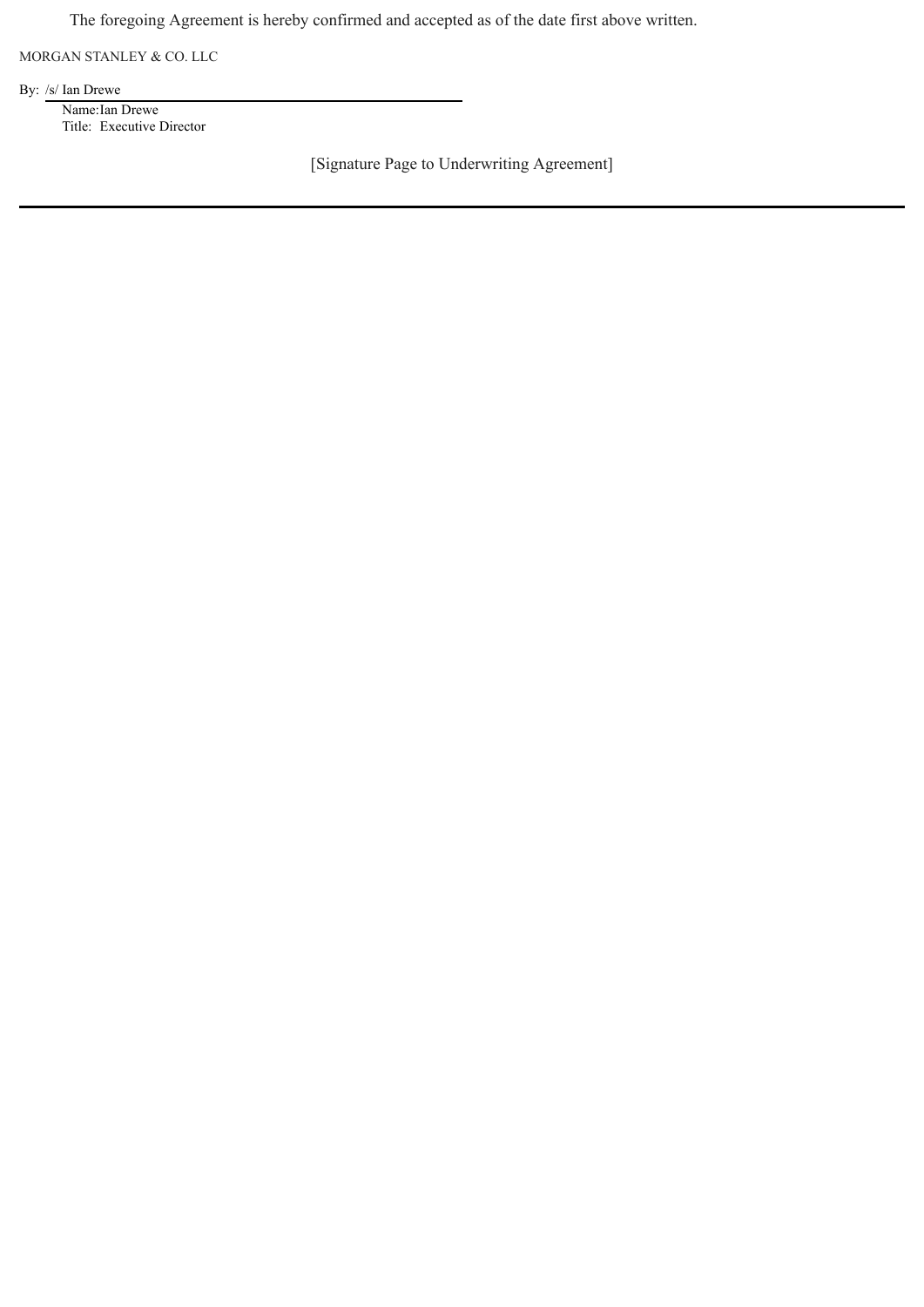The foregoing Agreement is hereby confirmed and accepted as of the date first above written.

MORGAN STANLEY & CO. LLC

By: /s/ Ian Drewe

Name:Ian Drewe Title: Executive Director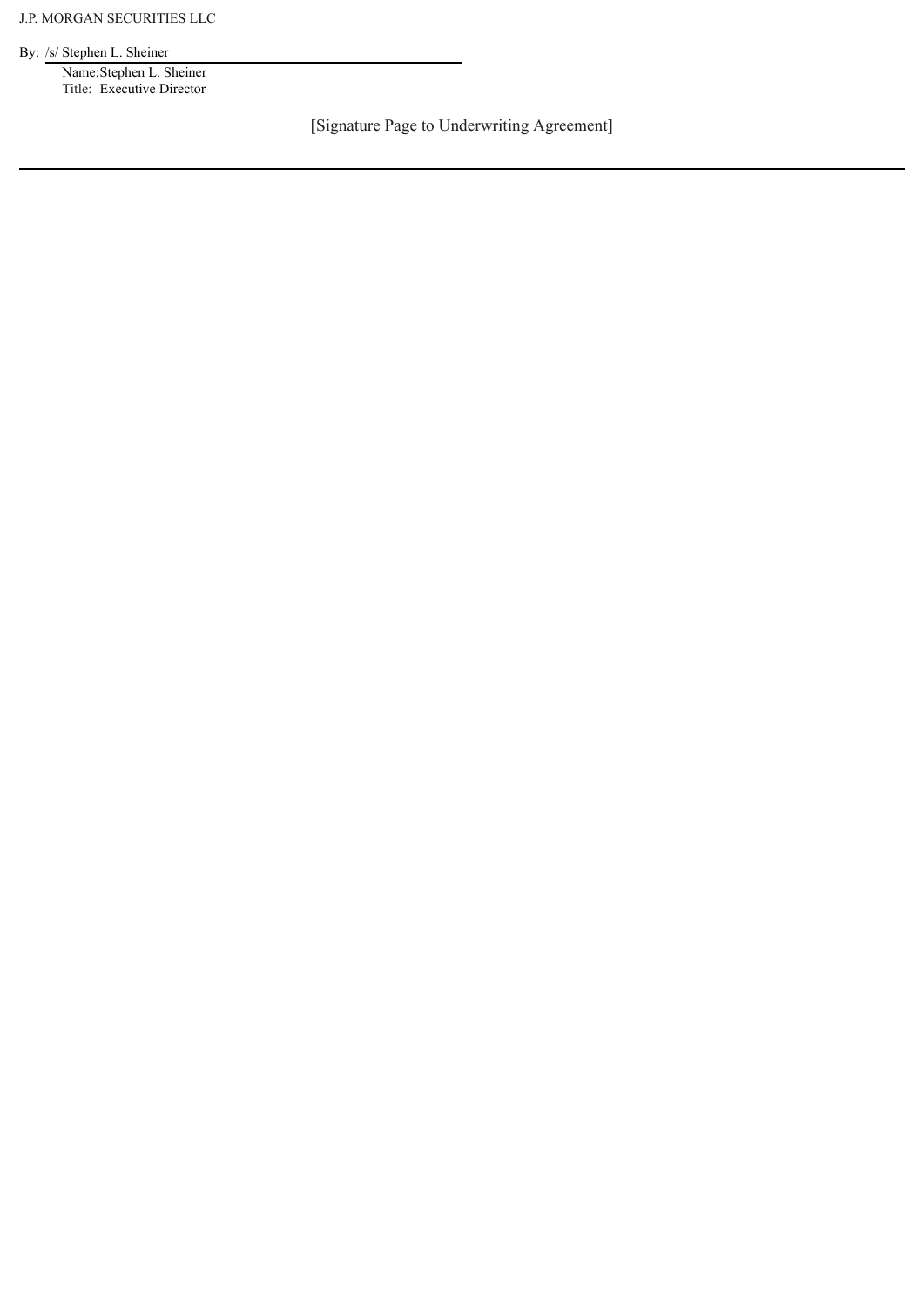By: /s/ Stephen L. Sheiner

Name:Stephen L. Sheiner Title: Executive Director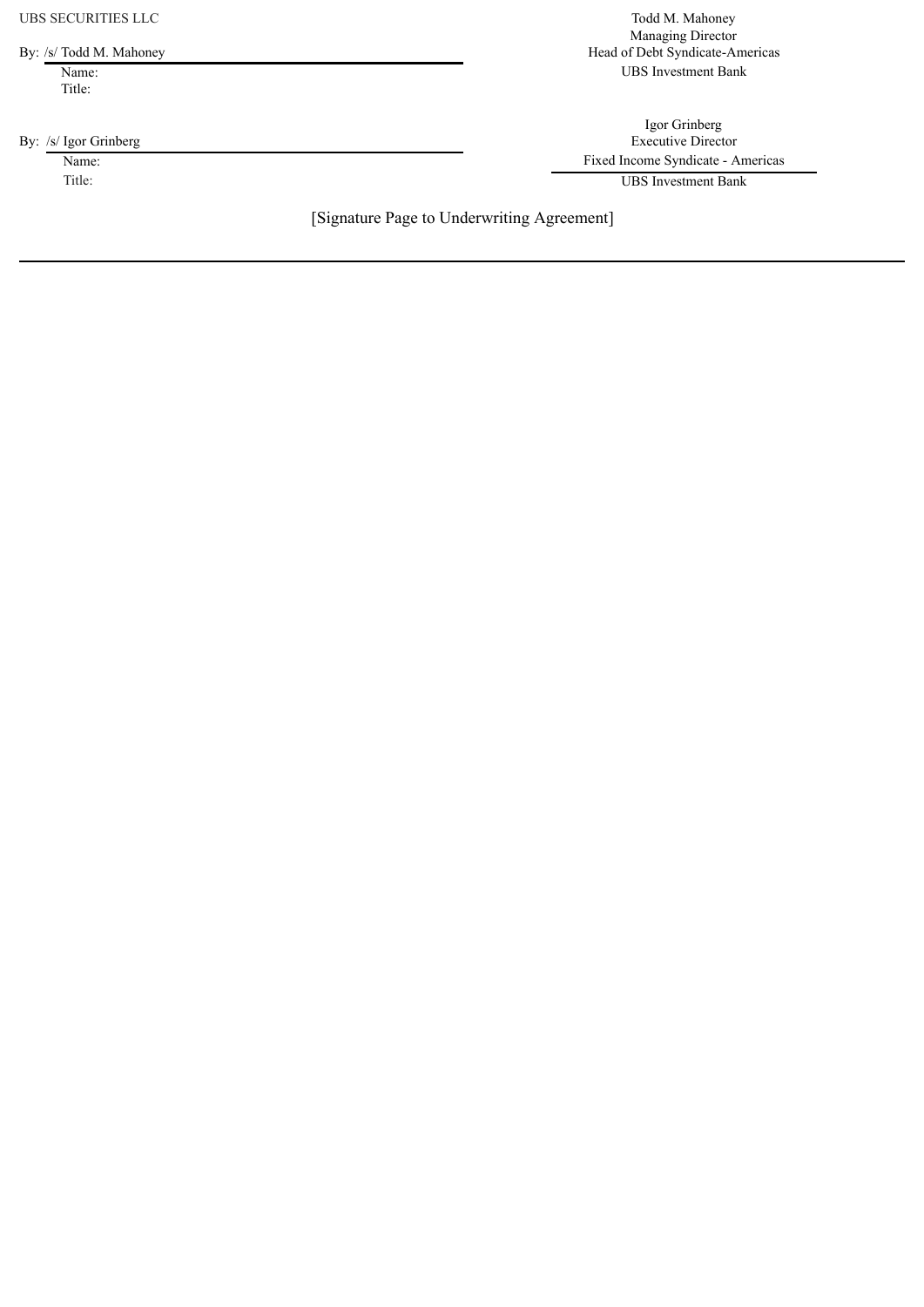UBS SECURITIES LLC<br>
Todd M. Mahoney

Title:

Managing Director By: /s/ Todd M. Mahoney Head of Debt Syndicate-Americas Name: UBS Investment Bank

Igor Grinberg By: /s/ Igor Grinberg Executive Director Name: Fixed Income Syndicate - Americas

Title: UBS Investment Bank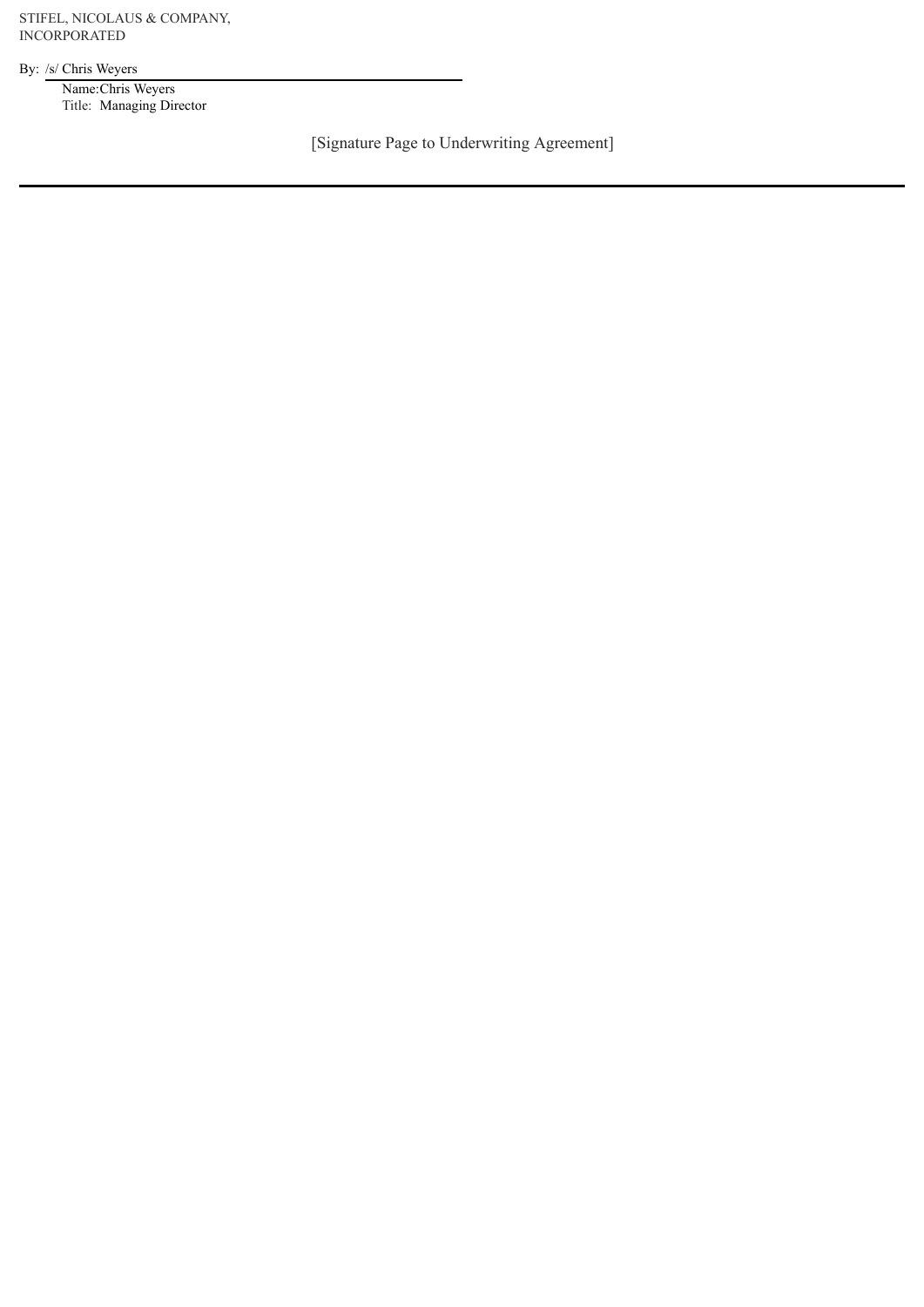STIFEL, NICOLAUS & COMPANY, INCORPORATED

By: /s/ Chris Weyers

Name:Chris Weyers Title: Managing Director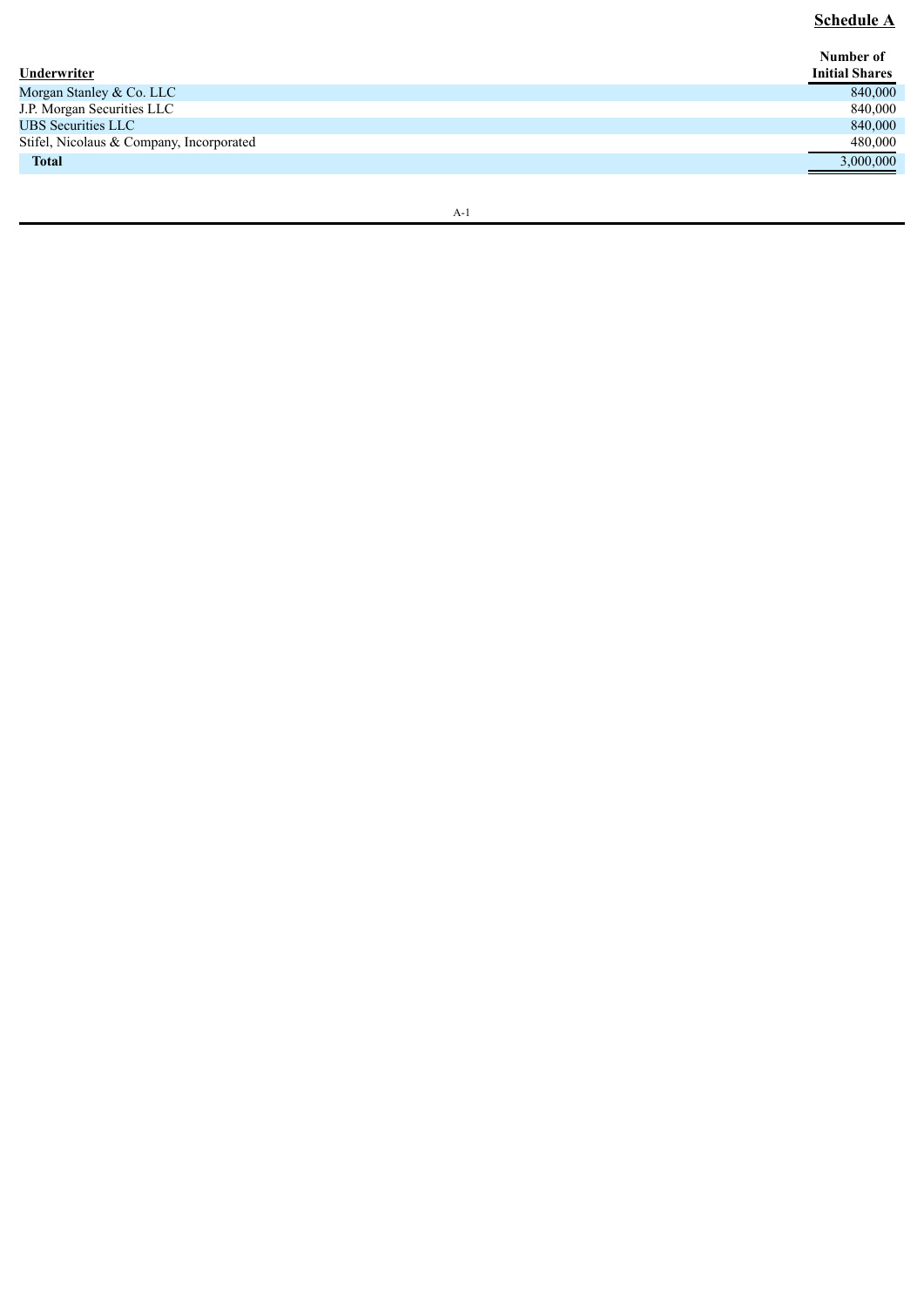## **Schedule A**

| Underwriter                              | Number of<br><b>Initial Shares</b> |
|------------------------------------------|------------------------------------|
| Morgan Stanley & Co. LLC                 | 840,000                            |
| J.P. Morgan Securities LLC               | 840,000                            |
| <b>UBS Securities LLC</b>                | 840,000                            |
| Stifel, Nicolaus & Company, Incorporated | 480,000                            |
| <b>Total</b>                             | 3,000,000                          |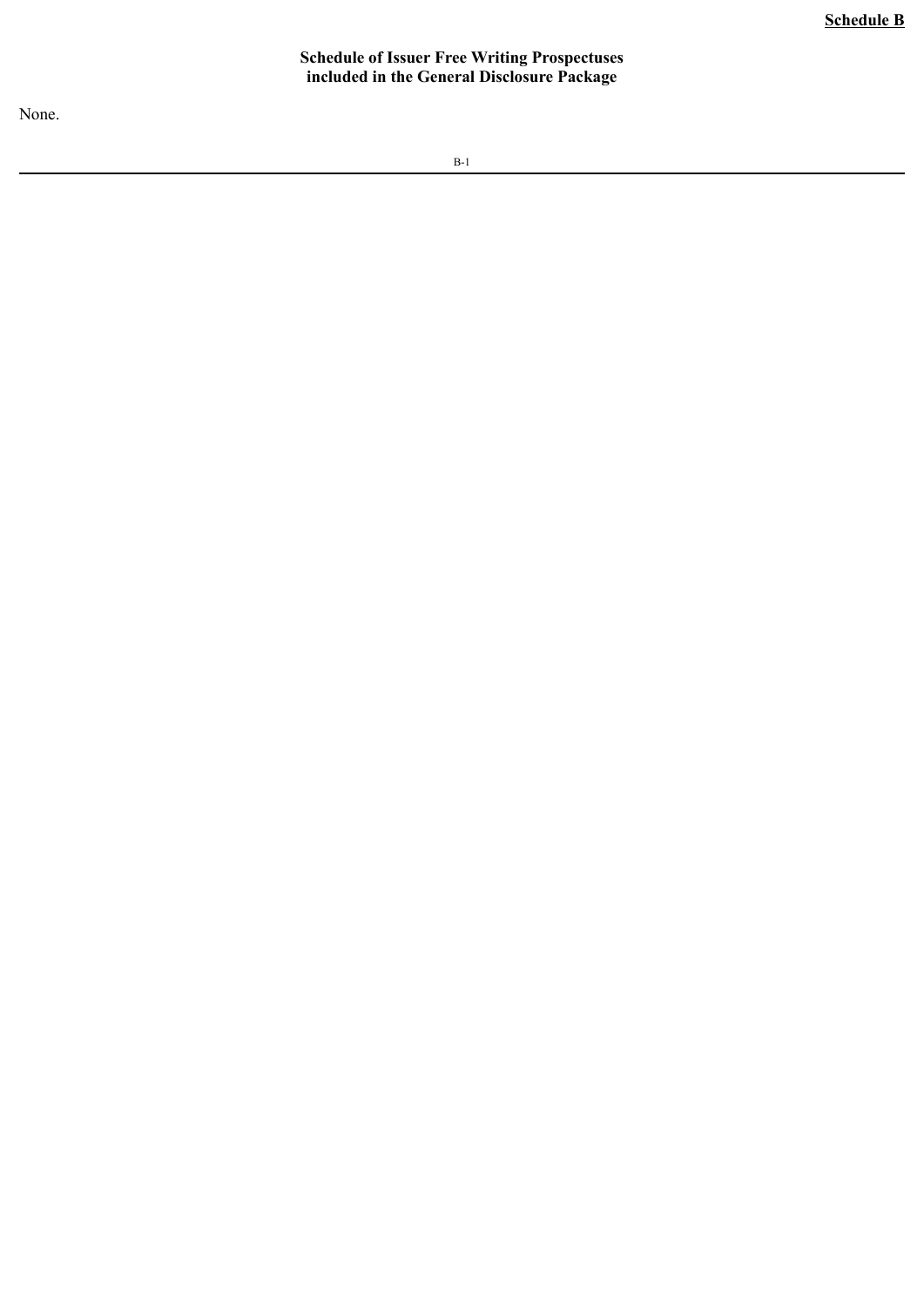#### **Schedule of Issuer Free Writing Prospectuses included in the General Disclosure Package**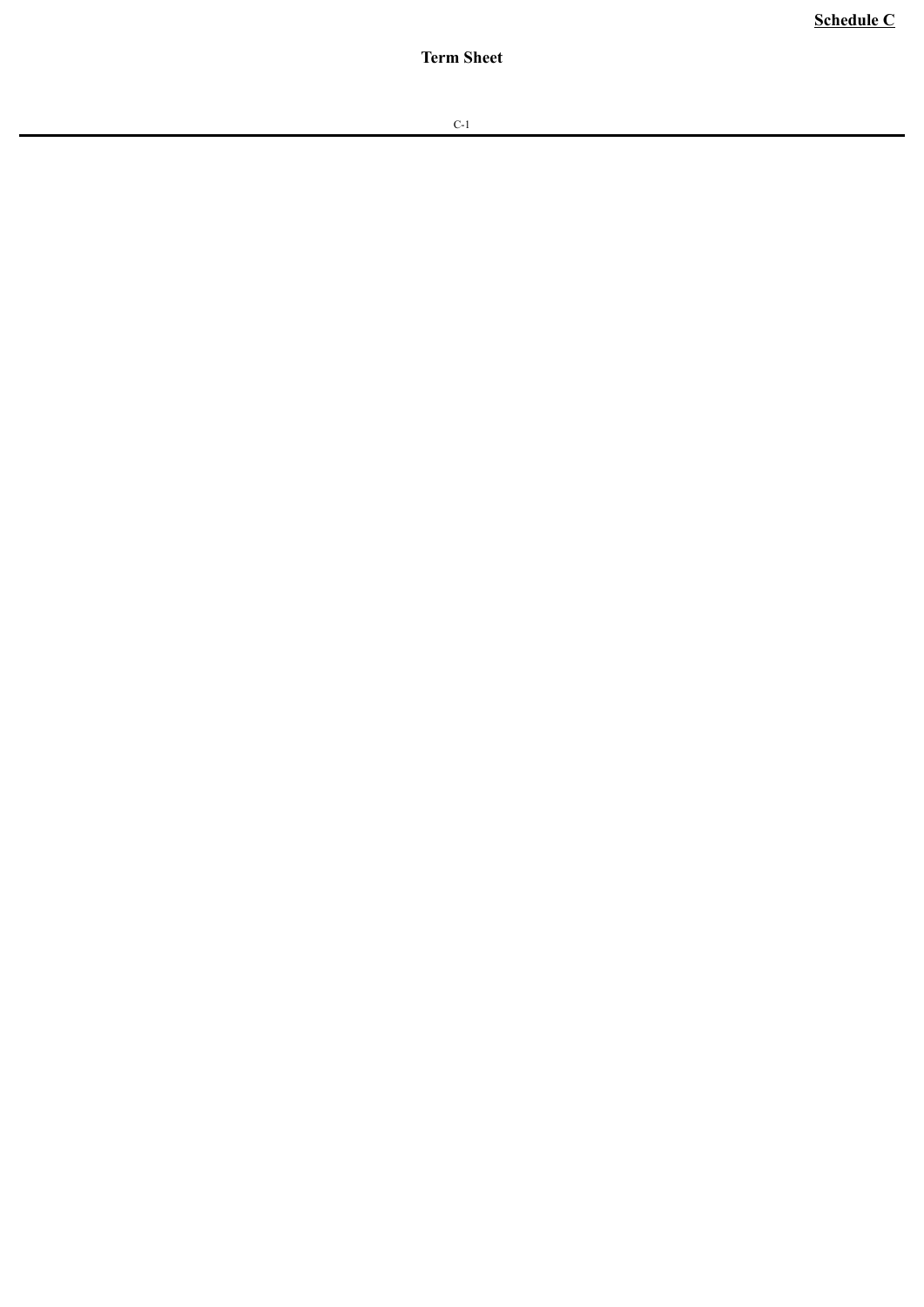**Schedule C**

**Term Sheet**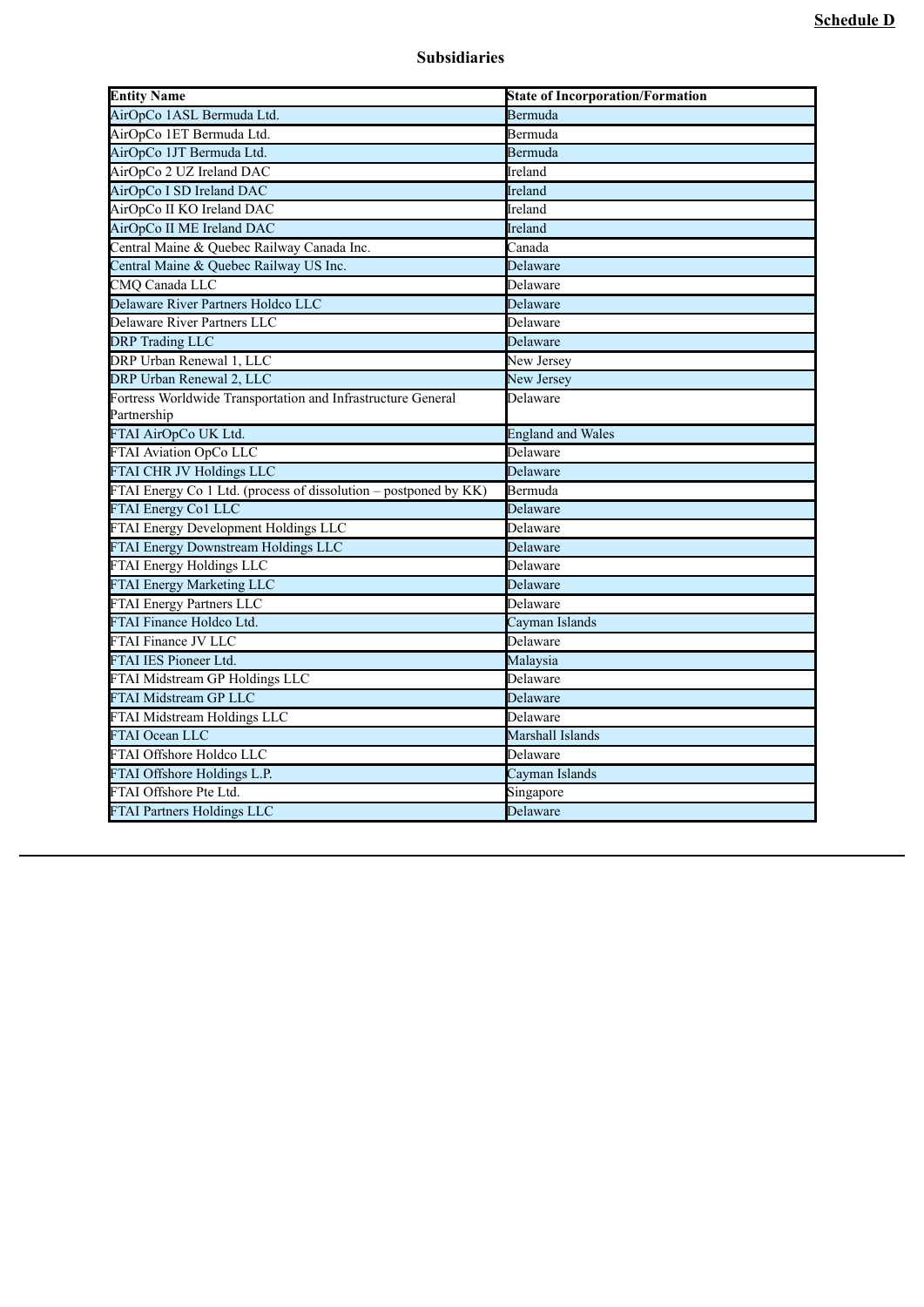| <b>Entity Name</b>                                               | <b>State of Incorporation/Formation</b> |
|------------------------------------------------------------------|-----------------------------------------|
| AirOpCo 1ASL Bermuda Ltd.                                        | Bermuda                                 |
| AirOpCo 1ET Bermuda Ltd.                                         | Bermuda                                 |
| AirOpCo 1JT Bermuda Ltd.                                         | Bermuda                                 |
| AirOpCo 2 UZ Ireland DAC                                         | Ireland                                 |
| AirOpCo I SD Ireland DAC                                         | Ireland                                 |
| AirOpCo II KO Ireland DAC                                        | Ireland                                 |
| AirOpCo II ME Ireland DAC                                        | Ireland                                 |
| Central Maine & Quebec Railway Canada Inc.                       | Canada                                  |
| Central Maine & Quebec Railway US Inc.                           | Delaware                                |
| CMQ Canada LLC                                                   | Delaware                                |
| Delaware River Partners Holdco LLC                               | Delaware                                |
| Delaware River Partners LLC                                      | Delaware                                |
| <b>DRP</b> Trading LLC                                           | Delaware                                |
| DRP Urban Renewal 1, LLC                                         | New Jersey                              |
| DRP Urban Renewal 2, LLC                                         | New Jersey                              |
| Fortress Worldwide Transportation and Infrastructure General     | Delaware                                |
| Partnership                                                      |                                         |
| FTAI AirOpCo UK Ltd.                                             | <b>England and Wales</b>                |
| <b>FTAI Aviation OpCo LLC</b>                                    | Delaware                                |
| <b>FTAI CHR JV Holdings LLC</b>                                  | Delaware                                |
| FTAI Energy Co 1 Ltd. (process of dissolution – postponed by KK) | Bermuda                                 |
| FTAI Energy Co1 LLC                                              | Delaware                                |
| FTAI Energy Development Holdings LLC                             | Delaware                                |
| <b>FTAI Energy Downstream Holdings LLC</b>                       | Delaware                                |
| <b>FTAI Energy Holdings LLC</b>                                  | Delaware                                |
| FTAI Energy Marketing LLC                                        | Delaware                                |
| FTAI Energy Partners LLC                                         | Delaware                                |
| FTAI Finance Holdco Ltd.                                         | Cayman Islands                          |
| <b>FTAI Finance JV LLC</b>                                       | Delaware                                |
| FTAI IES Pioneer Ltd.                                            | Malaysia                                |
| FTAI Midstream GP Holdings LLC                                   | Delaware                                |
| FTAI Midstream GP LLC                                            | Delaware                                |
| FTAI Midstream Holdings LLC                                      | Delaware                                |
| <b>FTAI Ocean LLC</b>                                            | Marshall Islands                        |
| FTAI Offshore Holdco LLC                                         | Delaware                                |
| FTAI Offshore Holdings L.P.                                      | Cayman Islands                          |
| FTAI Offshore Pte Ltd.                                           | Singapore                               |
| <b>FTAI Partners Holdings LLC</b>                                | Delaware                                |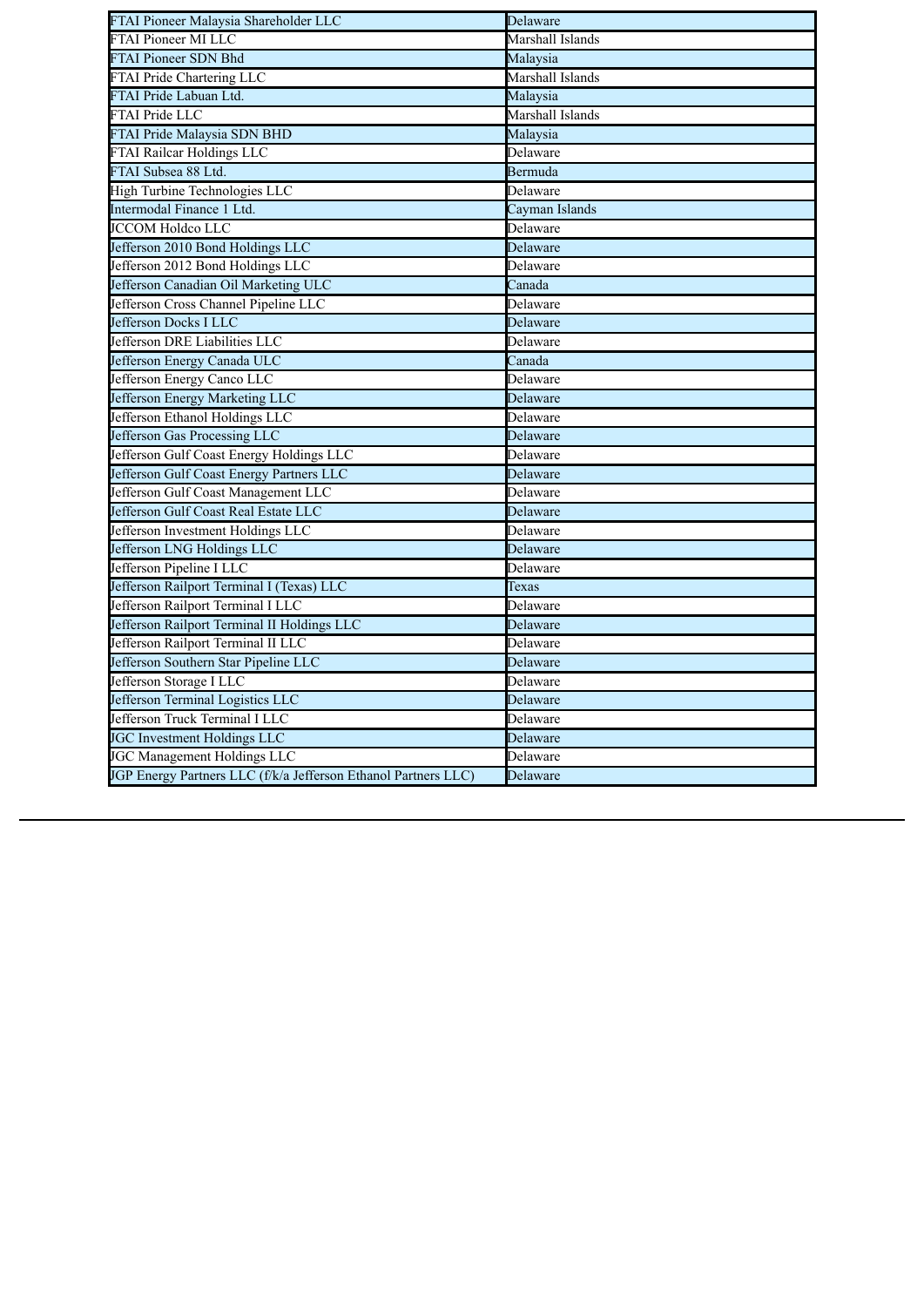| FTAI Pioneer Malaysia Shareholder LLC                          | Delaware         |
|----------------------------------------------------------------|------------------|
| <b>FTAI Pioneer MI LLC</b>                                     | Marshall Islands |
| <b>FTAI Pioneer SDN Bhd</b>                                    | Malaysia         |
| <b>FTAI Pride Chartering LLC</b>                               | Marshall Islands |
| FTAI Pride Labuan Ltd.                                         | Malaysia         |
| <b>FTAI Pride LLC</b>                                          | Marshall Islands |
| FTAI Pride Malaysia SDN BHD                                    | Malaysia         |
| <b>FTAI Railcar Holdings LLC</b>                               | Delaware         |
| FTAI Subsea 88 Ltd.                                            | Bermuda          |
| High Turbine Technologies LLC                                  | Delaware         |
| Intermodal Finance 1 Ltd.                                      | Cayman Islands   |
| <b>JCCOM Holdco LLC</b>                                        | Delaware         |
| Jefferson 2010 Bond Holdings LLC                               | Delaware         |
| Jefferson 2012 Bond Holdings LLC                               | Delaware         |
| Jefferson Canadian Oil Marketing ULC                           | Canada           |
| Jefferson Cross Channel Pipeline LLC                           | Delaware         |
| Jefferson Docks I LLC                                          | Delaware         |
| Jefferson DRE Liabilities LLC                                  | Delaware         |
| Jefferson Energy Canada ULC                                    | Canada           |
| Jefferson Energy Canco LLC                                     | Delaware         |
| Jefferson Energy Marketing LLC                                 | Delaware         |
| Jefferson Ethanol Holdings LLC                                 | Delaware         |
| Jefferson Gas Processing LLC                                   | Delaware         |
| Jefferson Gulf Coast Energy Holdings LLC                       | Delaware         |
| Jefferson Gulf Coast Energy Partners LLC                       | Delaware         |
| Jefferson Gulf Coast Management LLC                            | Delaware         |
| Jefferson Gulf Coast Real Estate LLC                           | Delaware         |
| Jefferson Investment Holdings LLC                              | Delaware         |
| Jefferson LNG Holdings LLC                                     | Delaware         |
| Jefferson Pipeline I LLC                                       | Delaware         |
| Jefferson Railport Terminal I (Texas) LLC                      | Texas            |
| Jefferson Railport Terminal I LLC                              | Delaware         |
| Jefferson Railport Terminal II Holdings LLC                    | Delaware         |
| Jefferson Railport Terminal II LLC                             | Delaware         |
| Jefferson Southern Star Pipeline LLC                           | Delaware         |
| Jefferson Storage I LLC                                        | Delaware         |
| Jefferson Terminal Logistics LLC                               | Delaware         |
| Jefferson Truck Terminal I LLC                                 | Delaware         |
| <b>JGC Investment Holdings LLC</b>                             | Delaware         |
| JGC Management Holdings LLC                                    | Delaware         |
| JGP Energy Partners LLC (f/k/a Jefferson Ethanol Partners LLC) | Delaware         |